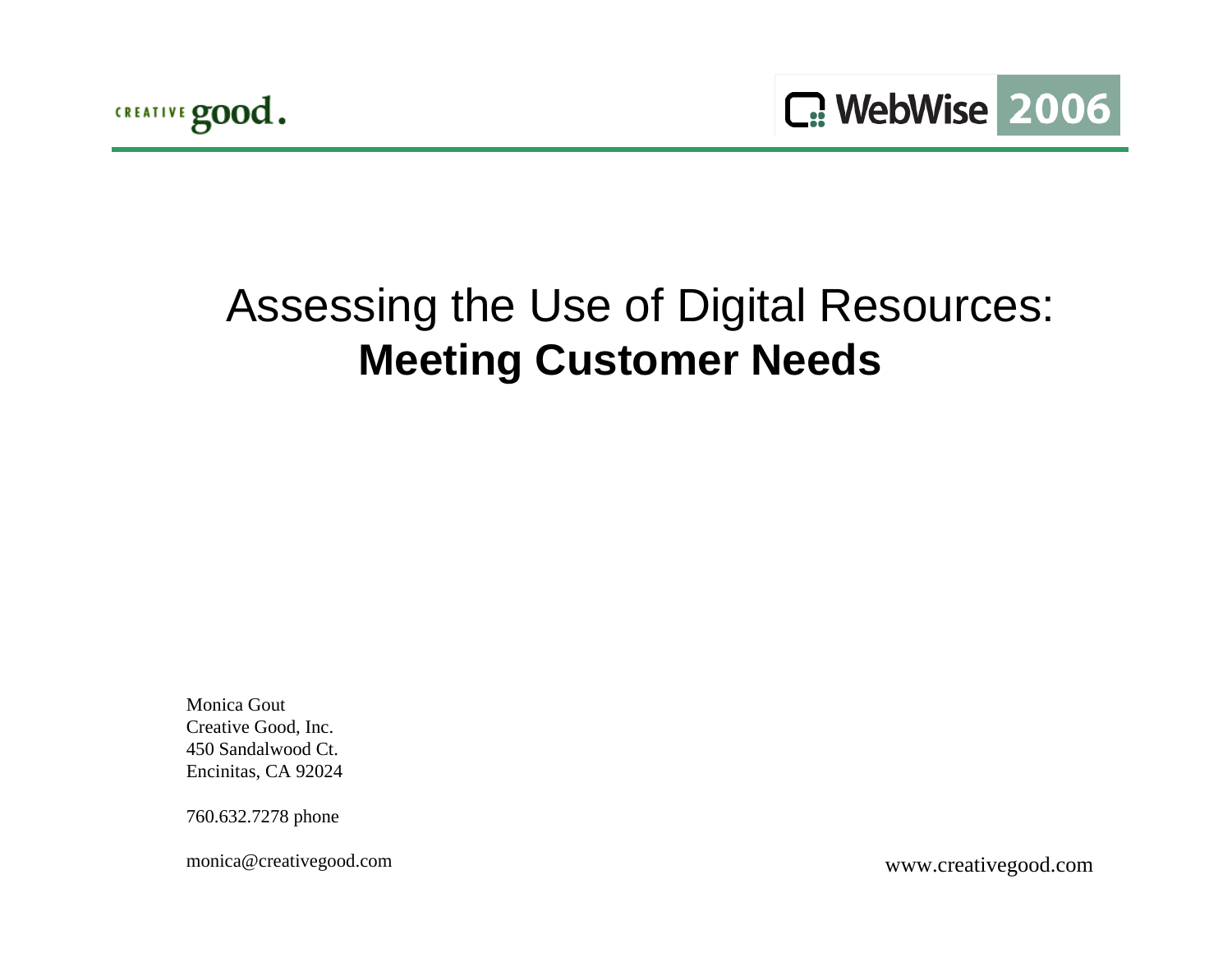

# Assessing the Use of Digital Resources: **Meeting Customer Needs**

Monica GoutCreative Good, Inc. 450 Sandalwood Ct.Encinitas, CA 92024

760.632.7278 phone

monica@creativegood.com

www.creativegood.com <sup>1</sup>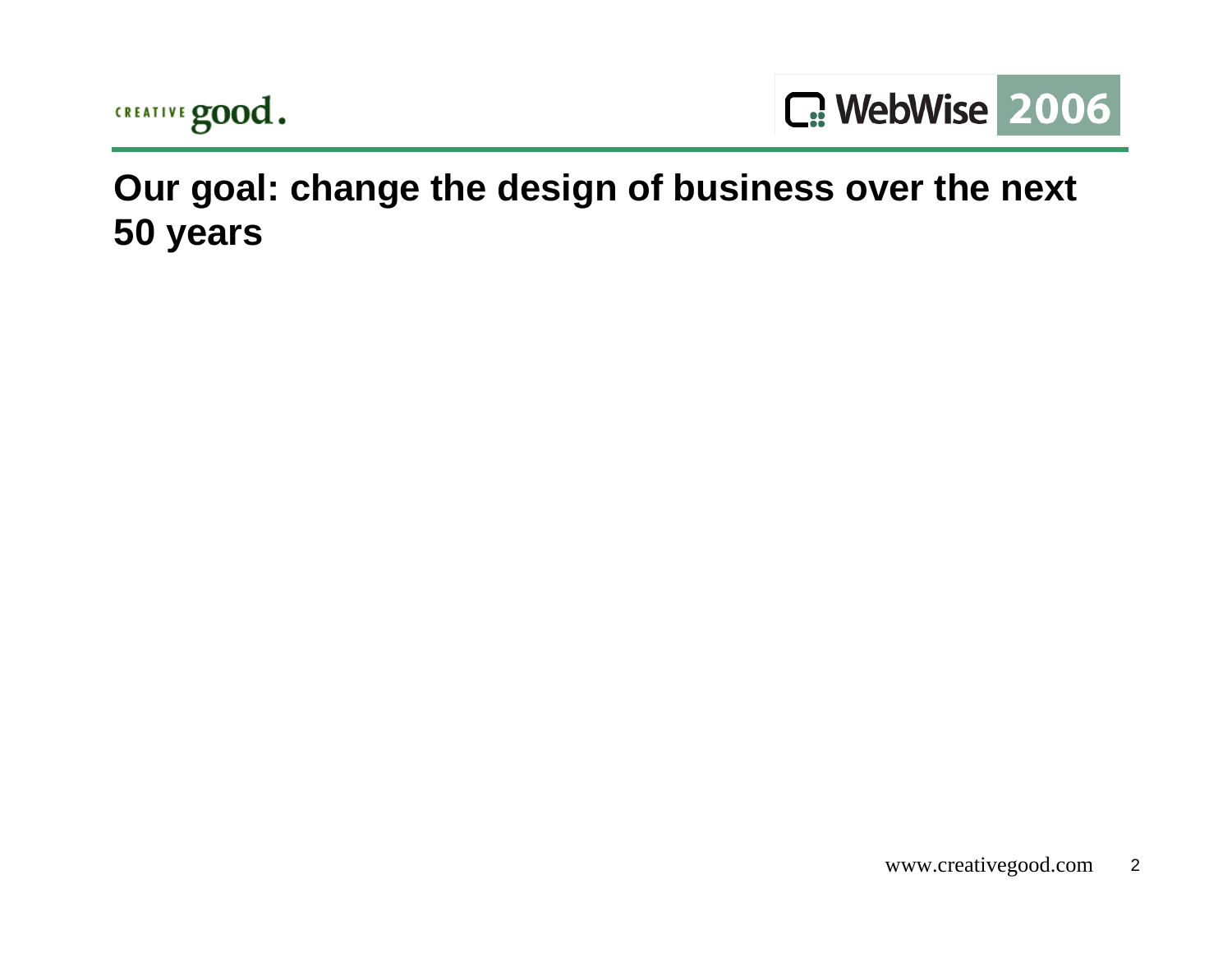



**Our goal: change the design of business over the next 50 years**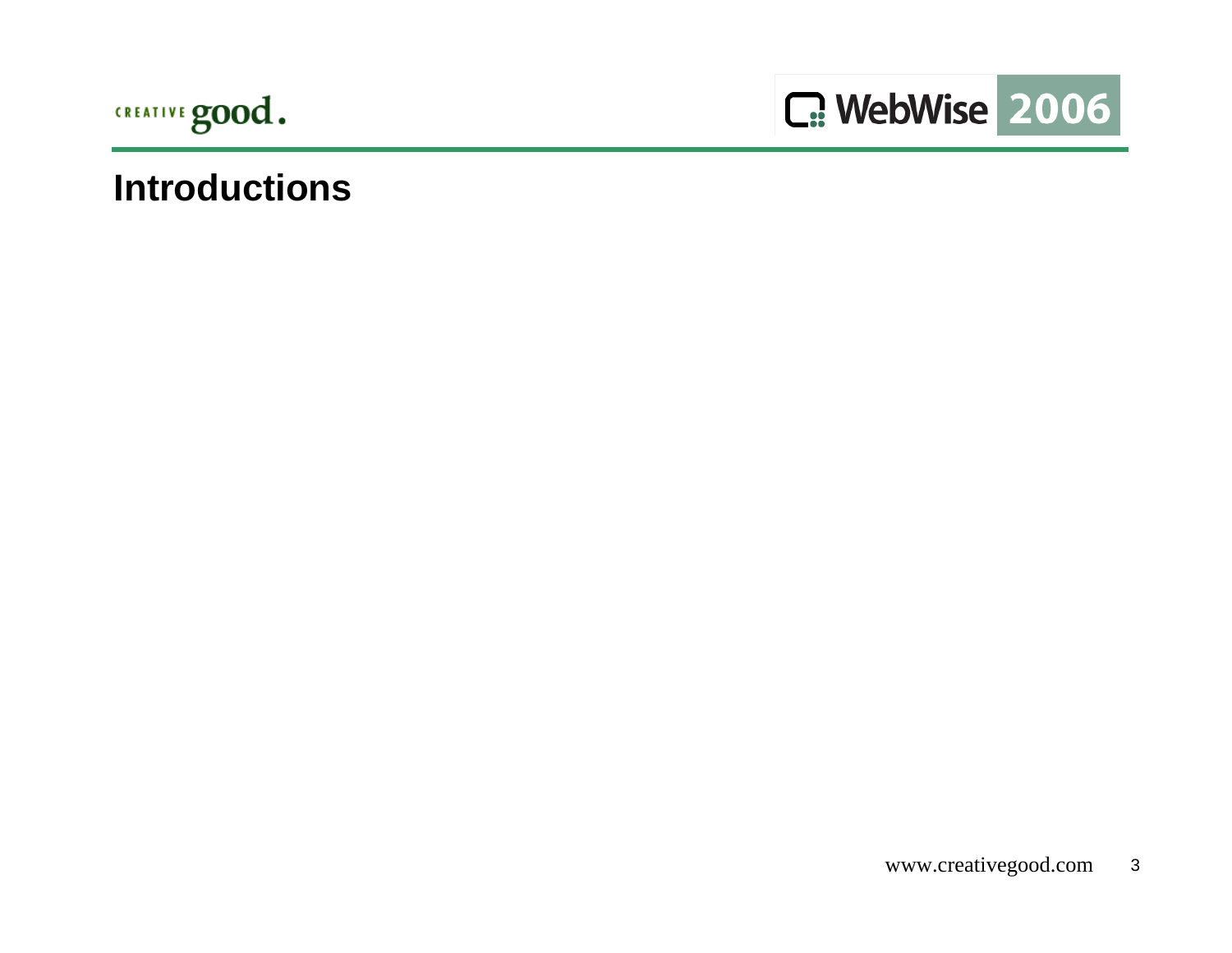



#### **Introductions**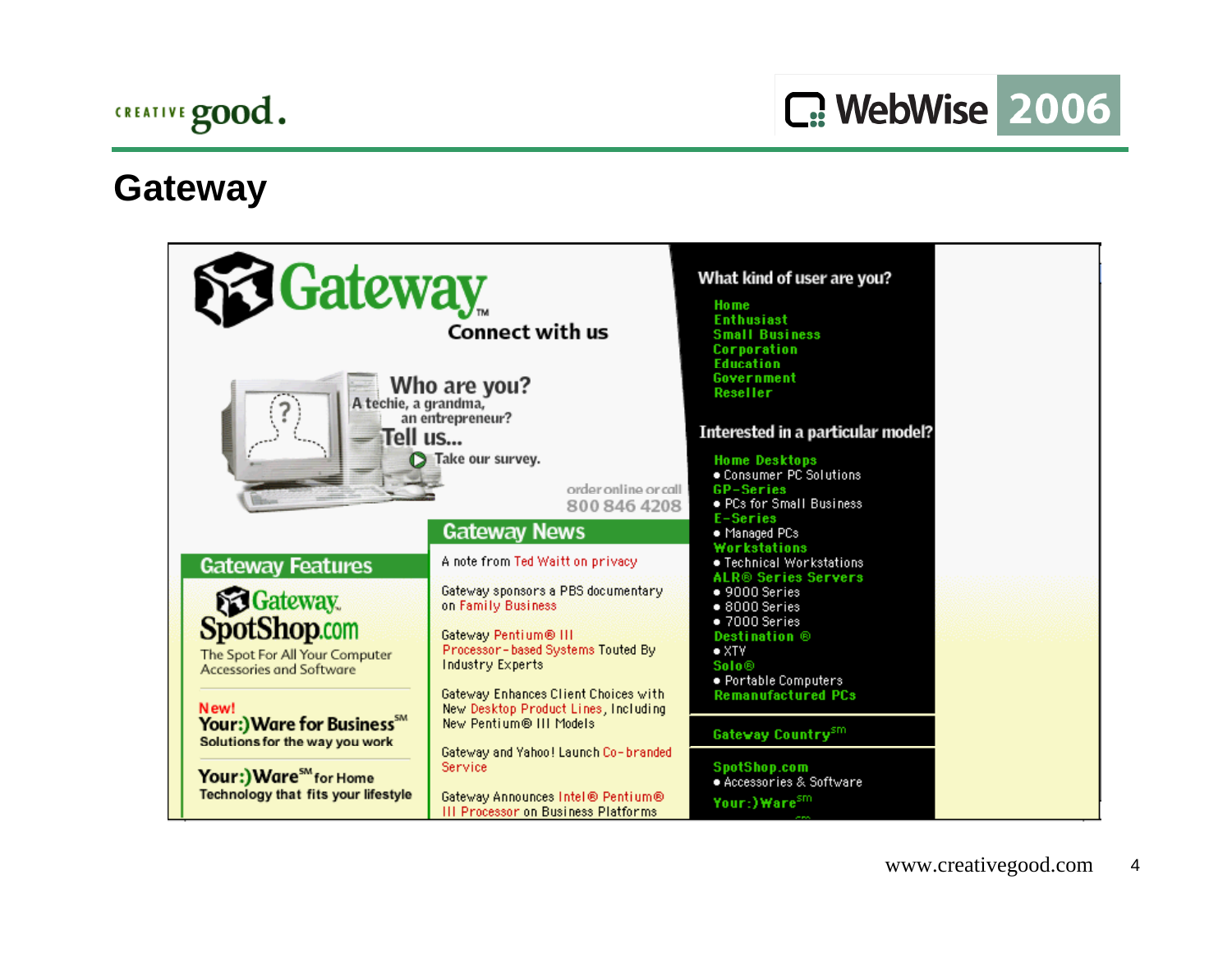

#### **Gateway**

| <b>SC Gateway</b><br>A techie, a grandma,<br>Tell us                                                                                                  | Connect with us<br>Who are you?<br>an entrepreneur?                                                                                                                                                                                                                                                                                              | What kind of user are you?<br>Ho me<br><b>Enthusiast</b><br><b>Small Business</b><br><b>Corporation</b><br><b>Education</b><br>Government<br>Reseller<br>Interested in a particular model?                                                                                                                                                                                                 |  |
|-------------------------------------------------------------------------------------------------------------------------------------------------------|--------------------------------------------------------------------------------------------------------------------------------------------------------------------------------------------------------------------------------------------------------------------------------------------------------------------------------------------------|--------------------------------------------------------------------------------------------------------------------------------------------------------------------------------------------------------------------------------------------------------------------------------------------------------------------------------------------------------------------------------------------|--|
| <b>Gateway Features</b><br><b>SG</b> Gateway.<br><b>SpotShop.com</b><br>The Spot For All Your Computer<br><b>Accessories and Software</b><br>New!     | Take our survey.<br>order online or call<br>800 846 4208<br><b>Gateway News</b><br>A note from Ted Waitt on privacy<br>Gateway sponsors a PBS documentary<br>on Family Business<br>Gateway Pentium® III<br>Processor-based Systems Touted By<br>Industry Experts<br>Gateway Enhances Client Choices with<br>New Desktop Product Lines, Including | <b>Home Desktops</b><br>. Consumer PC Solutions<br><b>GP-Series</b><br>• PCs for Small Business<br>E-Series<br>• Managed PCs<br>Workstations<br>• Technical Workstations<br><b>ALR<sup>®</sup> Series Servers</b><br>$\bullet$ 9000 Series<br>$\bullet$ 8000 Series<br>•7000 Series<br><b>Destination</b> ®<br>$\bullet$ XTV<br>Solo®<br>· Portable Computers<br><b>Remanufactured PCs</b> |  |
| Your:) Ware for Business <sup>5M</sup><br>Solutions for the way you work<br>Your:) Ware <sup>5M</sup> for Home<br>Technology that fits your lifestyle | New Pentium® III Models<br>Gateway and Yahoo! Launch Co-branded<br>Service<br>Gateway Announces Intel® Pentium®<br>III Processor on Business Platforms                                                                                                                                                                                           | Gateway Country <sup>sm</sup><br>SpotShop.com<br>· Accessories & Software<br>Your:)Ware <sup>sm</sup>                                                                                                                                                                                                                                                                                      |  |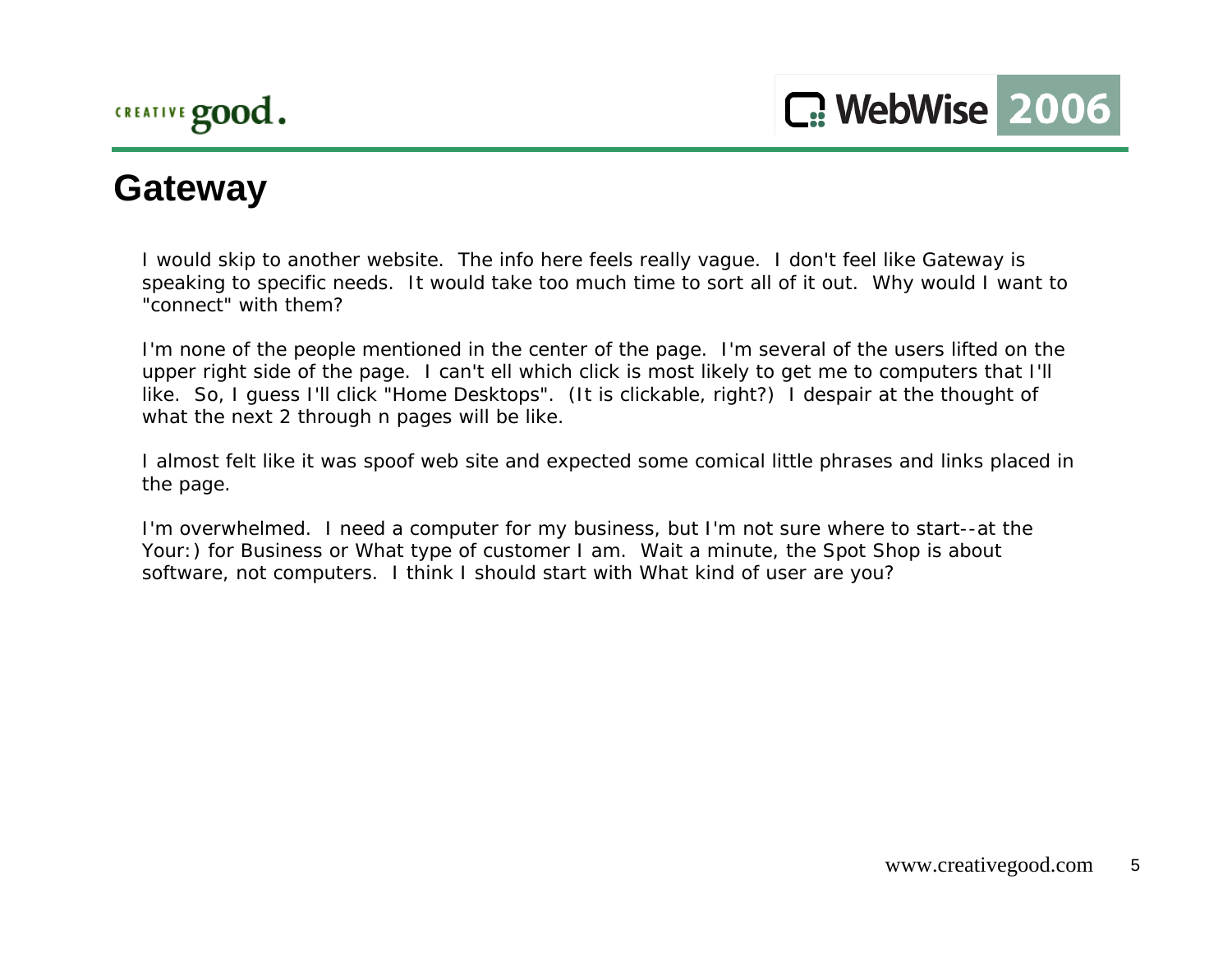## **Gateway**

I would skip to another website. The info here feels really vague. I don't feel like Gateway is speaking to specific needs. It would take too much time to sort all of it out. Why would I want to "connect" with them?

I'm none of the people mentioned in the center of the page. I'm several of the users lifted on the upper right side of the page. I can't ell which click is most likely to get me to computers that I'll like. So, I guess I'll click "Home Desktops". (It is clickable, right?) I despair at the thought of what the next 2 through n pages will be like.

I almost felt like it was spoof web site and expected some comical little phrases and links placed in the page.

I'm overwhelmed. I need a computer for my business, but I'm not sure where to start--at the Your:) for Business or What type of customer I am. Wait a minute, the Spot Shop is about software, not computers. I think I should start with What kind of user are you?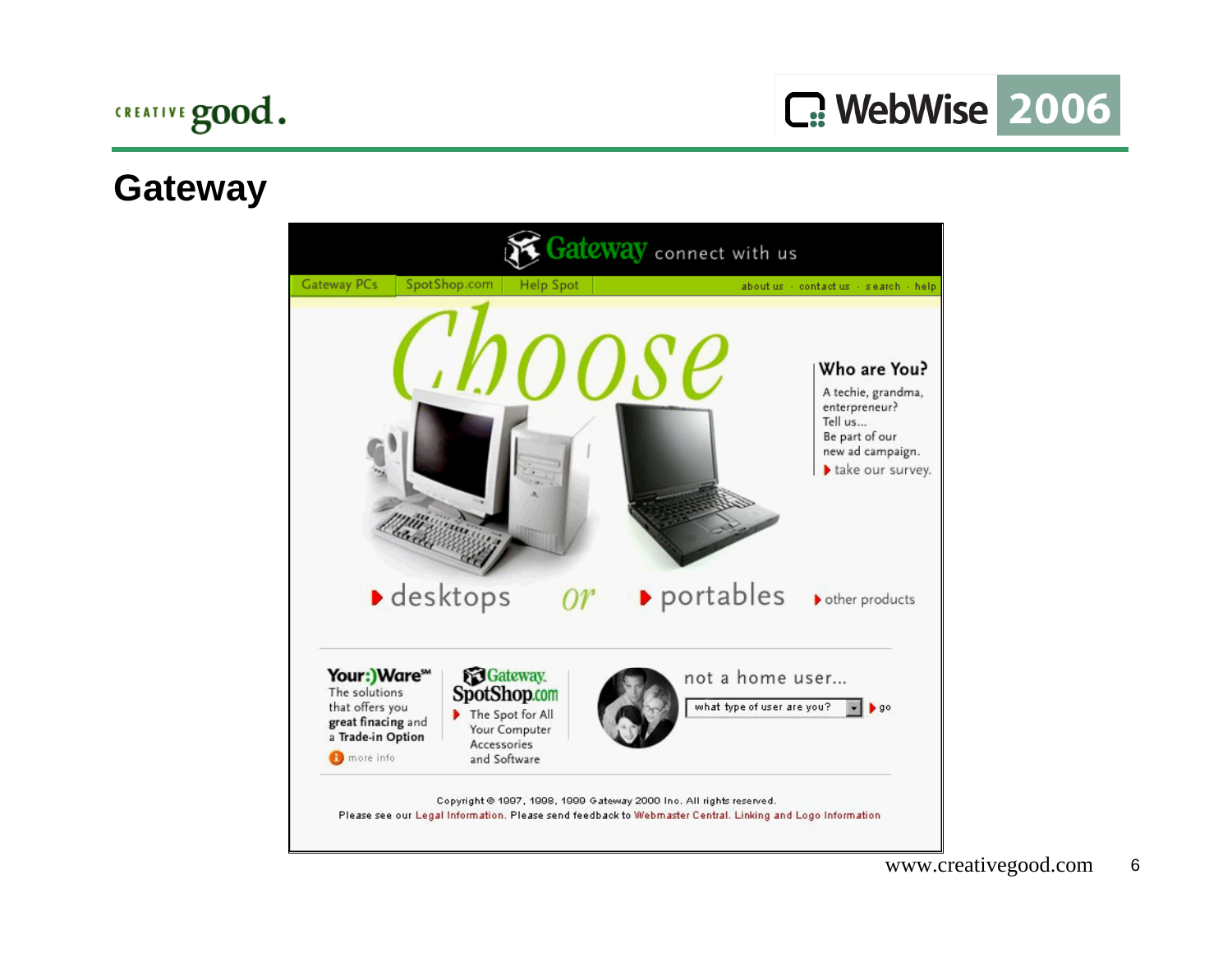#### **Gateway**

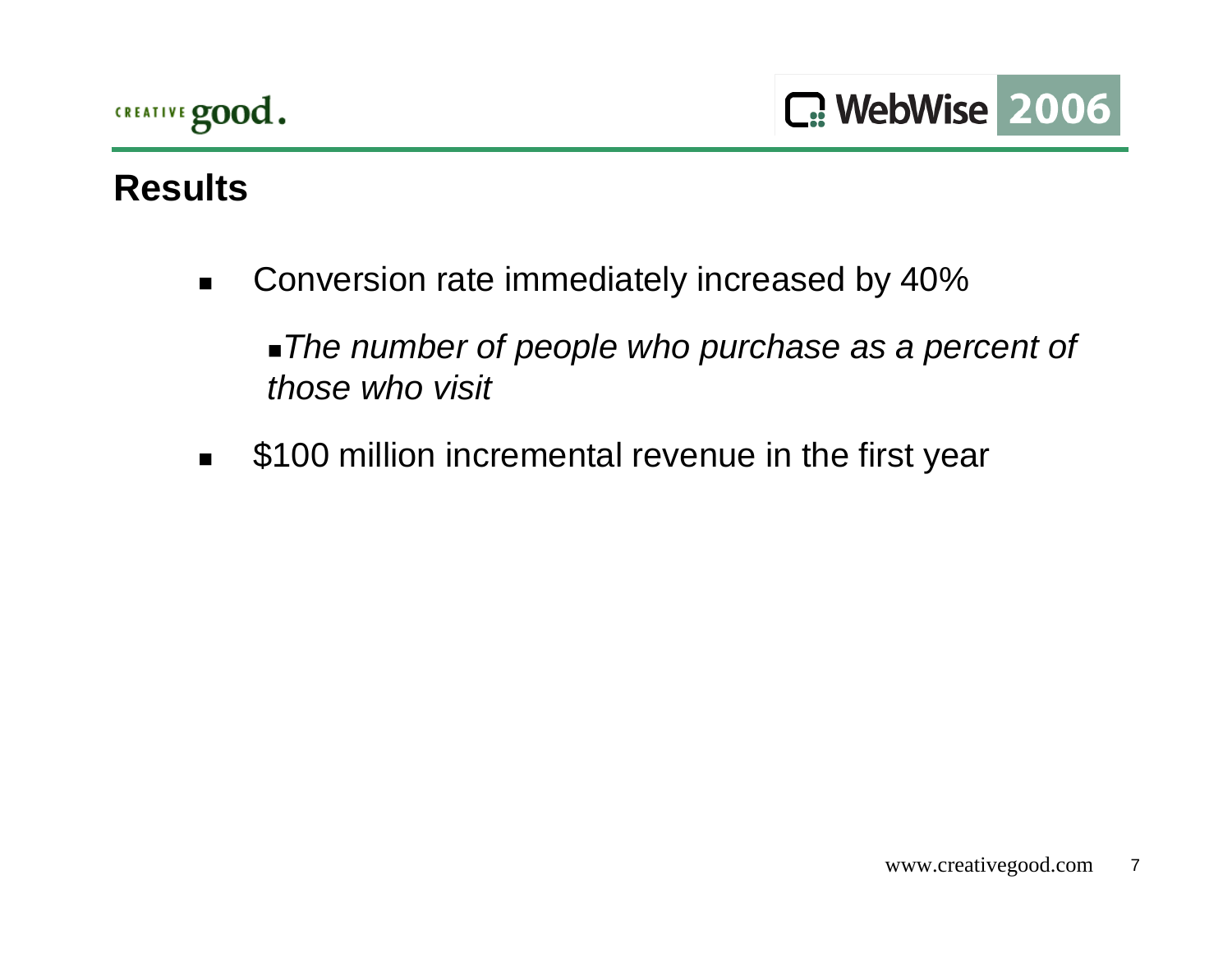## **Results**

 $\blacksquare$ Conversion rate immediately increased by 40%

*The number of people who purchase as a percent of those who visit*

 $\blacksquare$ \$100 million incremental revenue in the first year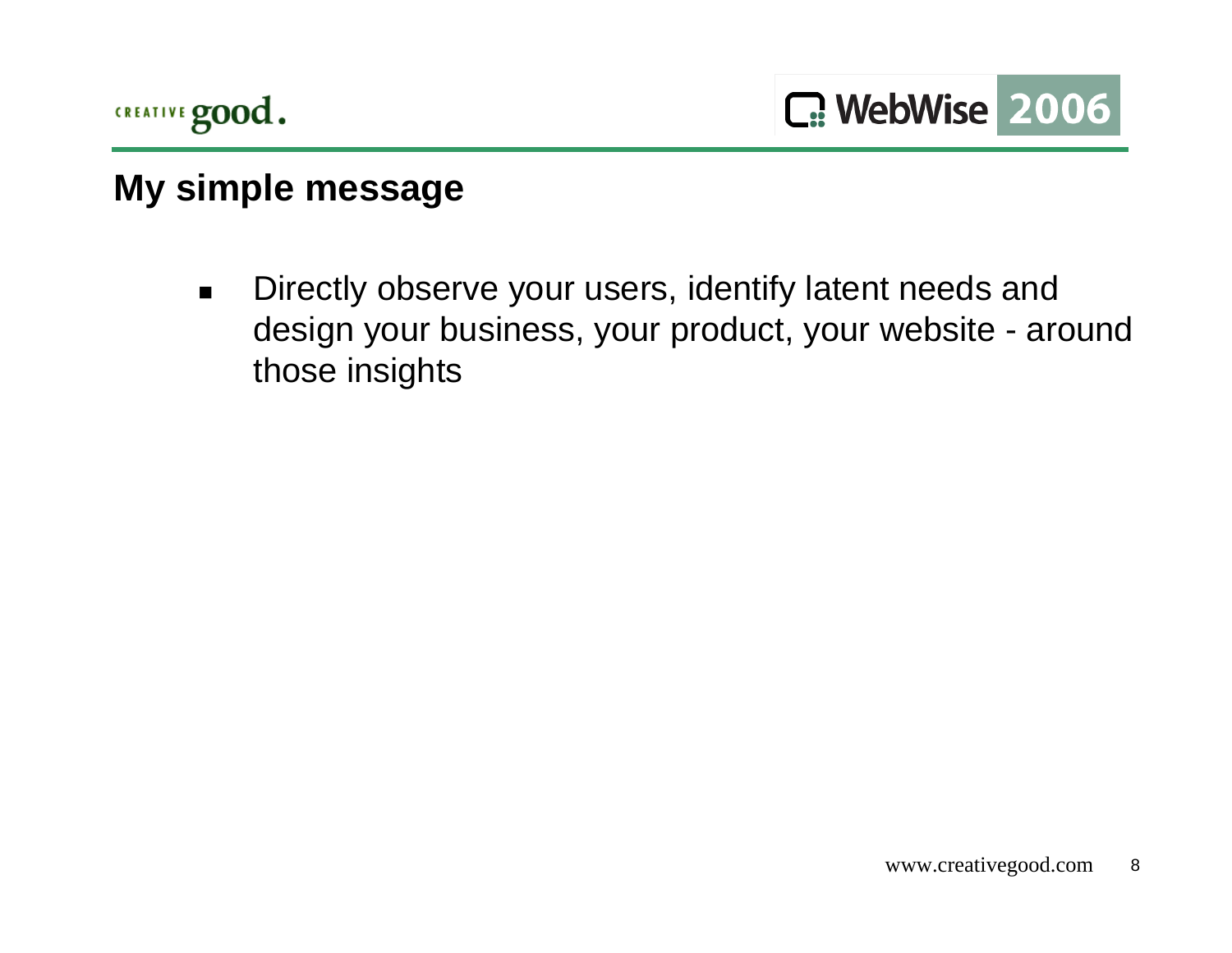

## **My simple message**

 $\blacksquare$  Directly observe your users, identify latent needs and design your business, your product, your website - around those insights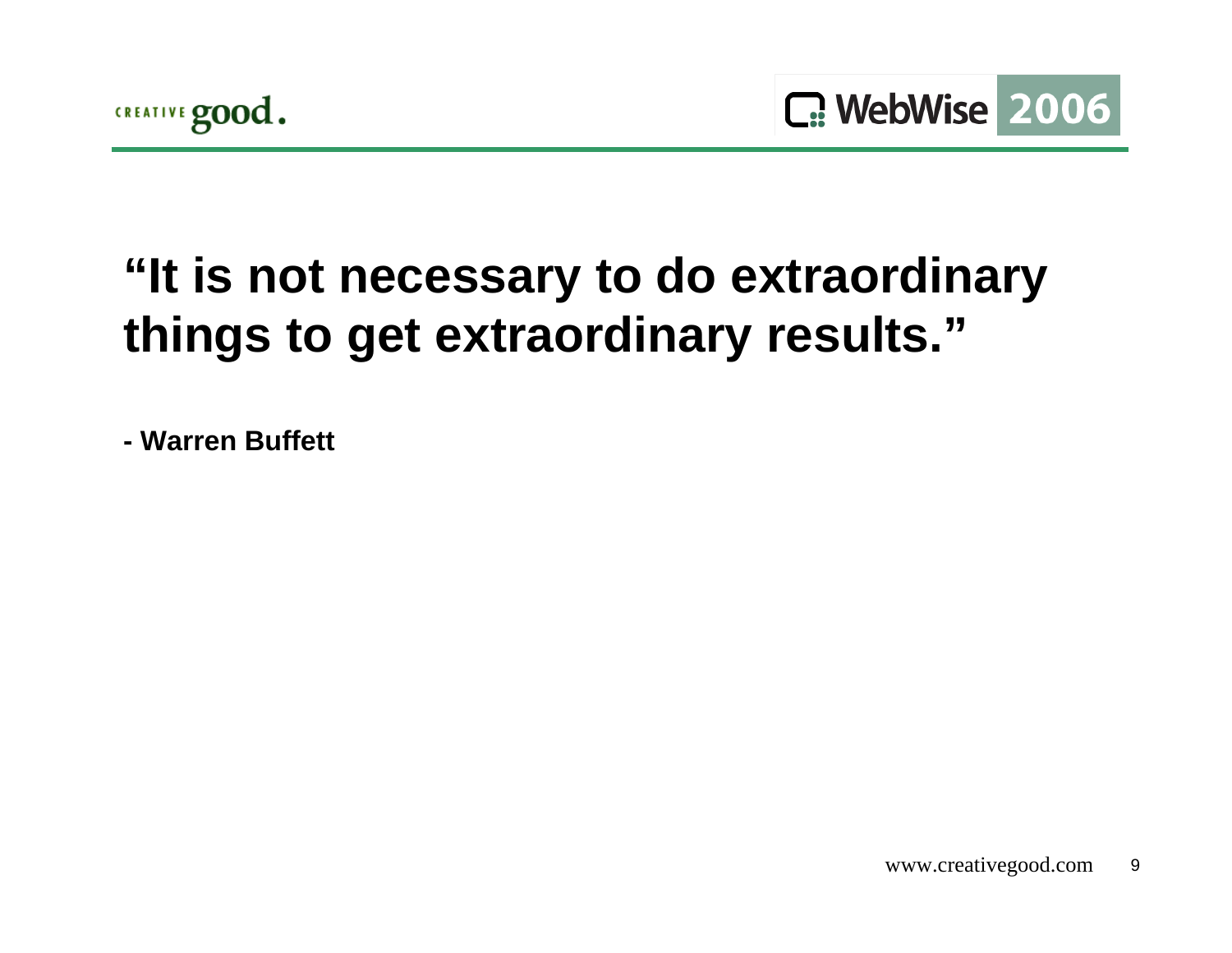

# **"It is not necessary to do extraordinary things to get extraordinary results."**

**- Warren Buffett**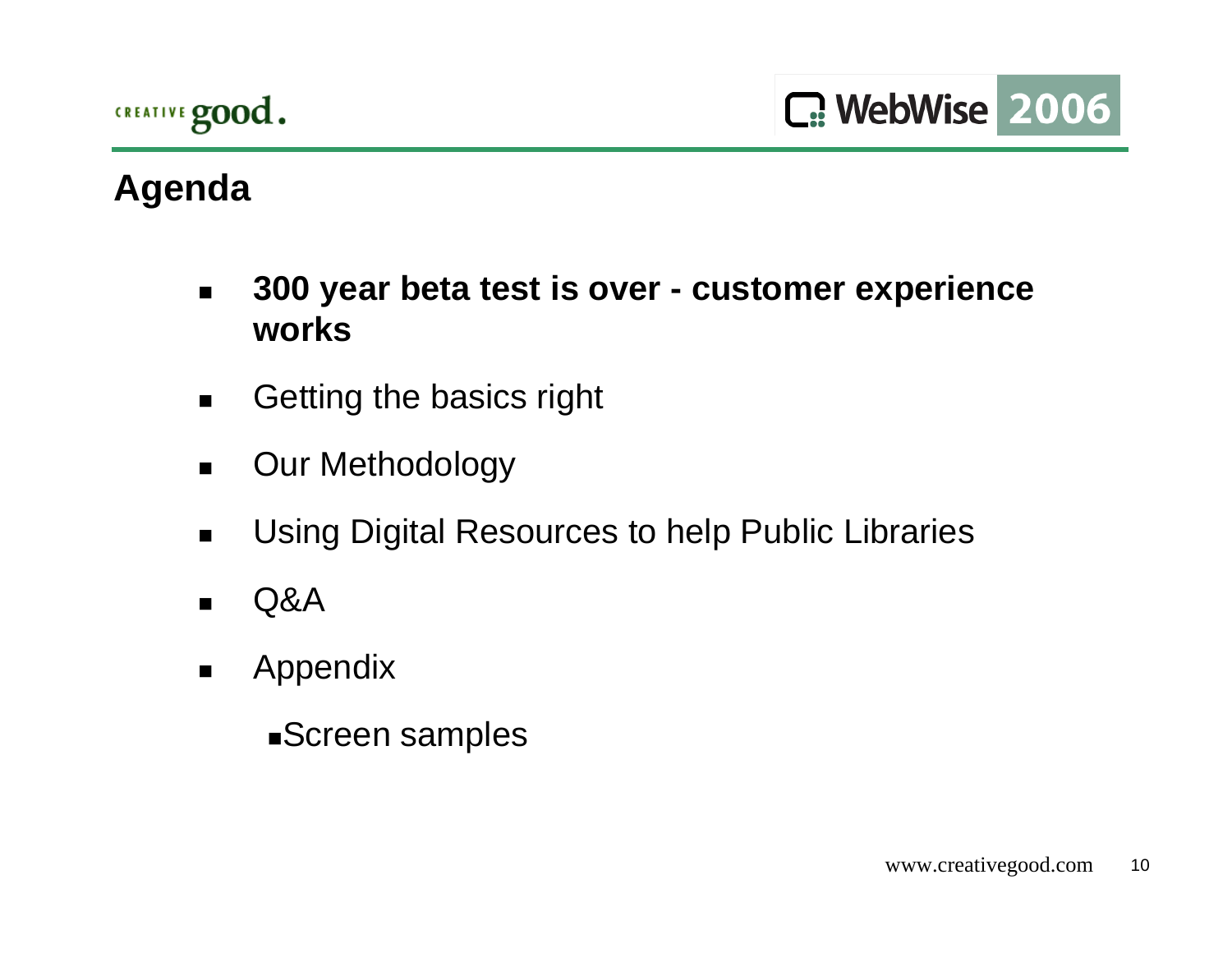

# **Agenda**

- $\blacksquare$  **300 year beta test is over - customer experience works**
- $\blacksquare$ Getting the basics right
- $\blacksquare$ Our Methodology
- $\blacksquare$ Using Digital Resources to help Public Libraries
- $\blacksquare$ Q&A
- $\blacksquare$  Appendix
	- Screen samples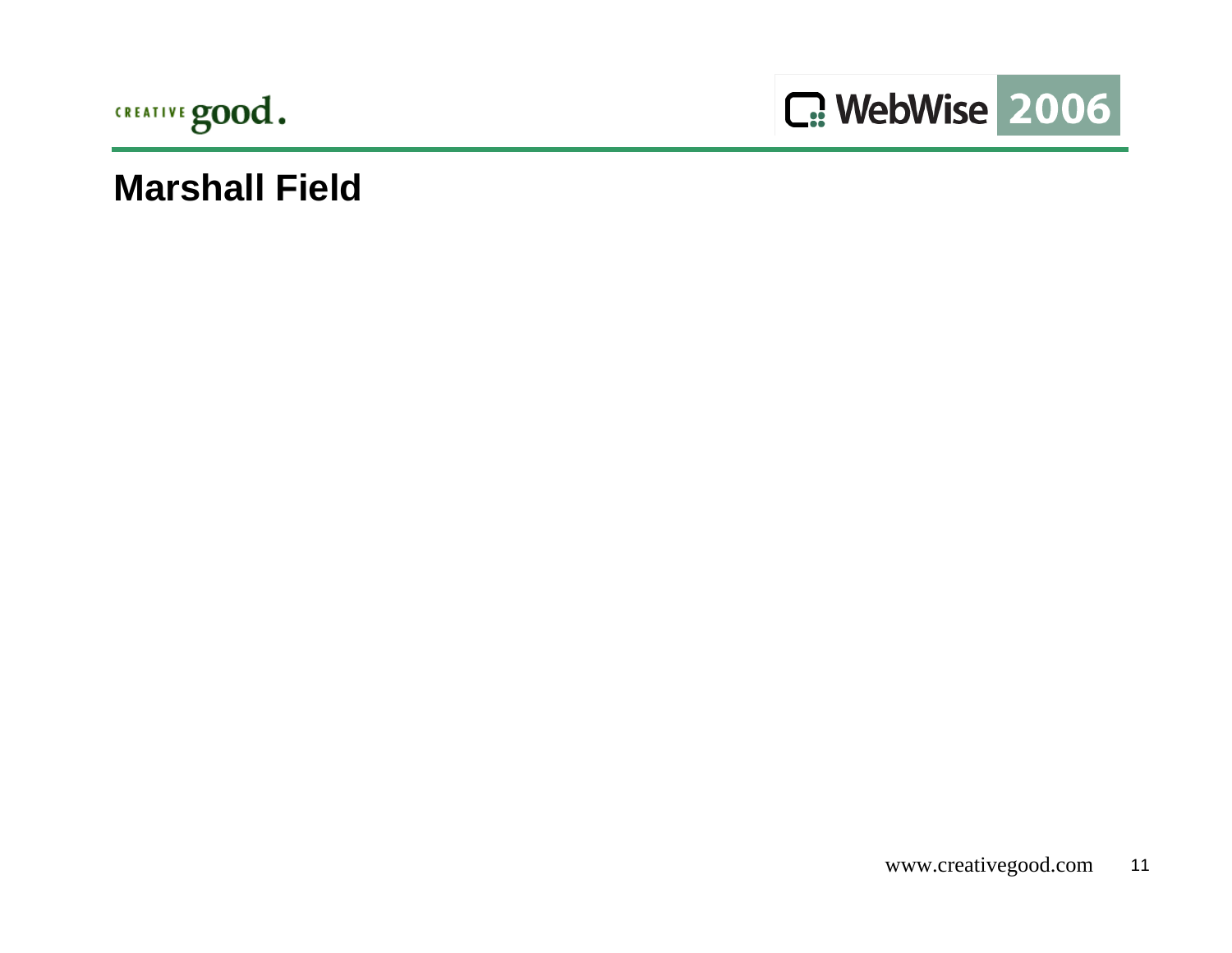



#### **Marshall Field**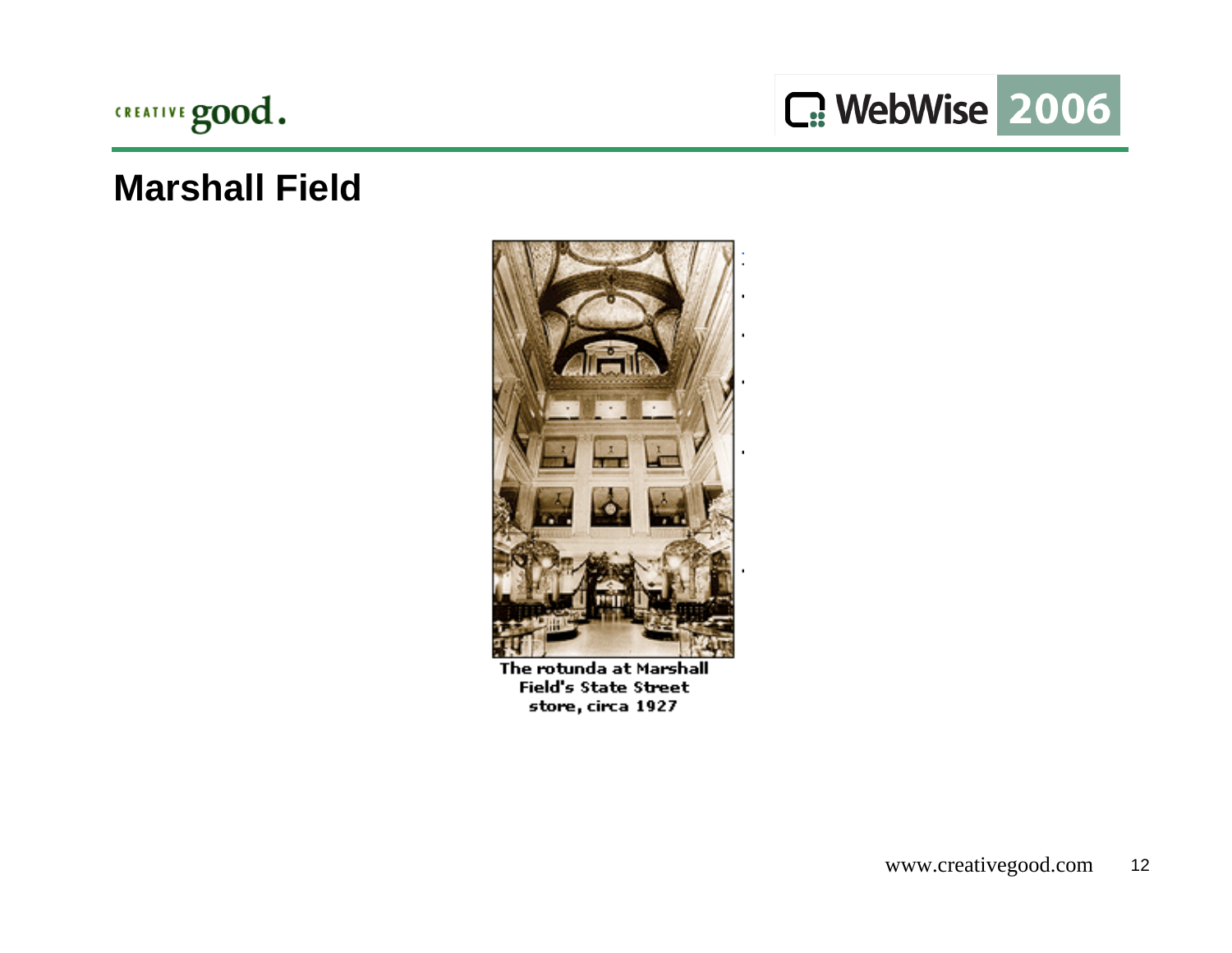

C: WebWise 2006

#### **Marshall Field**



The rotunda at Marshall **Field's State Street** store, circa 1927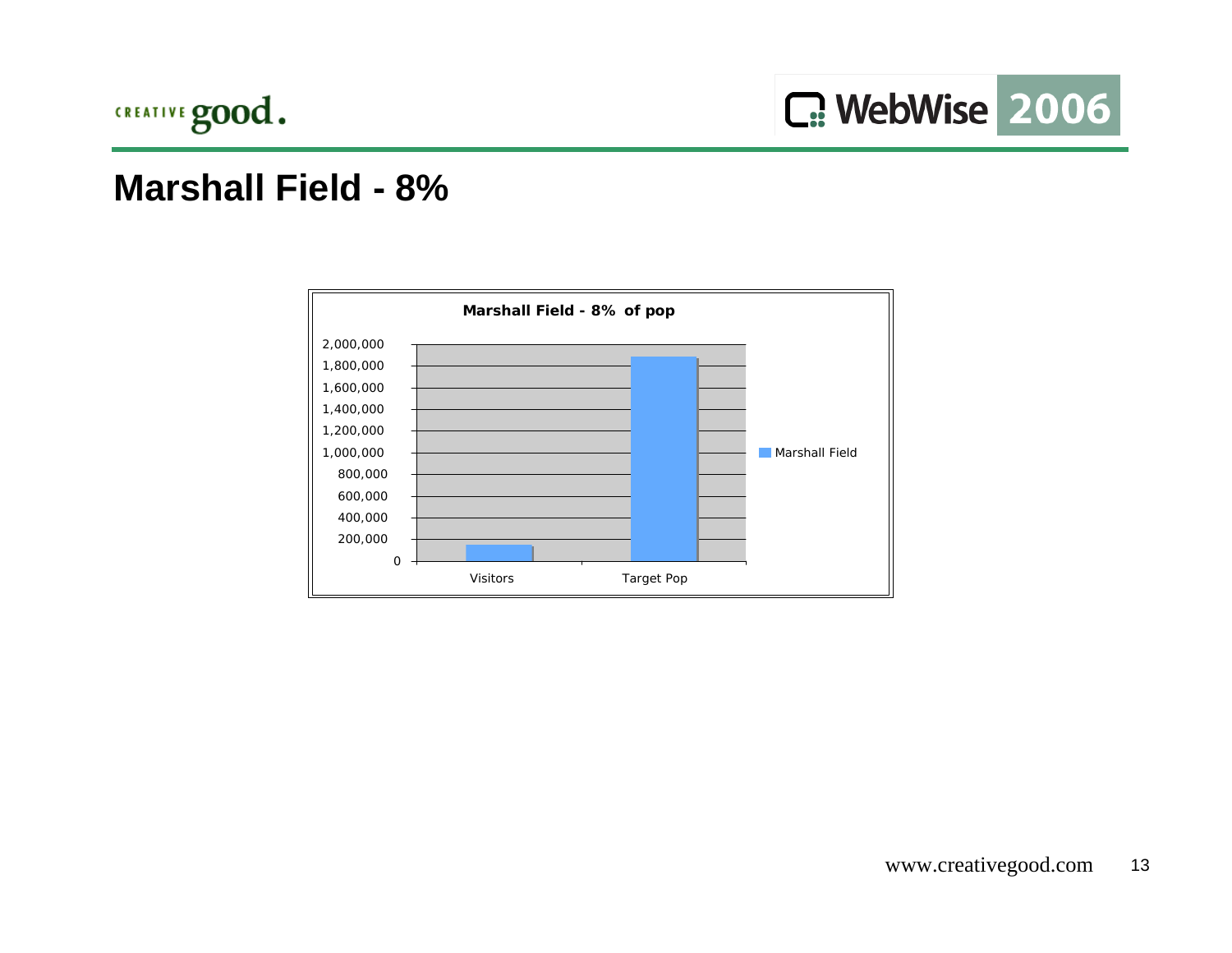

#### **Marshall Field - 8%**

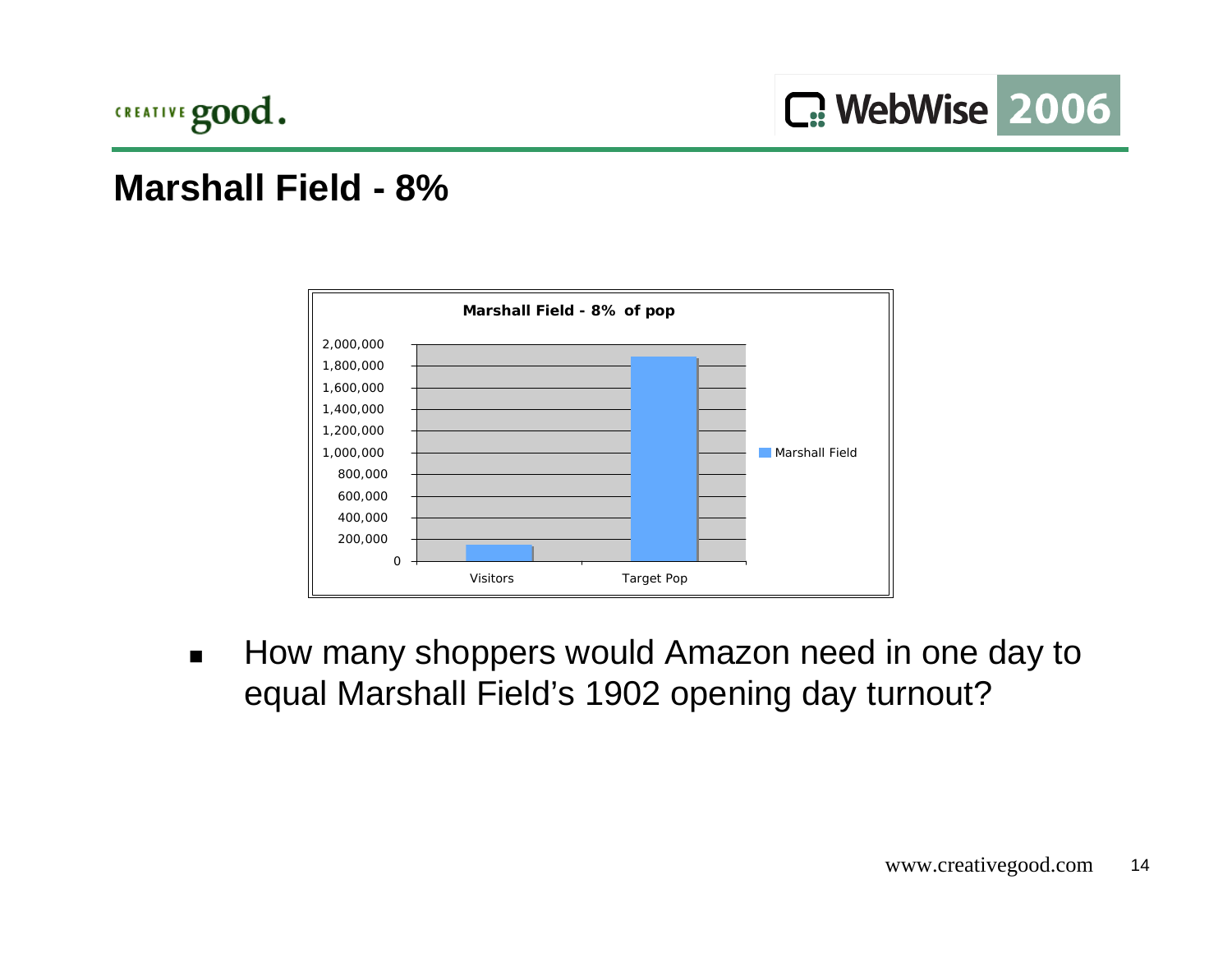

#### **Marshall Field - 8%**



 $\blacksquare$  How many shoppers would Amazon need in one day to equal Marshall Field's 1902 opening day turnout?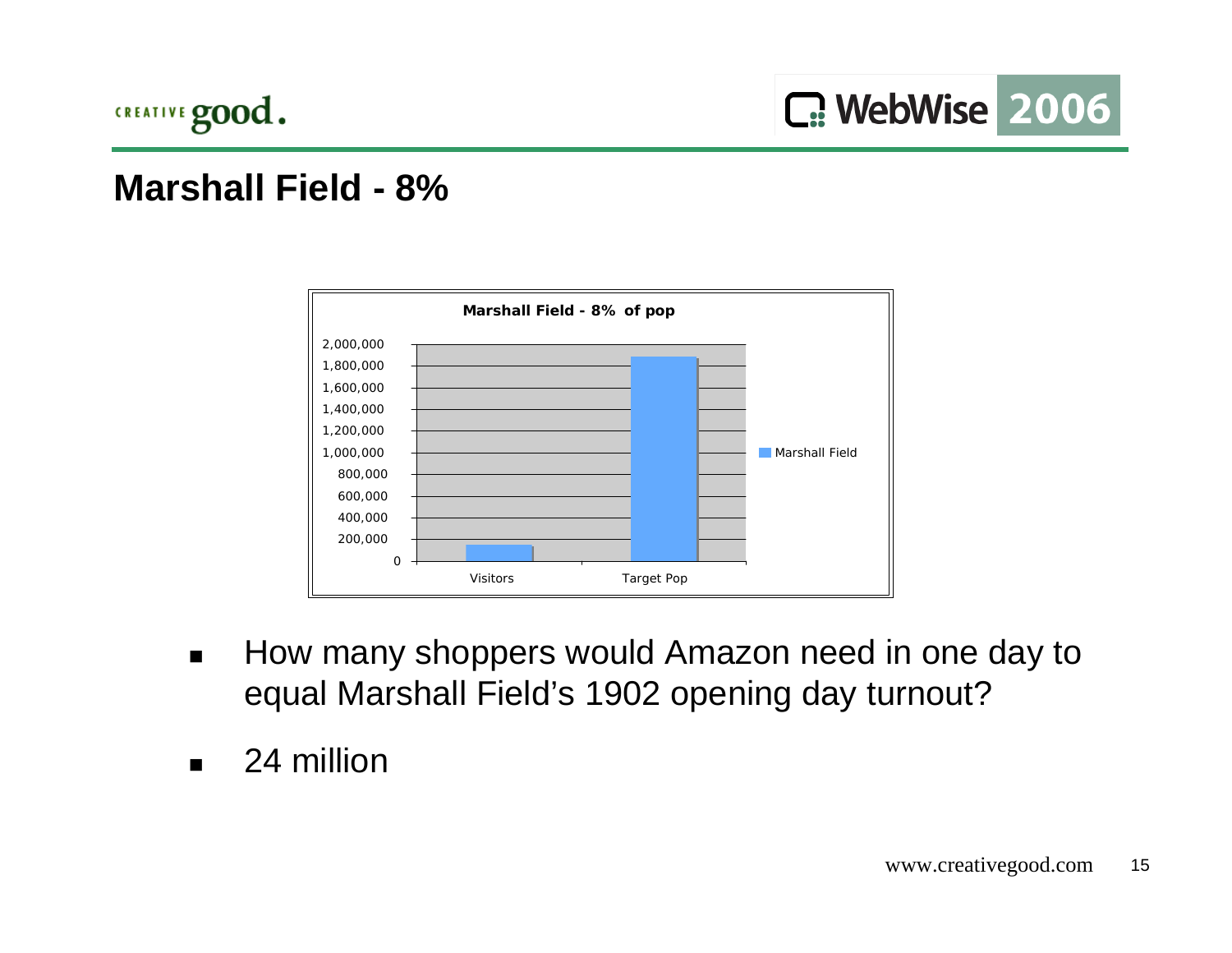

#### **Marshall Field - 8%**



- $\blacksquare$  How many shoppers would Amazon need in one day to equal Marshall Field's 1902 opening day turnout?
- $\blacksquare$ 24 million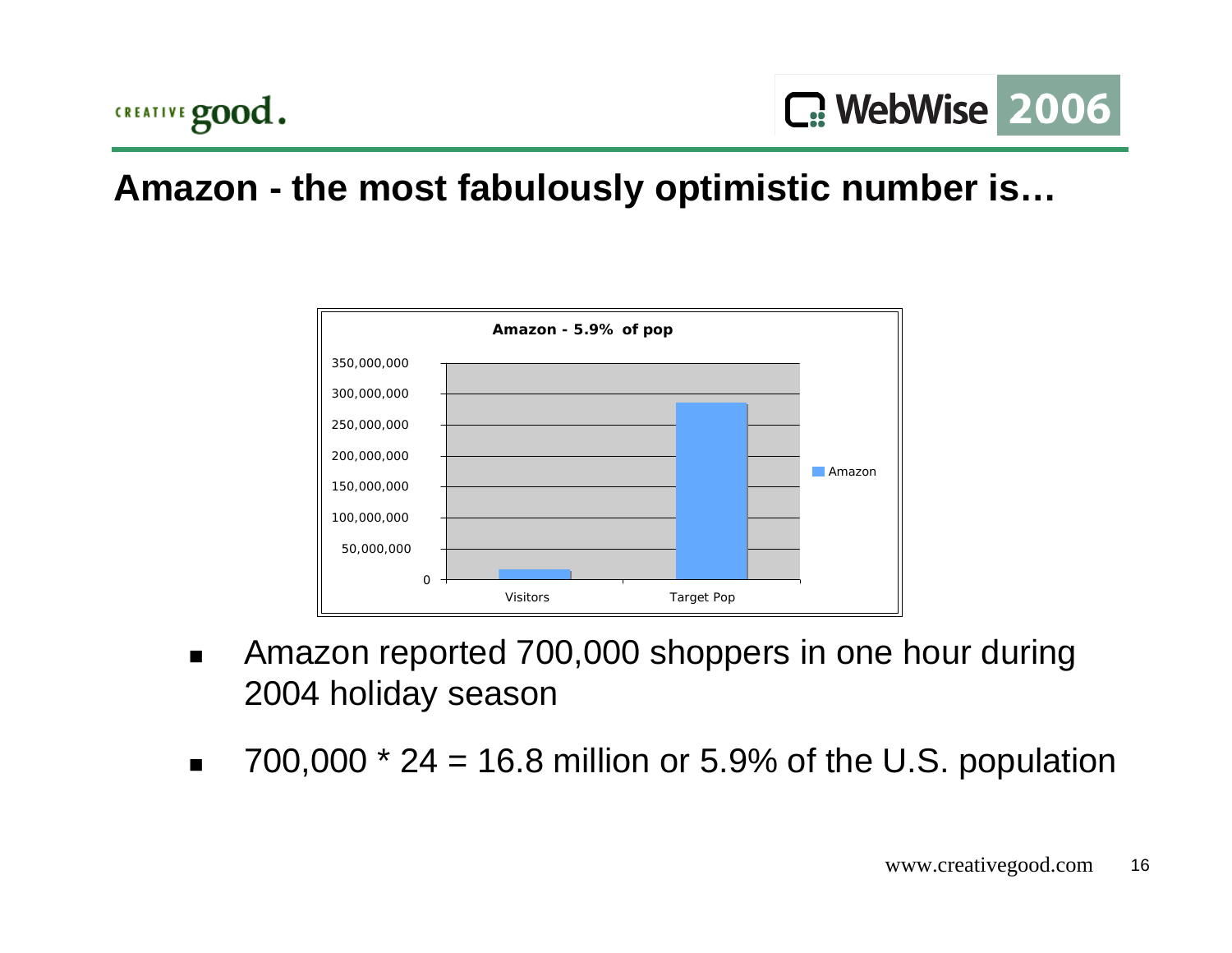

## **Amazon - the most fabulously optimistic number is…**



- $\blacksquare$  Amazon reported 700,000 shoppers in one hour during 2004 holiday season
- $\blacksquare$ 700,000  $*$  24 = 16.8 million or 5.9% of the U.S. population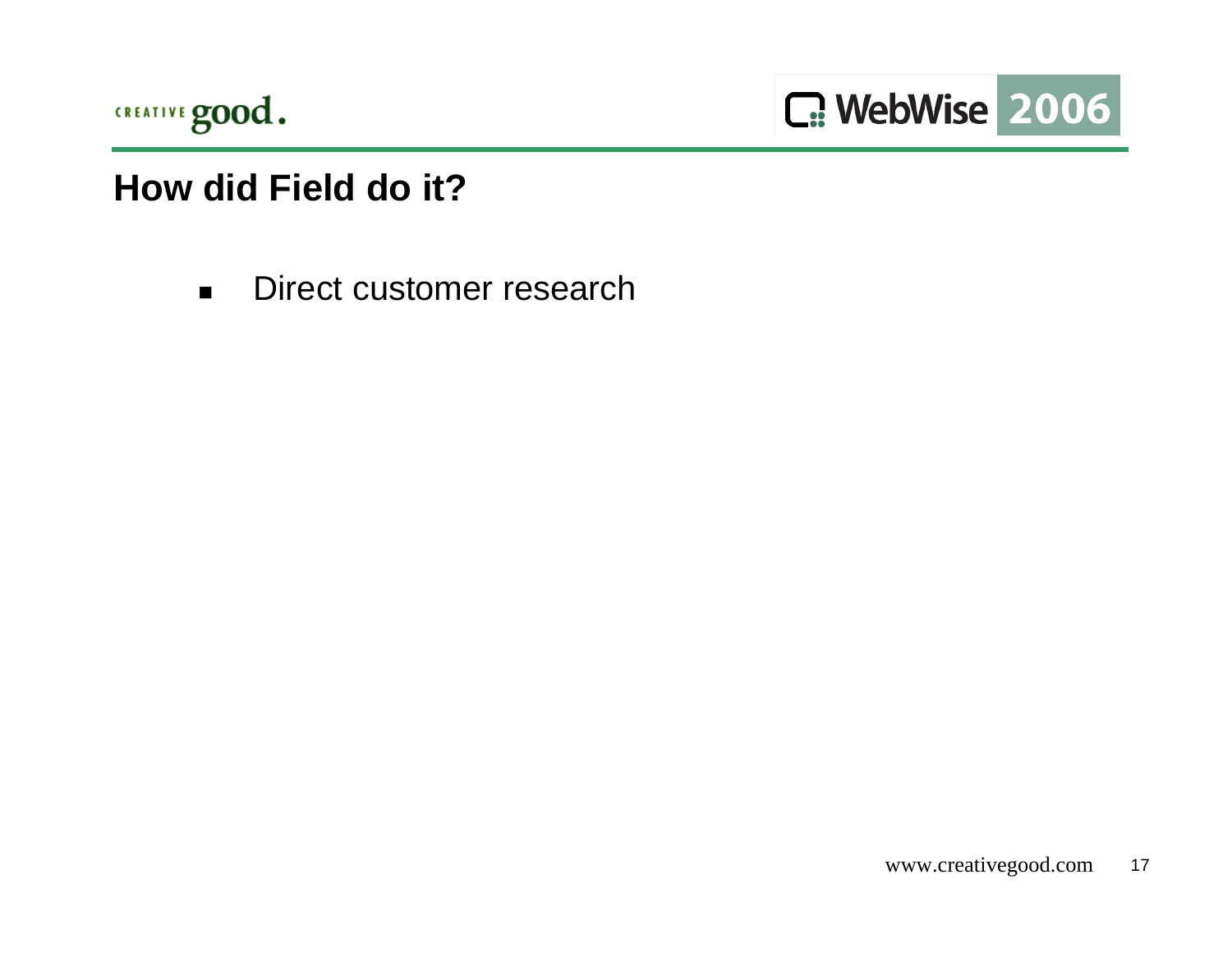

C: WebWise 2006

## **How did Field do it?**

 $\blacksquare$ Direct customer research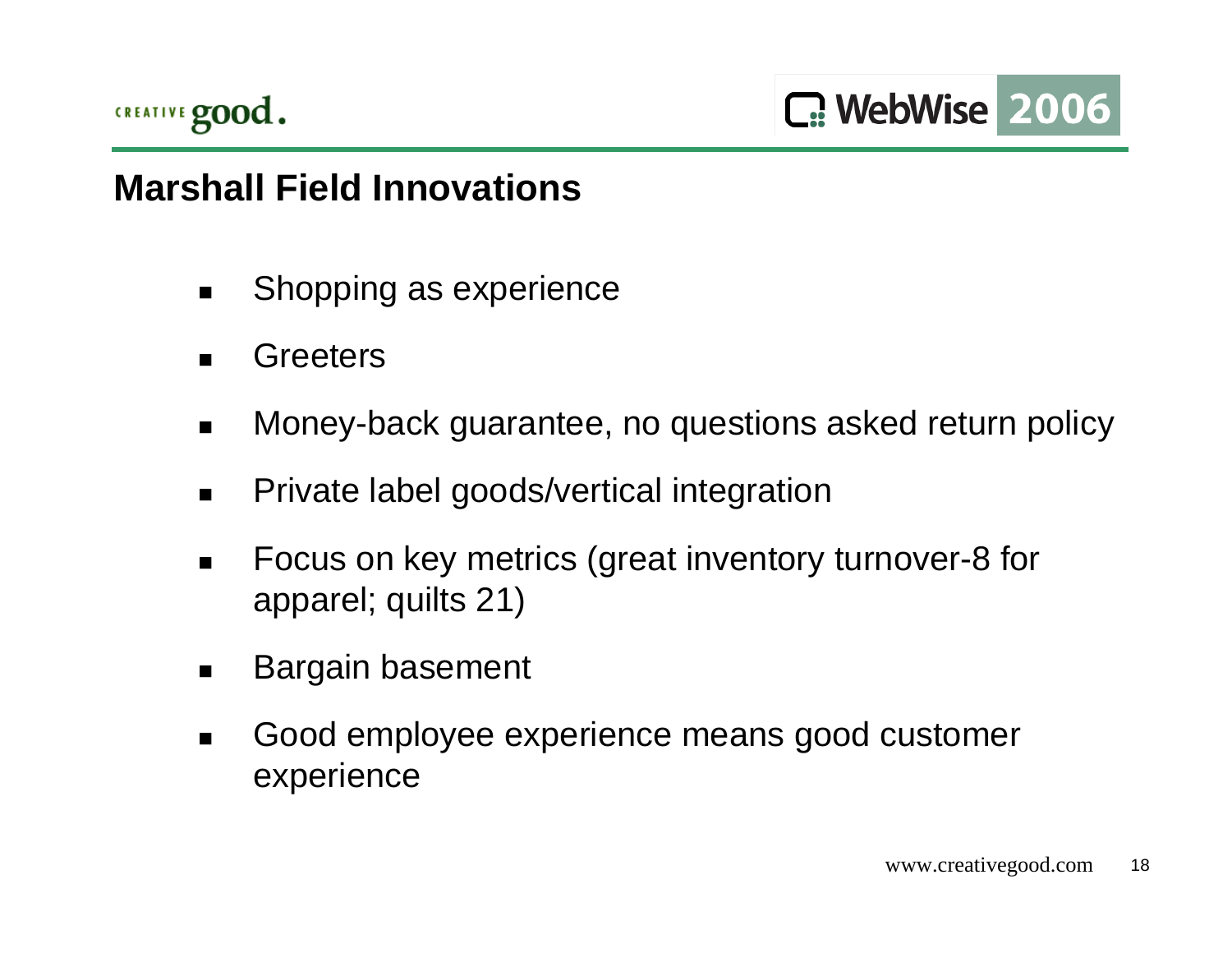

## **Marshall Field Innovations**

- $\blacksquare$ Shopping as experience
- ▉ **Greeters**
- $\blacksquare$ Money-back guarantee, no questions asked return policy
- $\blacksquare$ Private label goods/vertical integration
- $\blacksquare$  Focus on key metrics (great inventory turnover-8 for apparel; quilts 21)
- $\blacksquare$ Bargain basement
- ▉ Good employee experience means good customer experience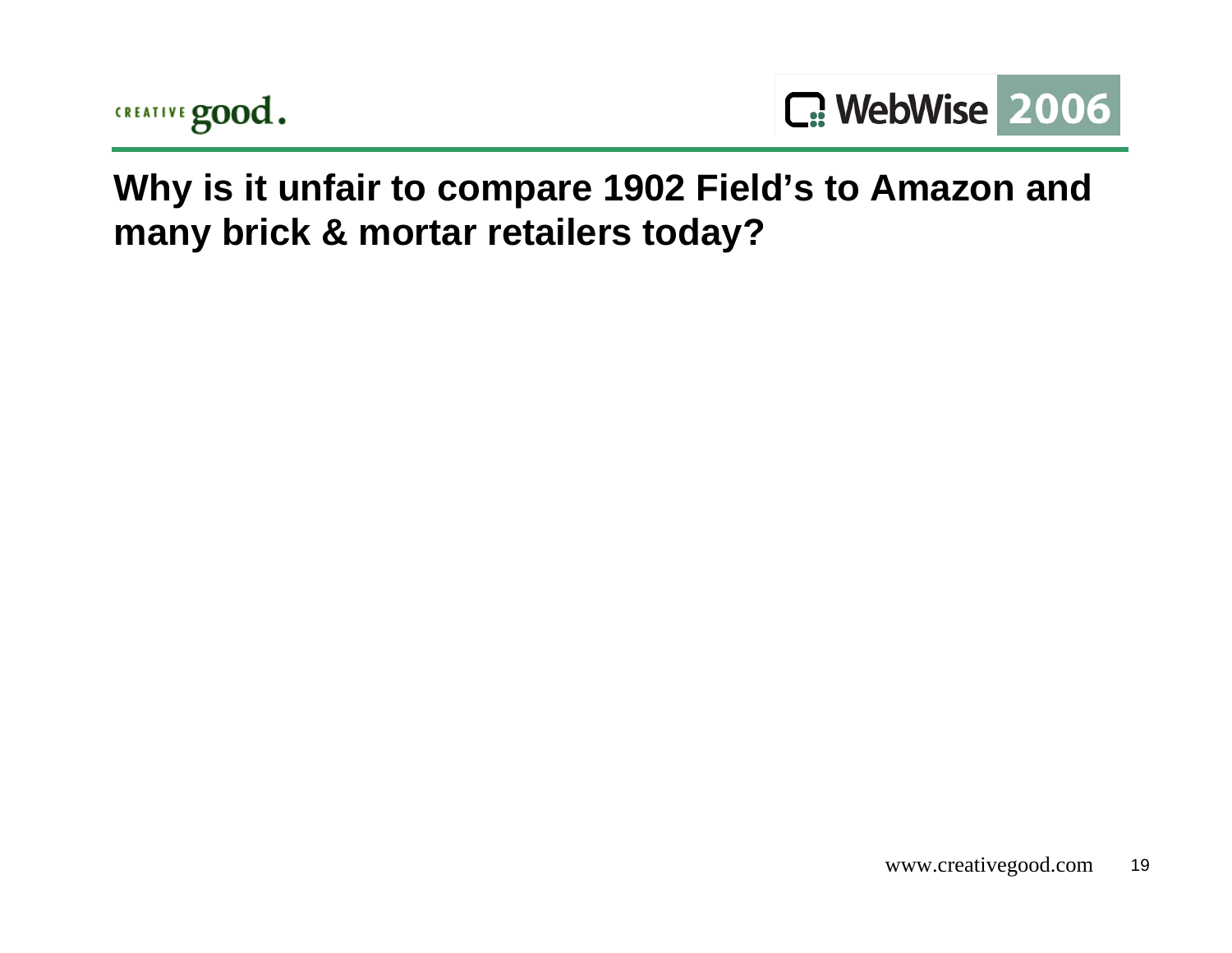



**Why is it unfair to compare 1902 Field's to Amazon and many brick & mortar retailers today?**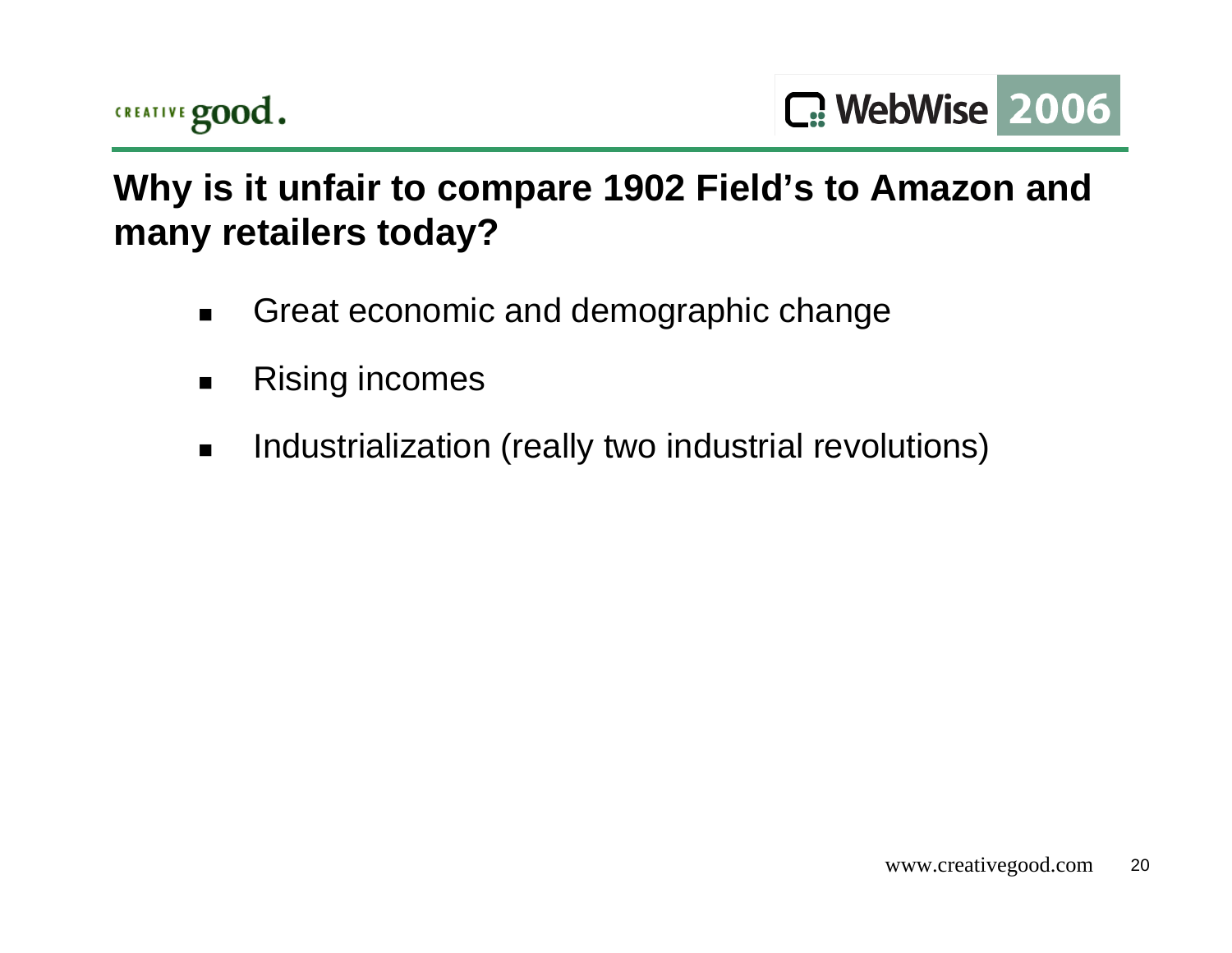

C. WebWise 2006

# **Why is it unfair to compare 1902 Field's to Amazon and many retailers today?**

- $\blacksquare$ Great economic and demographic change
- $\blacksquare$ Rising incomes
- $\blacksquare$ Industrialization (really two industrial revolutions)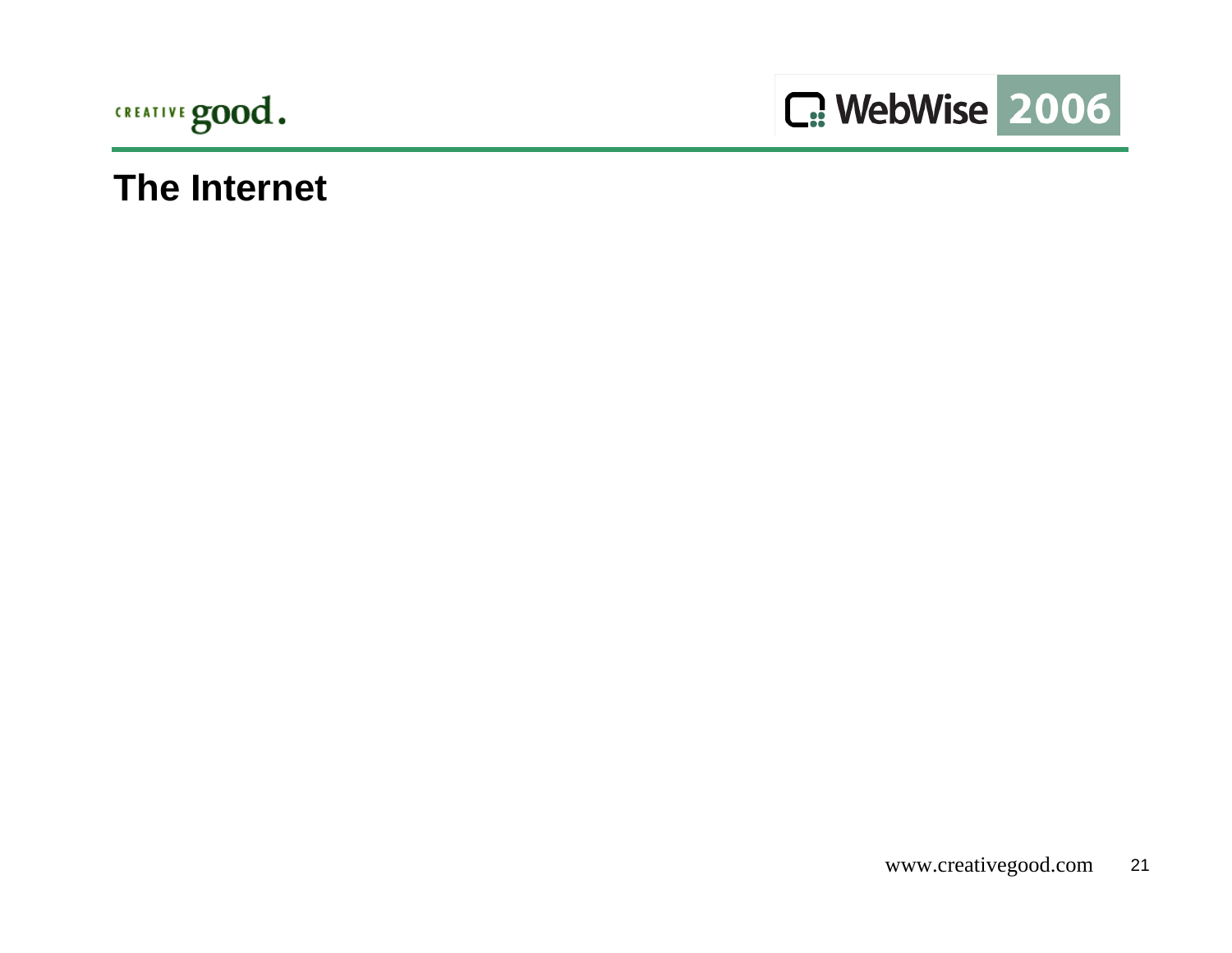



#### **The Internet**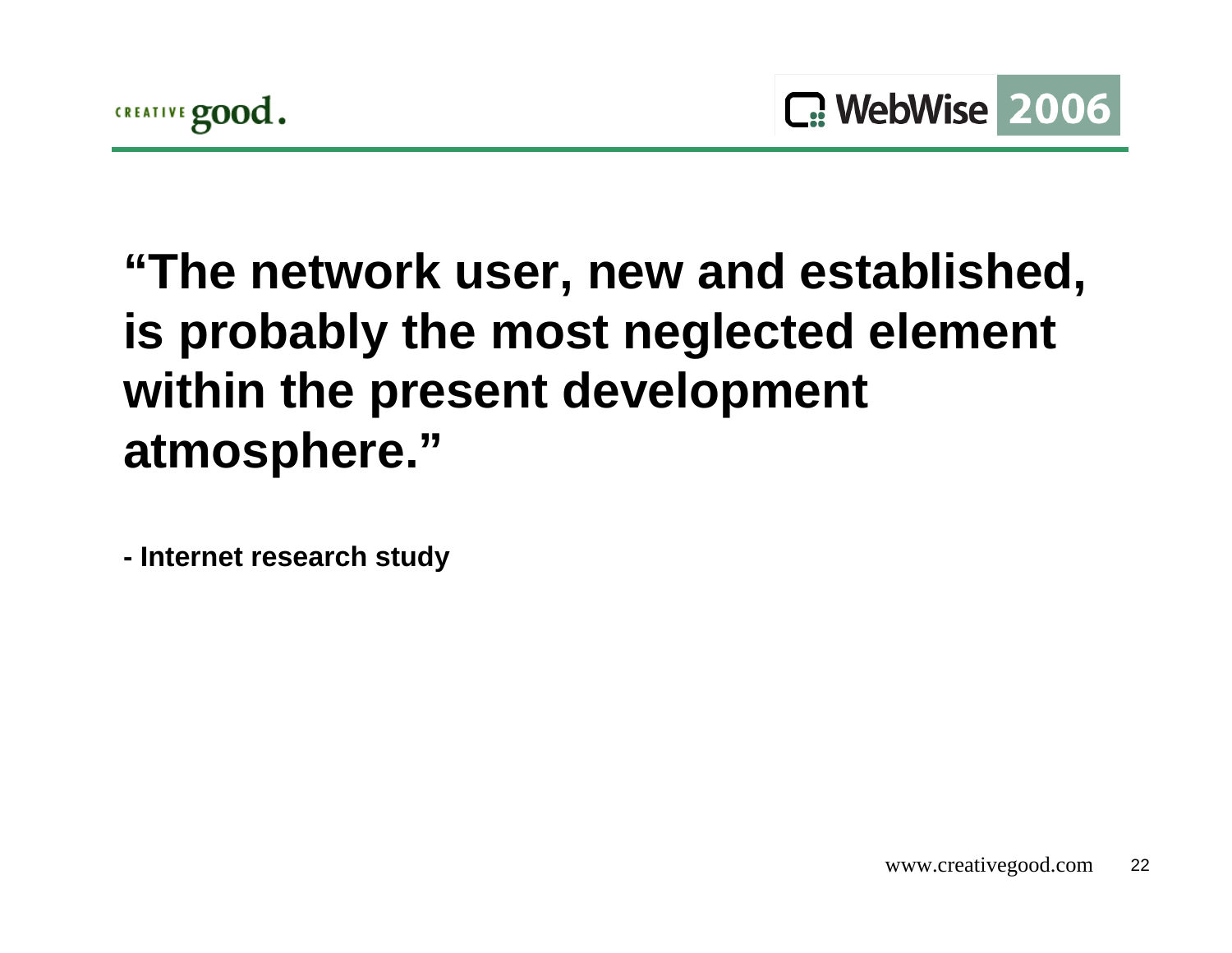# **"The network user, new and established, is probably the most neglected element within the present development atmosphere."**

**- Internet research study**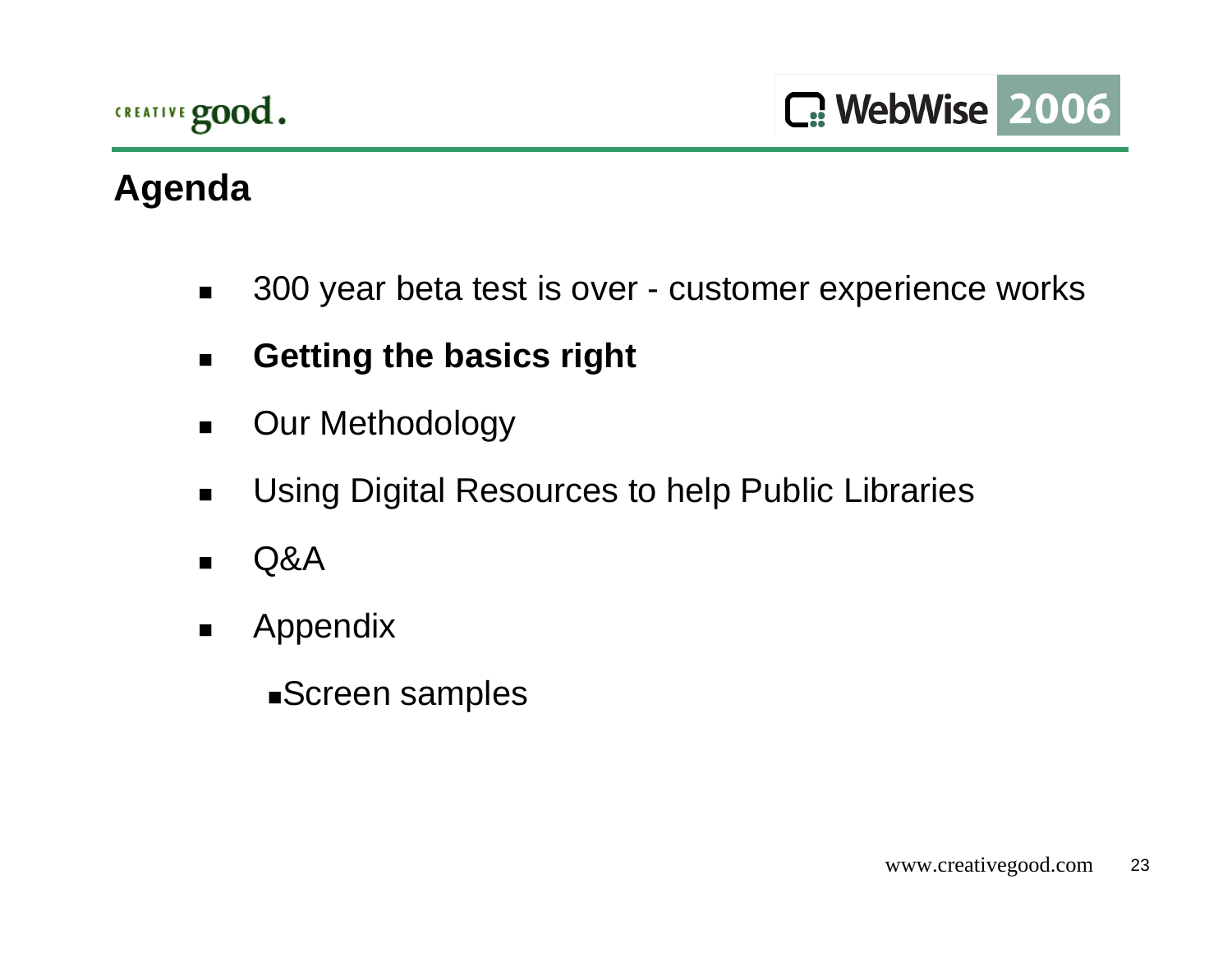# **Agenda**

- $\blacksquare$ 300 year beta test is over - customer experience works
- $\blacksquare$ **Getting the basics right**
- $\blacksquare$ Our Methodology
- $\blacksquare$ Using Digital Resources to help Public Libraries
- $\blacksquare$ Q&A
- $\blacksquare$  Appendix
	- Screen samples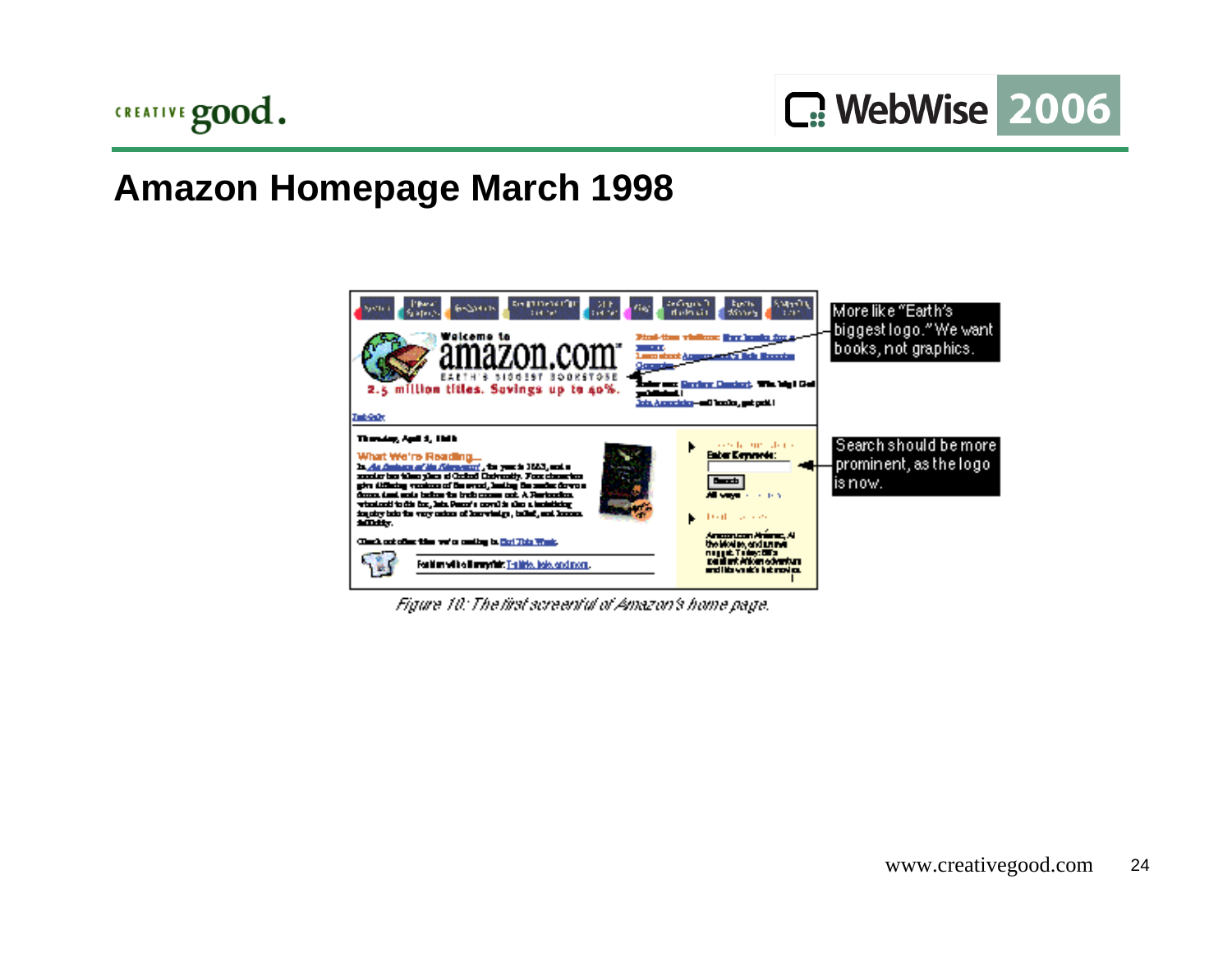

### **Amazon Homepage March 1998**



Figure 10: The first screenful of Amazon's home page.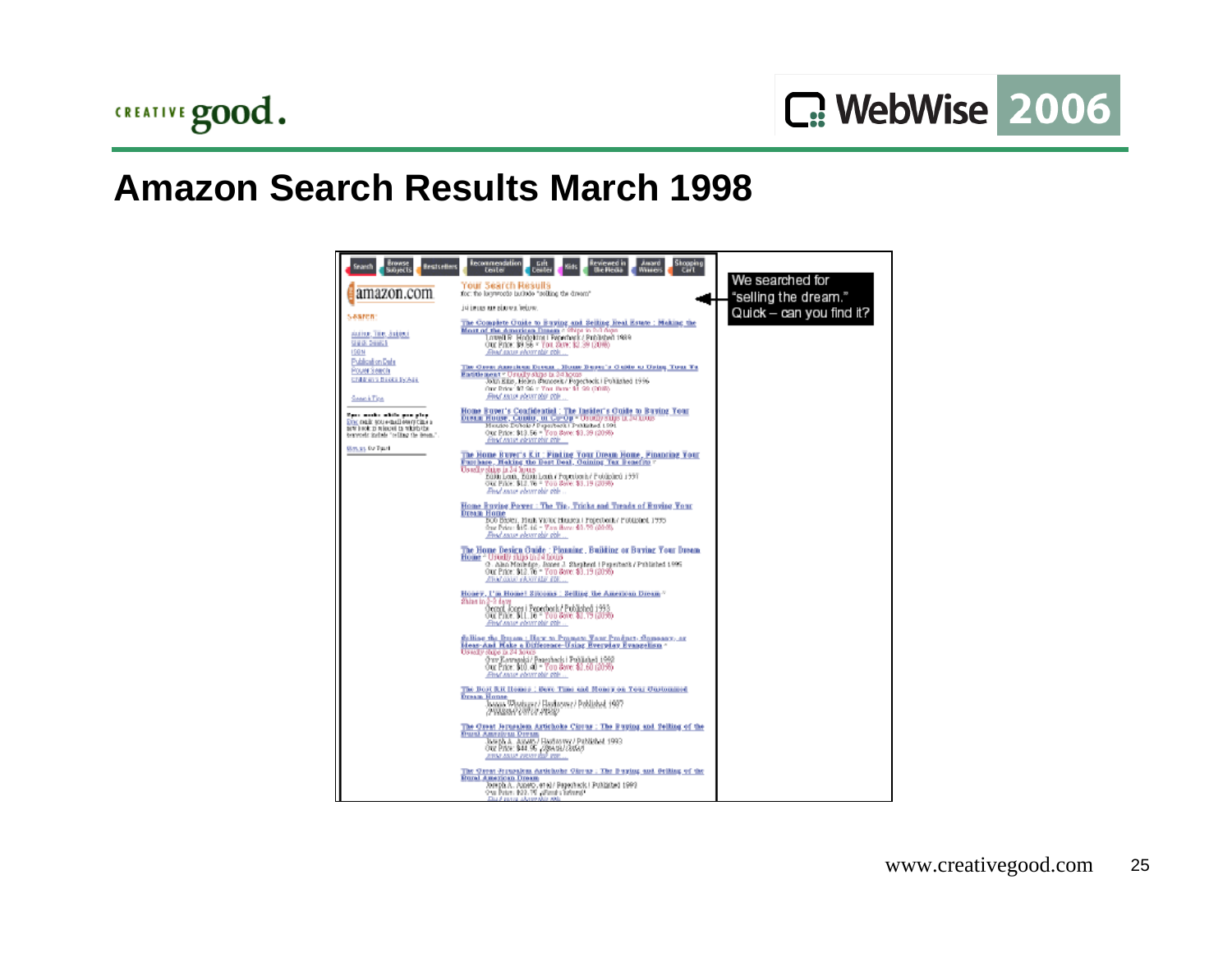

#### **Amazon Search Results March 1998**

| srowse<br>Bests ellers<br>Seanch<br>Sourects<br>amazon.com                                                                                    | <b>kecommendation</b><br>Shooping<br>Carl<br>izviewed in<br>Ule Heaa<br><b>Assam</b><br><b>Gift</b><br>teitei<br>Witter<br><b>Dealer</b><br><b>TOUL 208FCD FORUITS</b><br>for: the largeroods taxibile "selling the dreem"                                                                      | We searched for<br>"selling the dream." |
|-----------------------------------------------------------------------------------------------------------------------------------------------|-------------------------------------------------------------------------------------------------------------------------------------------------------------------------------------------------------------------------------------------------------------------------------------------------|-----------------------------------------|
| Search:<br>AMINE, THE SAUDU                                                                                                                   | JA LELLO ALE BÍJU V.A. TOČU V.<br>The Complete Cuide to Euying and Seiling lieal Estate : Meking the<br>Most of the American Drawn children in 2016;<br>Lowell R. Hodelstort i Penedwrk (Poblished 1989)                                                                                        | Quick - can you find it?                |
| <b>START DAMES</b><br><b>ISBN</b><br>Publication Date<br><b>Pouer Seach</b><br>Children's Depth Sylvan                                        | Our Price: \$9.56 * You, Suve: \$3.39 (20%)<br>Find again short this tible.<br><u>The Chese Annethum Devent, Home Duper's Cubile as Oping Tour To</u><br>East the meant = Usually ships in 24 hours<br>John Kills, Helen Stanceek / Peperbeck   Published 1996                                  |                                         |
| Search Tice                                                                                                                                   | One Price: 97 Sti = You Buse: 91 SO (2015)<br>Find some view plus plus.                                                                                                                                                                                                                         |                                         |
| Ross moder while one play.<br>Eric main tous-mail own time a<br>new broke to released to relately the<br>beroveds include "celling the deam." | Home Buyer's Confidential : The Insider's Cuide to Buying Your<br>Dream House, Condo, or CavOp - Osony supen, 24 mone<br>Mendos Dubole / Paparback   Prodished 1991<br>Our Price: \$13.56 = Fon Sove: \$3.39 (2095)<br>films some elevately sole.                                               |                                         |
| <b>Barces for Taxal</b>                                                                                                                       | The Home Buyer's Kit : Finding Your Dream Home , Financing Your<br>Purchase, Haking the Best Deal, Coining Tex Peaches v<br>Us adhe shine in 24 Julus.<br>Σάλλι Σαιά, Σάλλι Σαιά / Ραμπίνσι Μ' Ρούλολού 1997<br>Our Price: \$12.76 - You Save: \$3,19 (2096)<br>Find saw chartobic object       |                                         |
|                                                                                                                                               | Home Euxing Power : The Tip, Tricks and Treads of Euxing Your<br><b>DICATE HOME</b><br>BOO BROEL, MINIK VIOTOC HIGLICA! PRODUCINA PODLISION, 1995.<br>frue Peine: \$15.16 - Yan Banc \$3.70 (2045)<br>Find says where this city                                                                 |                                         |
|                                                                                                                                               | The Home Design Guide : Plonning . Building or Buying Your Dream<br>Home - Urody suprints hour<br>9. Also Modelge, Jones J. Shrybed 1 Pry ribeds / Published 1995<br>Our Prior: 013.76 - You Serv: 03.19 (2096)<br>ATION COOK CANCER HIS TOP.                                                   |                                         |
|                                                                                                                                               | Honey, I'm Home! Sitcoms : Selling the American Dream"<br>Shian in 2-2 days<br>Georgi, Joger i Poperbork / Published 1993<br>Out Prive: BLL.10 - Tou Bave: \$1,19 (2090)<br>Find sava churchic chi-                                                                                             |                                         |
|                                                                                                                                               | <u>folling the Ituam : Haw to Promato Yang Product-Gomesay, ay </u><br><b>Liess-And Hake a Difference-Using Pverplay Pvangel on -</b><br>Us saily ships in 24 hours<br>Oniv Kavranski / Paneshack i Producturi 1992<br>Out Price: \$10.40 = You Bove: \$2.60 (20%)<br>Find save chart this city |                                         |
|                                                                                                                                               | The Boot Rit Homes ; Dave Time and Honey on Your Customized<br><b>Dream Honse</b><br>Joanne Wisetzger / Haydacewr / Poblished 1987<br>79884973971.000                                                                                                                                           |                                         |
|                                                                                                                                               | The Creat Jerusalem Artichoke Circus ; The Puping and Telling of the<br><b>DOMESTIC AND A PUBLIC</b><br>Joseph A. Ashert, Headsoney Published 1993<br>Out Price: \$44.95 (28419) 28647<br>ATTN: ANUA VIENT ROP VOR                                                                              |                                         |
|                                                                                                                                               | The Ocean Systemicsa Asticholar Circus ; The Pursing and Golding of the<br><b>Hural American Dream</b><br>Joseph A., Azorro, et el / Peperhack / Published 1993<br>One Paten: 800.75 alliance a before a<br>Daraf panja adaras sida sida                                                        |                                         |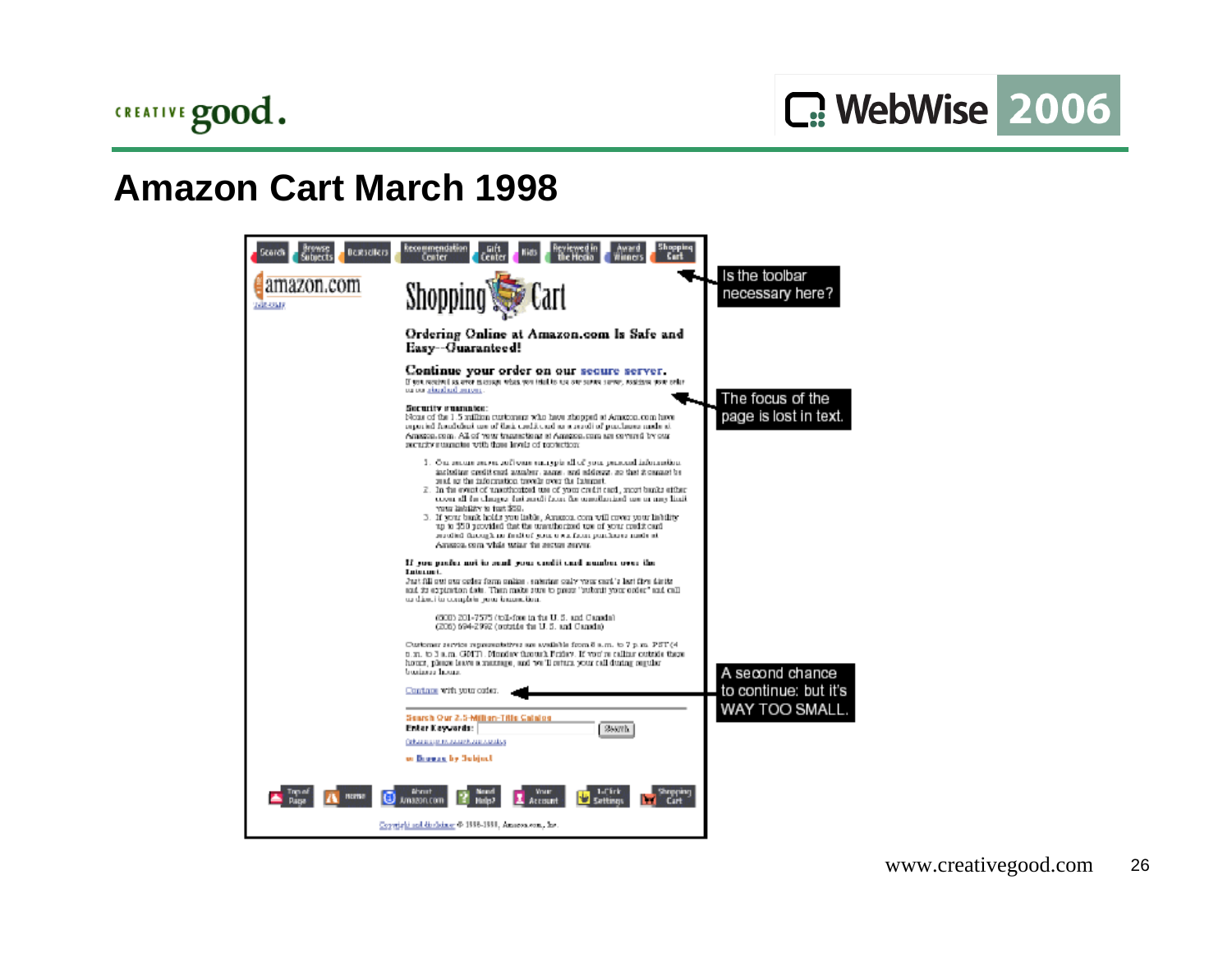

## **Amazon Cart March 1998**

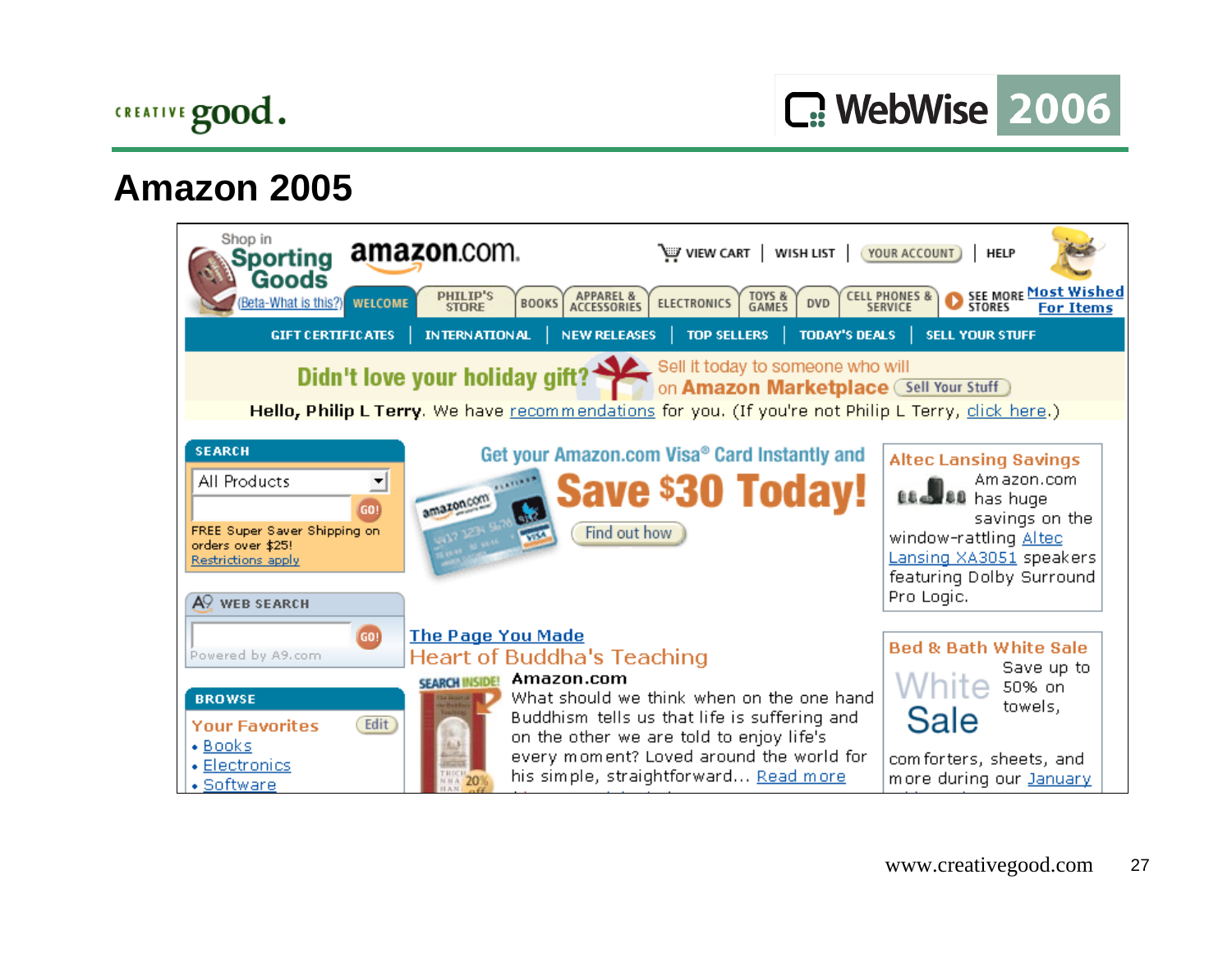

C. WebWise 2006

#### **Amazon 2005**

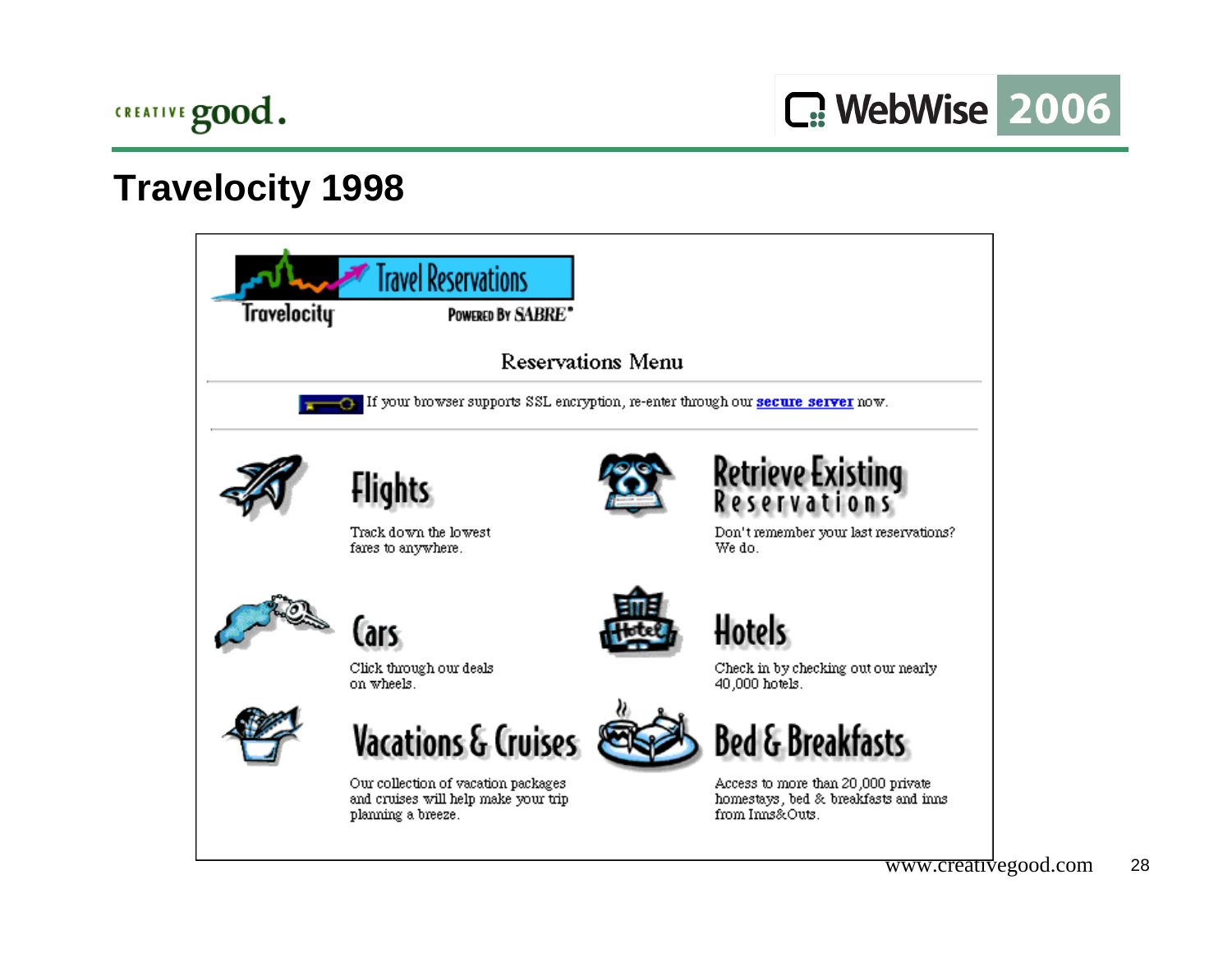

C: WebWise 2006

## **Travelocity 1998**



www.creativegood.com <sup>28</sup>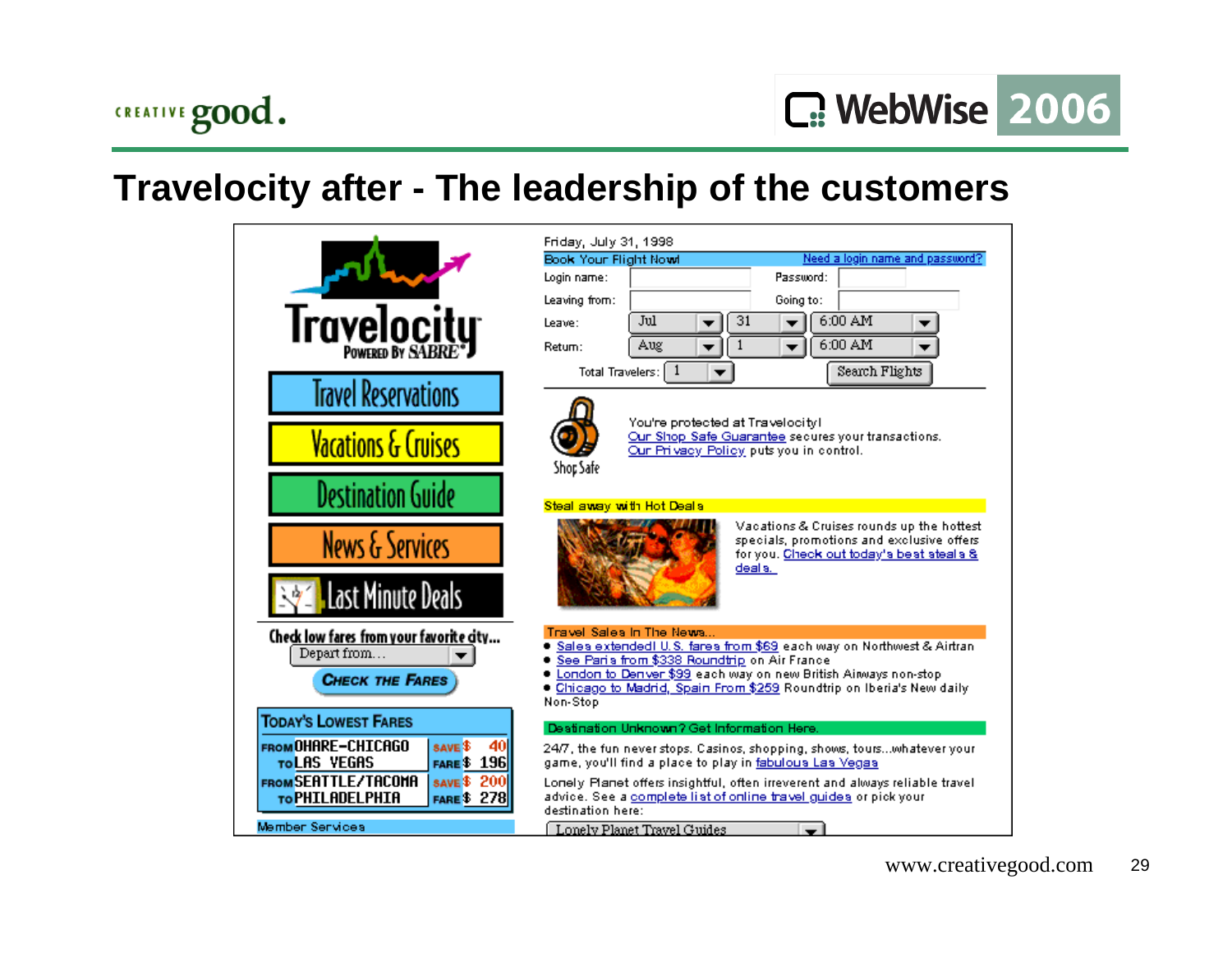# CREATIVE good.

## **Travelocity after - The leadership of the customers**

|                                                                                         | Friday, July 31, 1998                |                                              |                                                                                                                                                  |
|-----------------------------------------------------------------------------------------|--------------------------------------|----------------------------------------------|--------------------------------------------------------------------------------------------------------------------------------------------------|
|                                                                                         | Book Your Flight Nowl<br>Login name: |                                              | Need a login name and password?<br>Password:                                                                                                     |
|                                                                                         | Leaving from:                        |                                              | Going to:                                                                                                                                        |
| Travelocity                                                                             | Leave:                               | Jul                                          | 6:00 AM<br>31                                                                                                                                    |
|                                                                                         | Return:                              | Aug                                          | 6:00 AM<br>1                                                                                                                                     |
|                                                                                         | Total Travelers:                     | -1                                           | Search Flights                                                                                                                                   |
| <b>Travel Reservations</b>                                                              |                                      |                                              |                                                                                                                                                  |
| <b>Vacations &amp; Cruises</b>                                                          |                                      | You're protected at Travelocityl             | Our Shop Safe Guarantee secures your transactions.<br>Our Privacy Policy puts you in control.                                                    |
| <b>Destination Guide</b>                                                                | Shop Safe                            |                                              |                                                                                                                                                  |
|                                                                                         | Steal away with Hot Deals            |                                              |                                                                                                                                                  |
| <b>News &amp; Services</b>                                                              |                                      |                                              | Vacations & Cruises rounds up the hottest<br>specials, promotions and exclusive offers.<br>for you. Check out today's best steals &<br>deal s. I |
| <b>Last Minute Deals</b>                                                                |                                      |                                              |                                                                                                                                                  |
| Check low fares from your favorite city                                                 |                                      | Travel Sales In The News                     |                                                                                                                                                  |
| Depart from                                                                             |                                      | See Paris from \$338 Roundtrip on Air France | ● <u>Sales extendedI U.S. fares from \$69</u> each way on Northwest & Airtran.                                                                   |
| <b>CHECK THE FARES</b>                                                                  | Non-Stop                             |                                              | C London to Deniver \$99 each way on new British Airways non-stop<br>Chicago to Madrid, Spain From \$259 Roundtrip on Iberia's New daily         |
| <b>TODAY'S LOWEST FARES</b>                                                             |                                      | Destination Unknown? Get Information Here.   |                                                                                                                                                  |
| FROM OHARE-CHICAGO<br>40<br><b>SAVE \$</b>                                              |                                      |                                              | 24/7, the fun never stops. Casinos, shopping, shows, tourswhatever your                                                                          |
| TOLAS VEGAS<br><b>FARE \$196</b><br><b>FROM SEATTLE/TACOMA</b><br><b>SAVE \$</b><br>200 |                                      |                                              | game, you'll find a place to play in fabulous Las Vegas<br>Lonely Planet offers insightful, often irreverent and always reliable travel          |
| TO PHILADELPHIA<br><b>FARE \$278</b>                                                    | destination here:                    |                                              | advice. See a complete list of online travel guides or pick your                                                                                 |
| Member Services                                                                         |                                      | Lonely Planet Travel Guides                  |                                                                                                                                                  |
|                                                                                         |                                      |                                              |                                                                                                                                                  |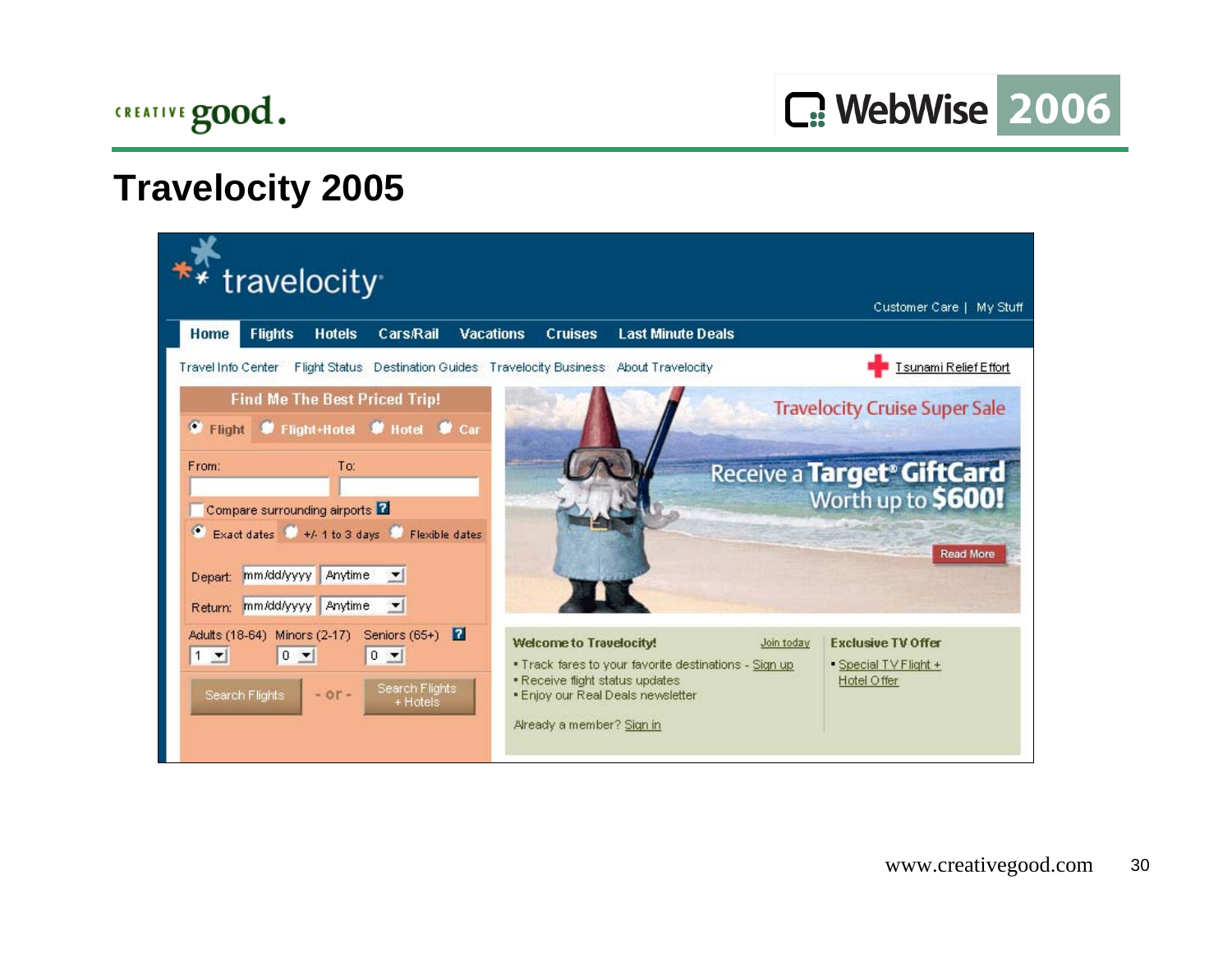

C: WebWise 2006

## **Travelocity 2005**

| travelocity                                                                                                                                                                    |                                                                                                                                                                                              | Customer Care   My Stuff                                                                      |
|--------------------------------------------------------------------------------------------------------------------------------------------------------------------------------|----------------------------------------------------------------------------------------------------------------------------------------------------------------------------------------------|-----------------------------------------------------------------------------------------------|
| Cars <sub>Rail</sub><br><b>Flights</b><br><b>Hotels</b><br>Home                                                                                                                | <b>Last Minute Deals</b><br><b>Vacations</b><br><b>Cruises</b>                                                                                                                               |                                                                                               |
| Travel Info Center                                                                                                                                                             | Flight Status Destination Guides Travelocity Business About Travelocity                                                                                                                      | <b>Tsunami Relief Effort</b>                                                                  |
| <b>Find Me The Best Priced Trip!</b><br>Flight # Flight+Hotel # Hotel # Car<br>۰                                                                                               |                                                                                                                                                                                              | <b>Travelocity Cruise Super Sale</b>                                                          |
| From:<br>To:<br>Compare surrounding airports <b>2</b><br>Exact dates # +/- 1 to 3 days # Flexible dates<br>mm/dd/yyyy<br>Anytime<br>Depart:<br>Return: mm/dd/yyyy Anytime<br>▼ |                                                                                                                                                                                              | Receive a <b>Target<sup>®</sup> GiftCard</b><br>Worth up to <b>\$600!</b><br><b>Read More</b> |
| Adults (18-64) Minors (2-17) Seniors (65+)<br>17<br>$1 -$<br>$0 -$<br>$0 -$<br>Search Flights<br>$-$ or $-$<br>Search Flights<br>+ Hotels                                      | <b>Welcome to Travelocity!</b><br>. Track fares to your favorite destinations - Sign up<br>. Receive flight status updates<br>. Enjoy our Real Deals newsletter<br>Already a member? Sign in | <b>Exclusive TV Offer</b><br>Join today<br>• Special TV Flight +<br>Hotel Offer               |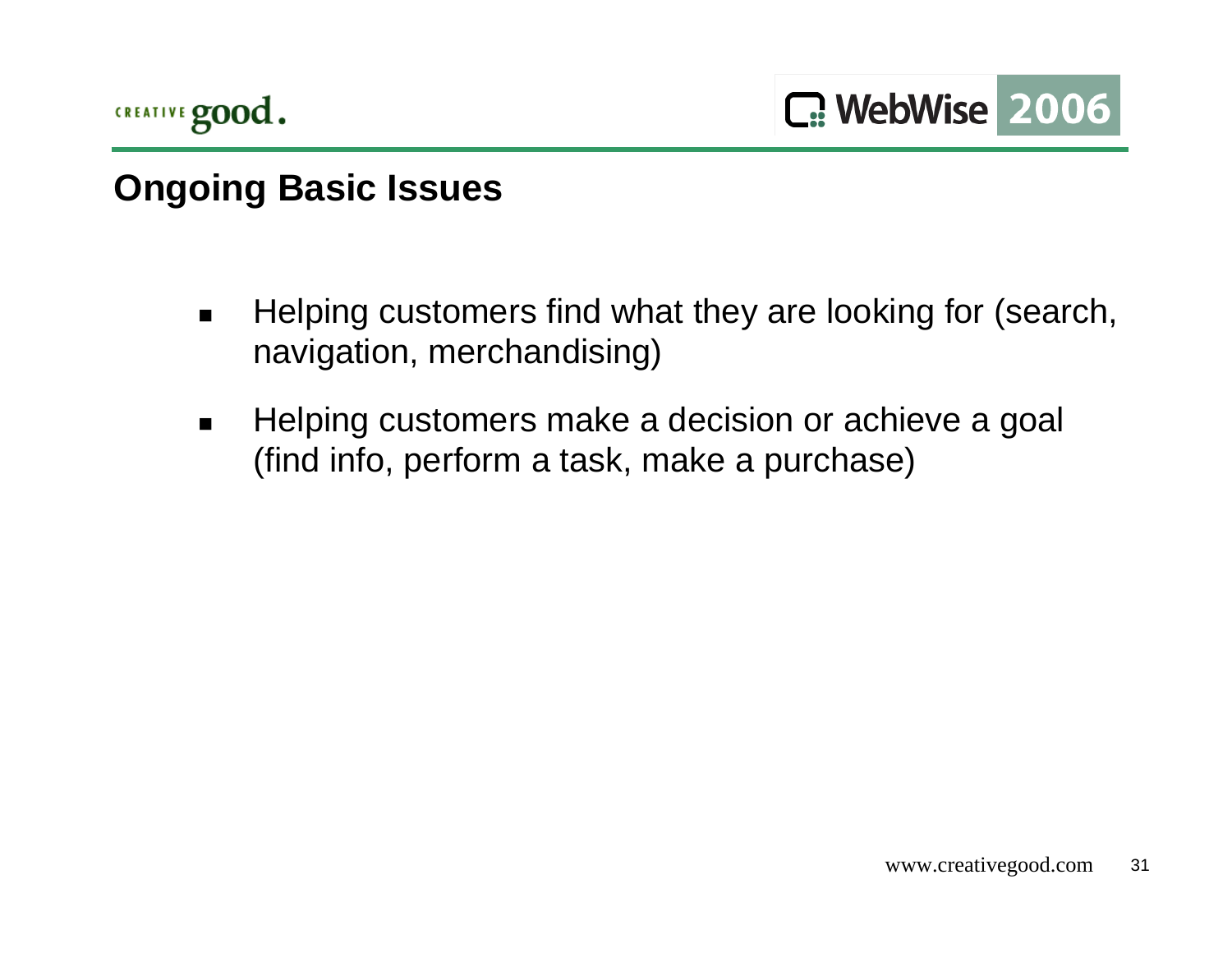

## **Ongoing Basic Issues**

- $\blacksquare$  Helping customers find what they are looking for (search, navigation, merchandising)
- $\blacksquare$  Helping customers make a decision or achieve a goal (find info, perform a task, make a purchase)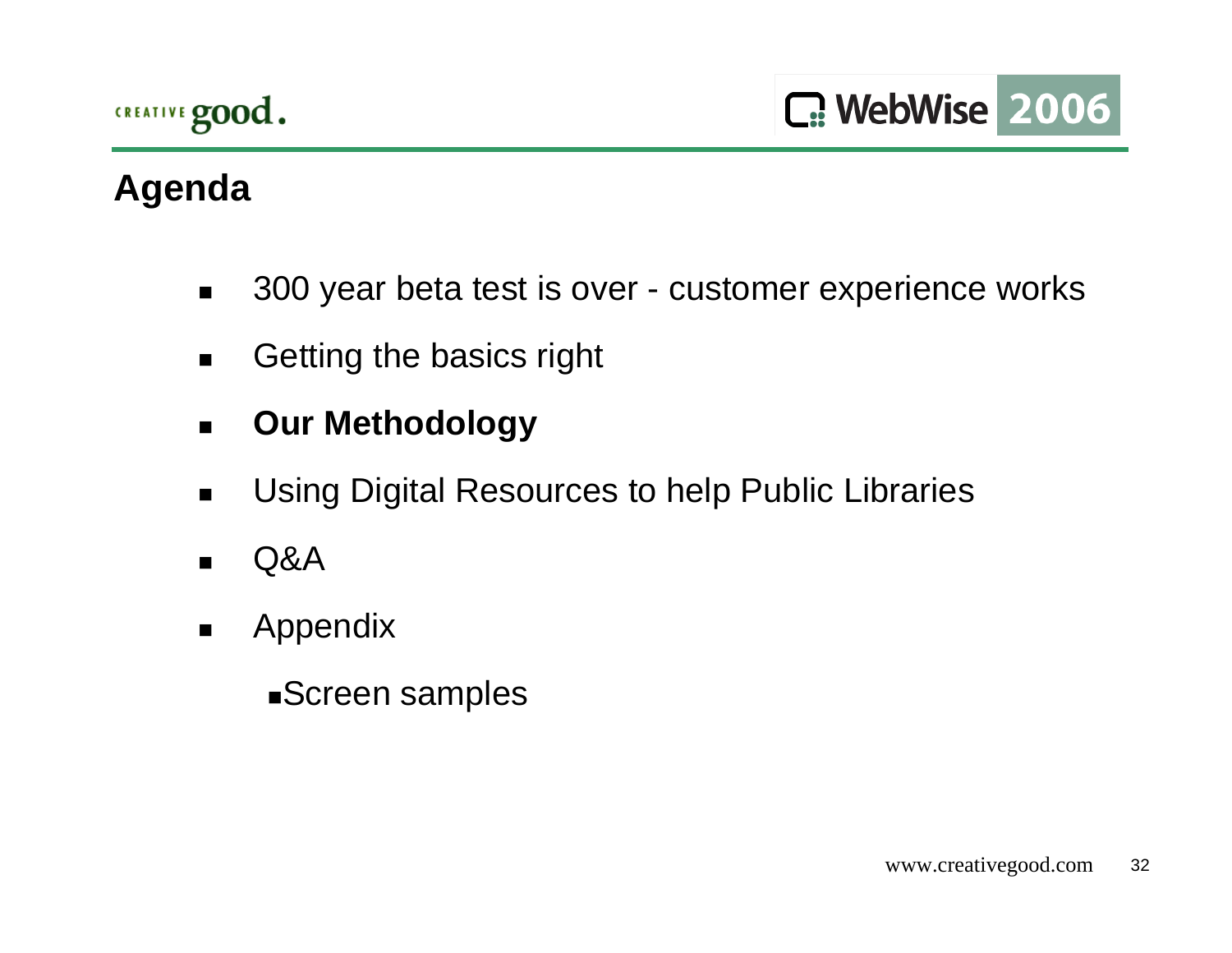# **Agenda**

- $\blacksquare$ 300 year beta test is over - customer experience works
- $\blacksquare$ Getting the basics right
- $\blacksquare$ **Our Methodology**
- $\blacksquare$ Using Digital Resources to help Public Libraries
- $\blacksquare$ Q&A
- $\blacksquare$  Appendix
	- Screen samples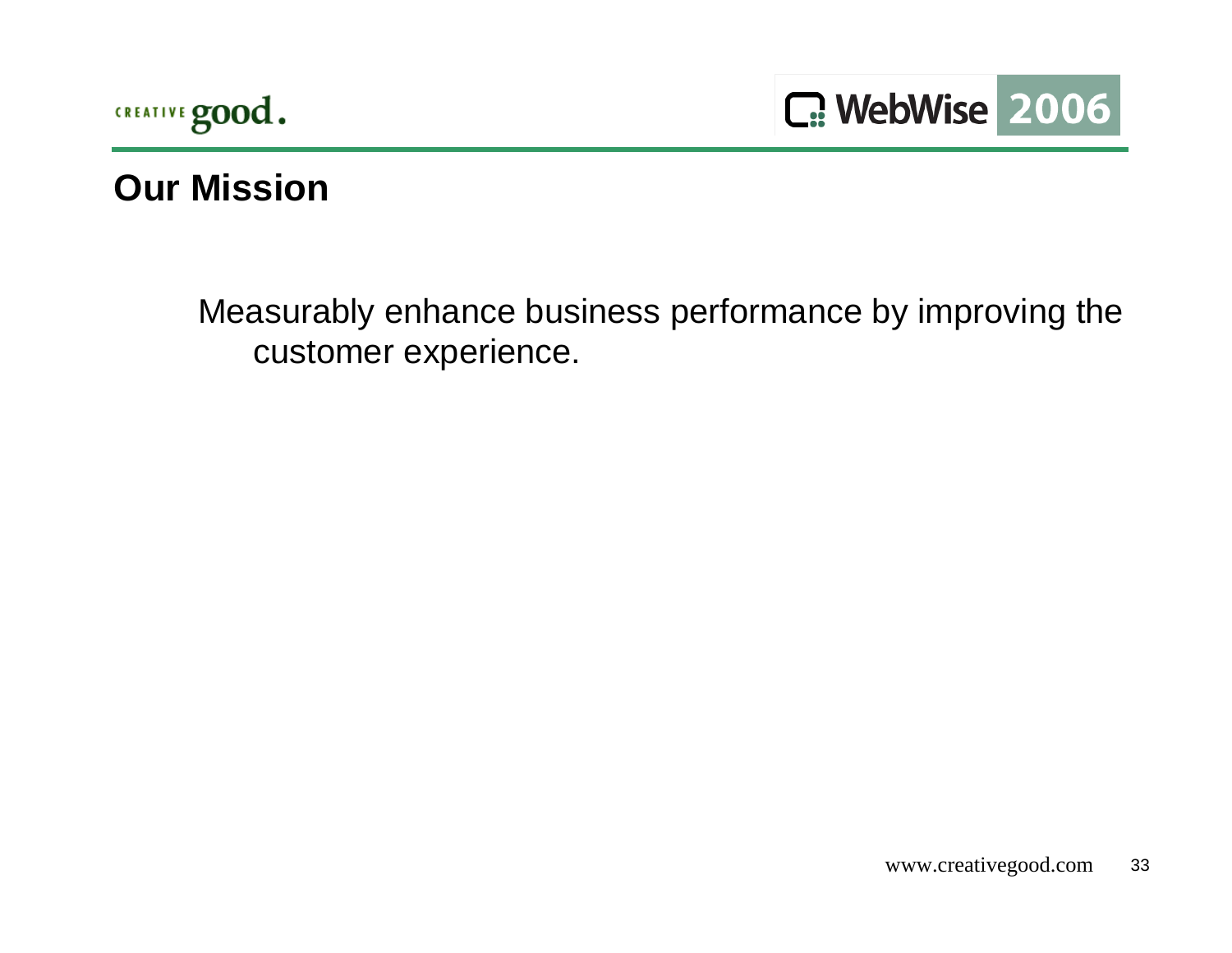



#### **Our Mission**

Measurably enhance business performance by improving the customer experience.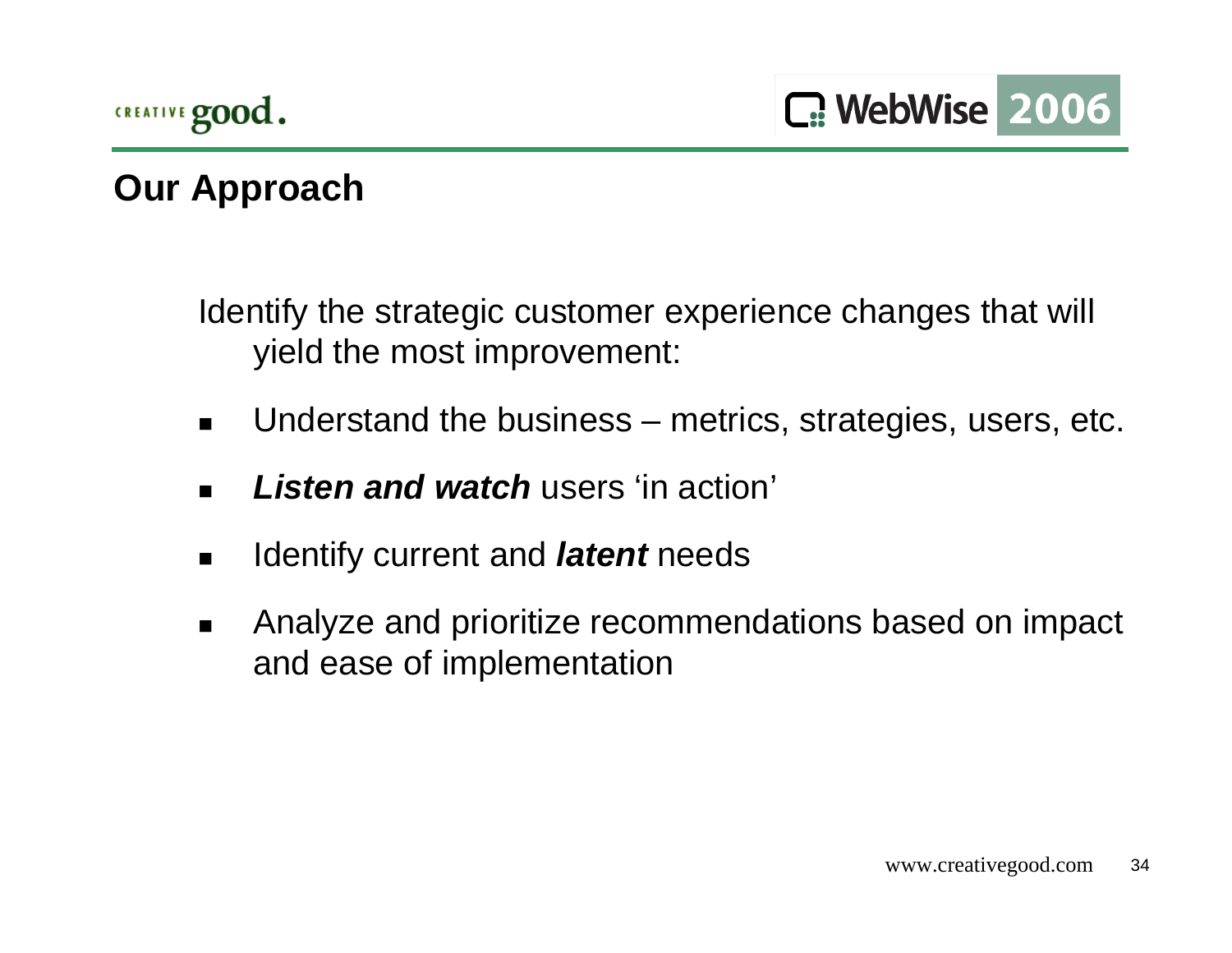# **Our Approach**

Identify the strategic customer experience changes that will yield the most improvement:

- $\blacksquare$ Understand the business – metrics, strategies, users, etc.
- $\blacksquare$ *Listen and watch* users 'in action'
- $\blacksquare$ Identify current and *latent* needs
- $\blacksquare$  Analyze and prioritize recommendations based on impact and ease of implementation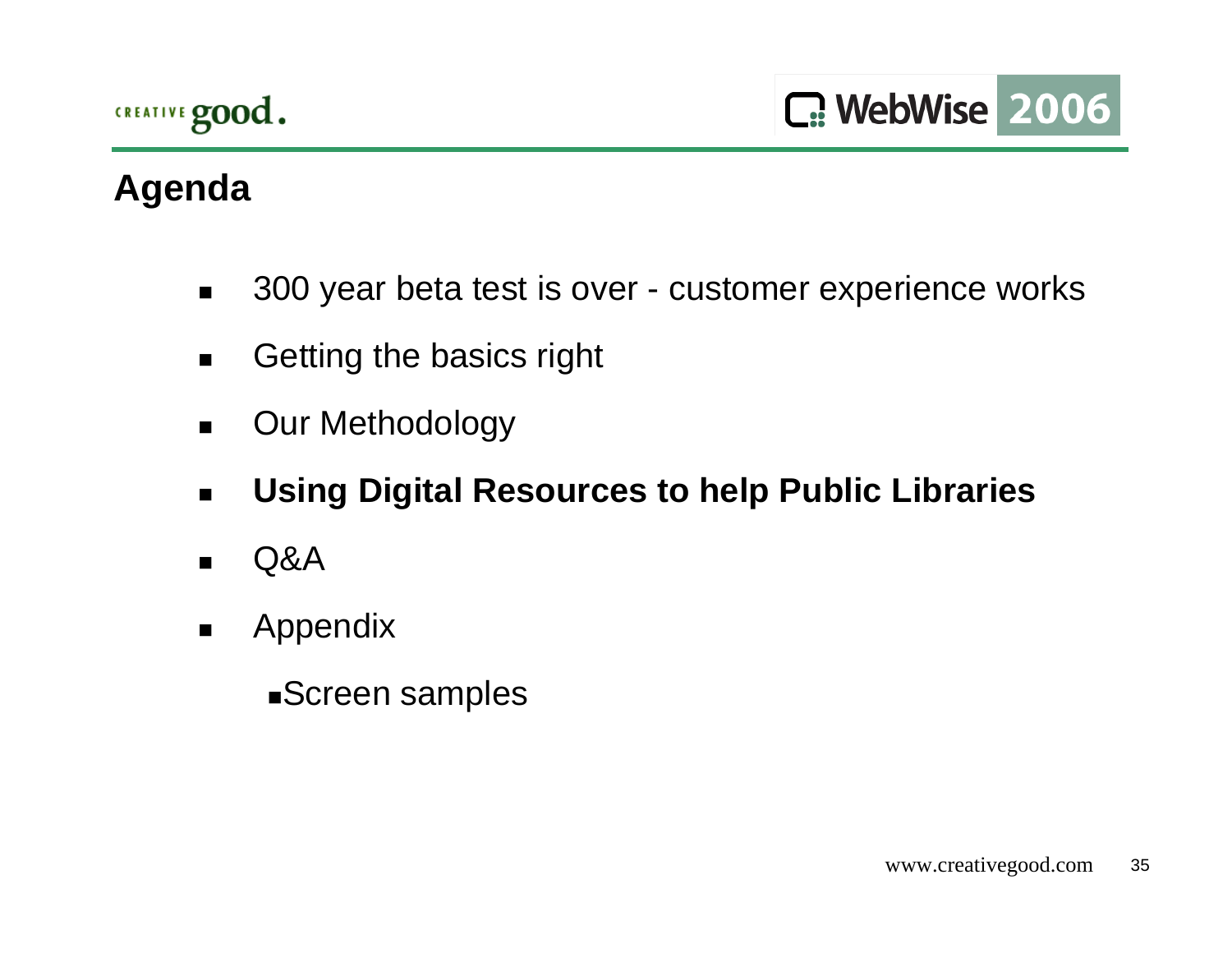# **Agenda**

- $\blacksquare$ 300 year beta test is over - customer experience works
- $\blacksquare$ Getting the basics right
- $\blacksquare$ Our Methodology
- $\blacksquare$ **Using Digital Resources to help Public Libraries**
- $\blacksquare$ Q&A
- $\blacksquare$  Appendix
	- Screen samples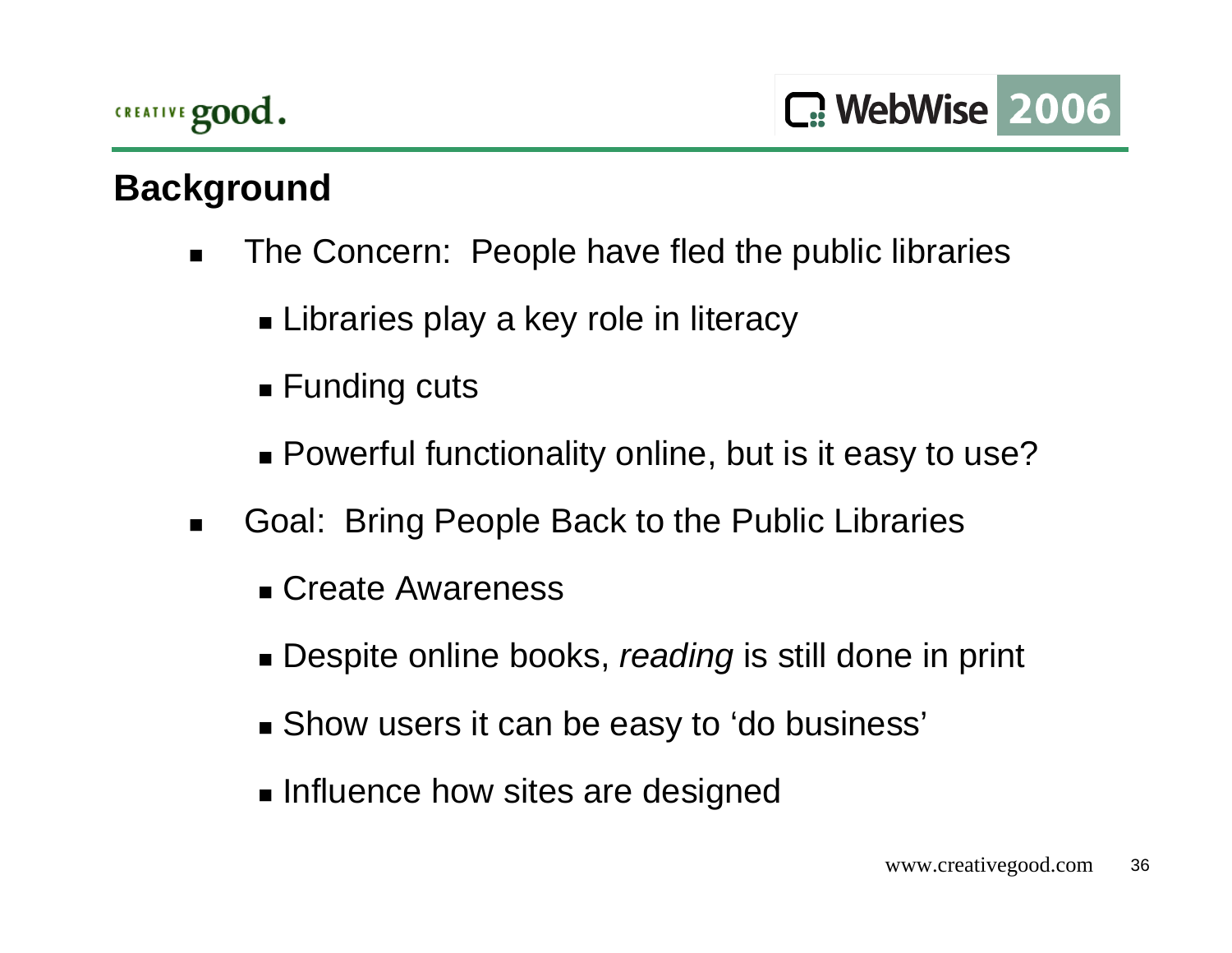

## **Background**

- $\blacksquare$  The Concern: People have fled the public libraries
	- Libraries play a key role in literacy
	- Funding cuts
	- Powerful functionality online, but is it easy to use?
- $\blacksquare$  Goal: Bring People Back to the Public Libraries
	- Create Awareness
	- Despite online books, *reading* is still done in print
	- Show users it can be easy to 'do business'
	- **Example 12 Influence how sites are designed**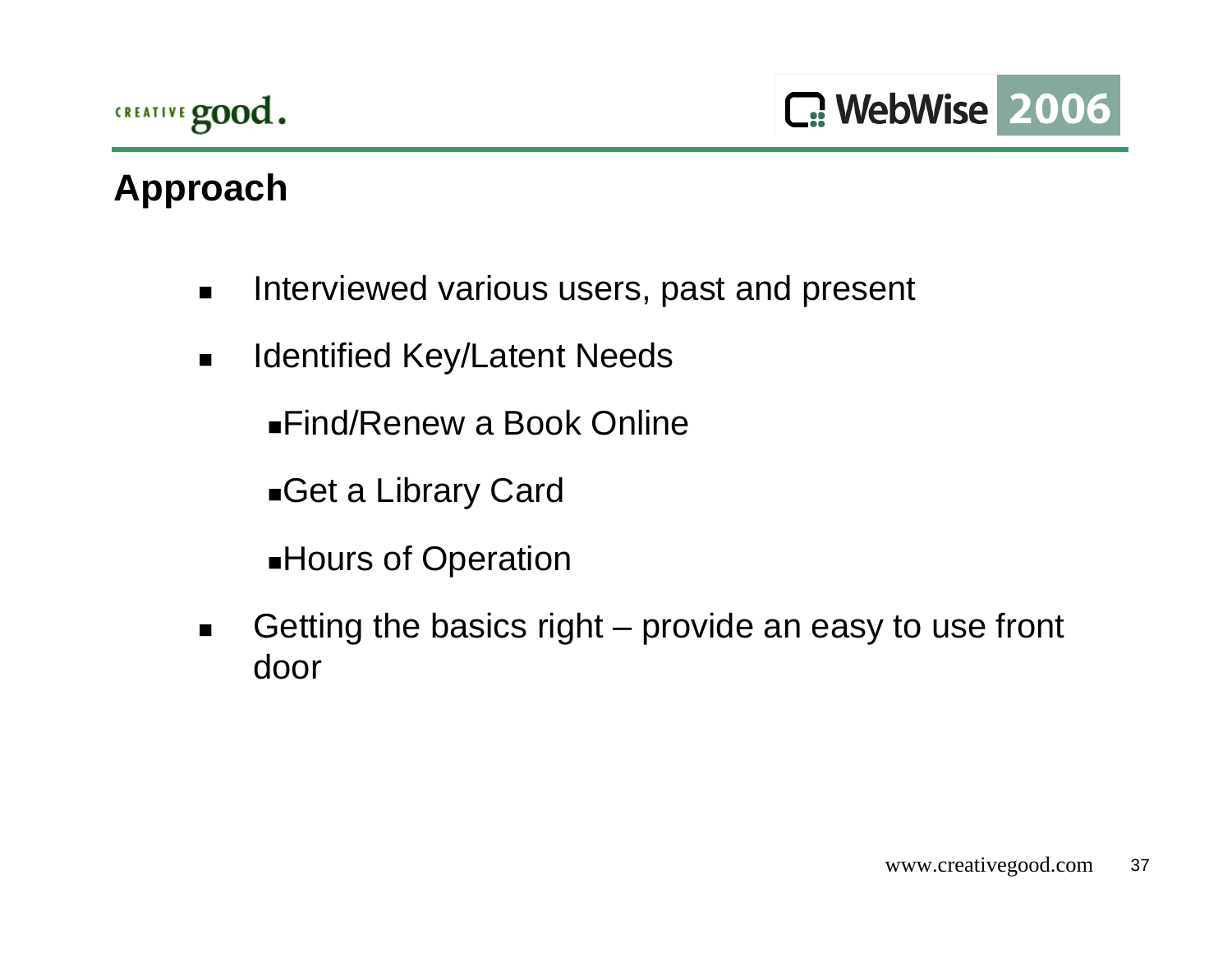# **Approach**

- $\blacksquare$ Interviewed various users, past and present
- $\blacksquare$ Identified Key/Latent Needs

Find/Renew a Book Online

Get a Library Card

**Hours of Operation** 

 $\blacksquare$  Getting the basics right – provide an easy to use front door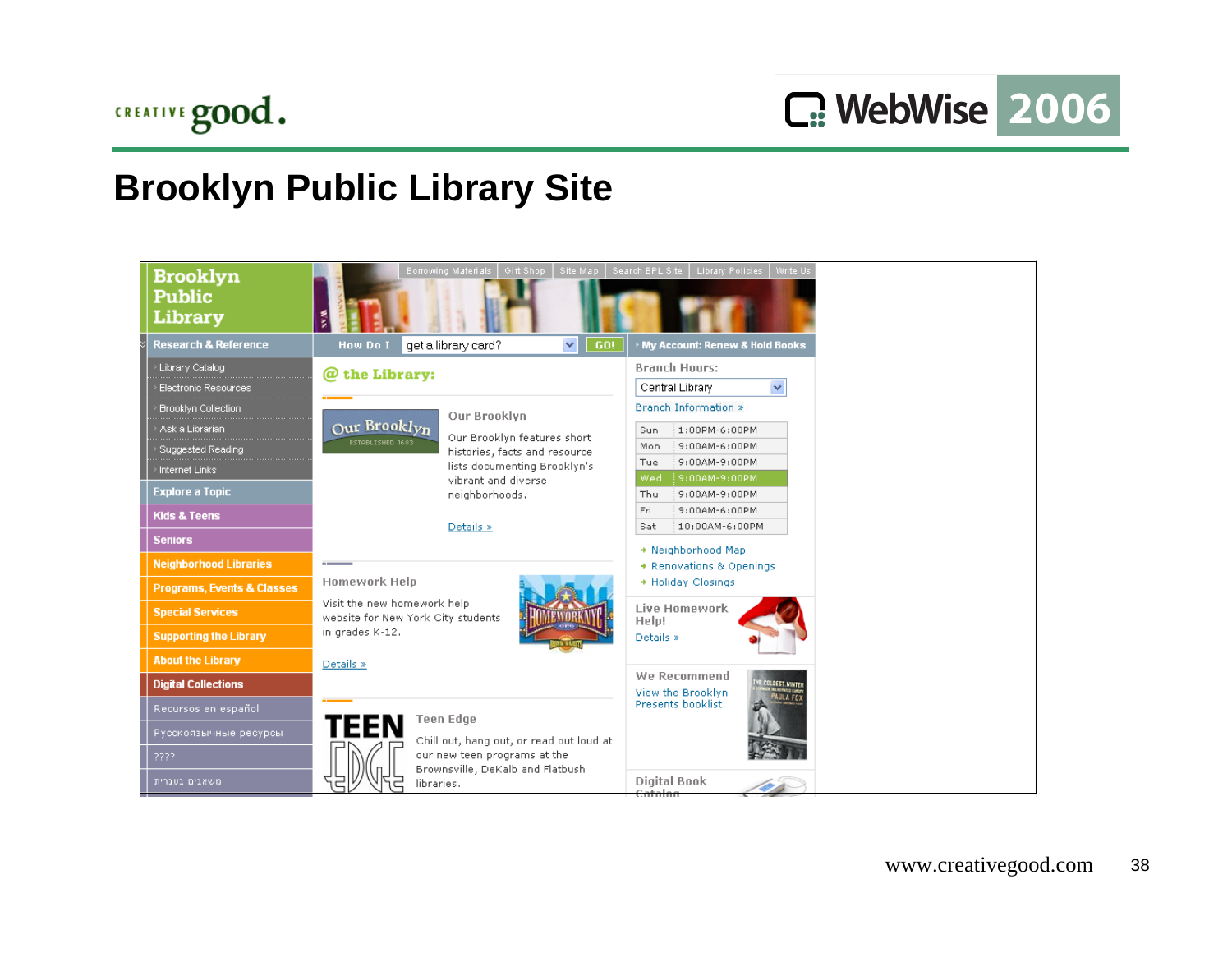## **Brooklyn Public Library Site**

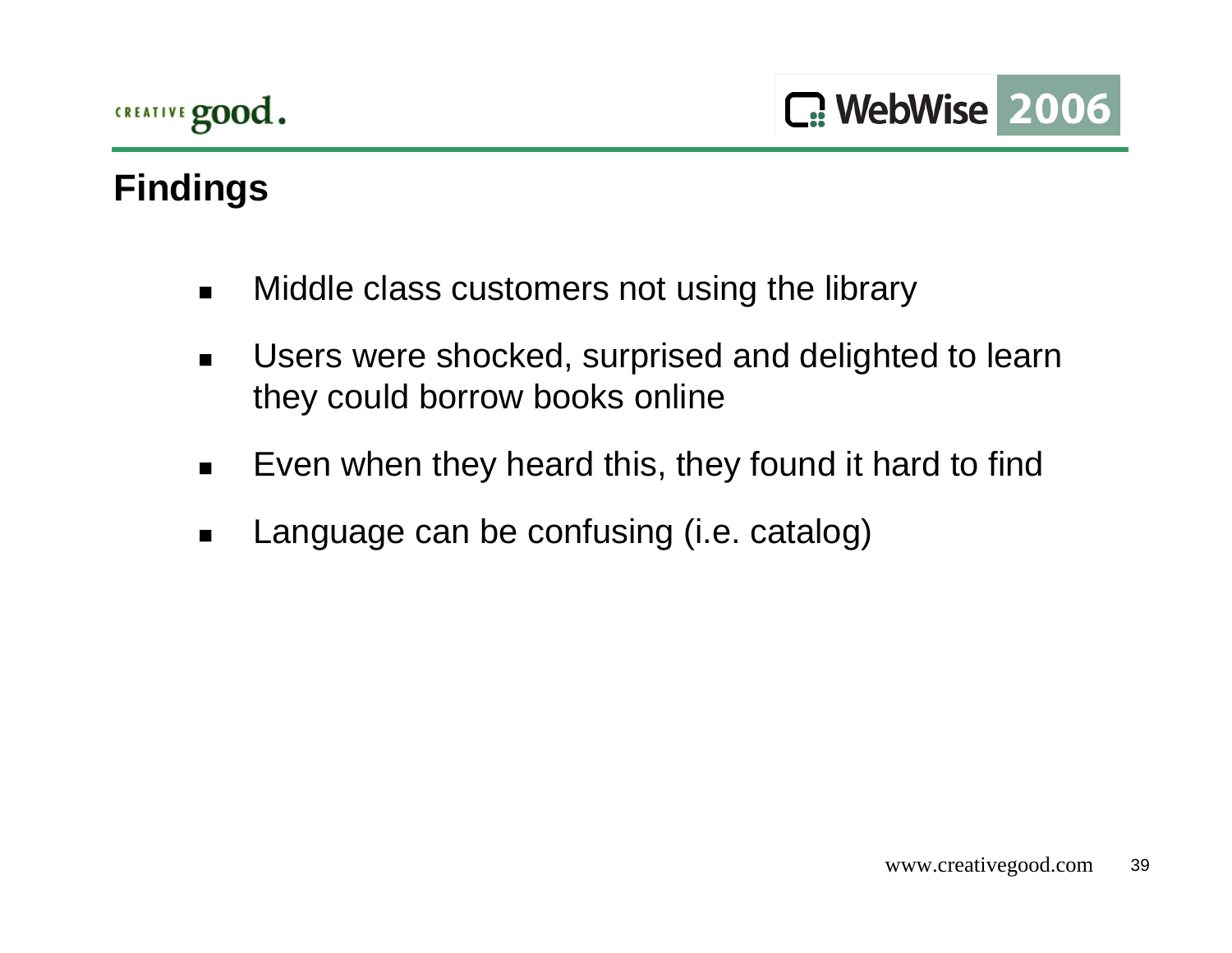# **Findings**

- $\blacksquare$ Middle class customers not using the library
- $\blacksquare$  Users were shocked, surprised and delighted to learn they could borrow books online
- $\blacksquare$ Even when they heard this, they found it hard to find
- $\blacksquare$ Language can be confusing (i.e. catalog)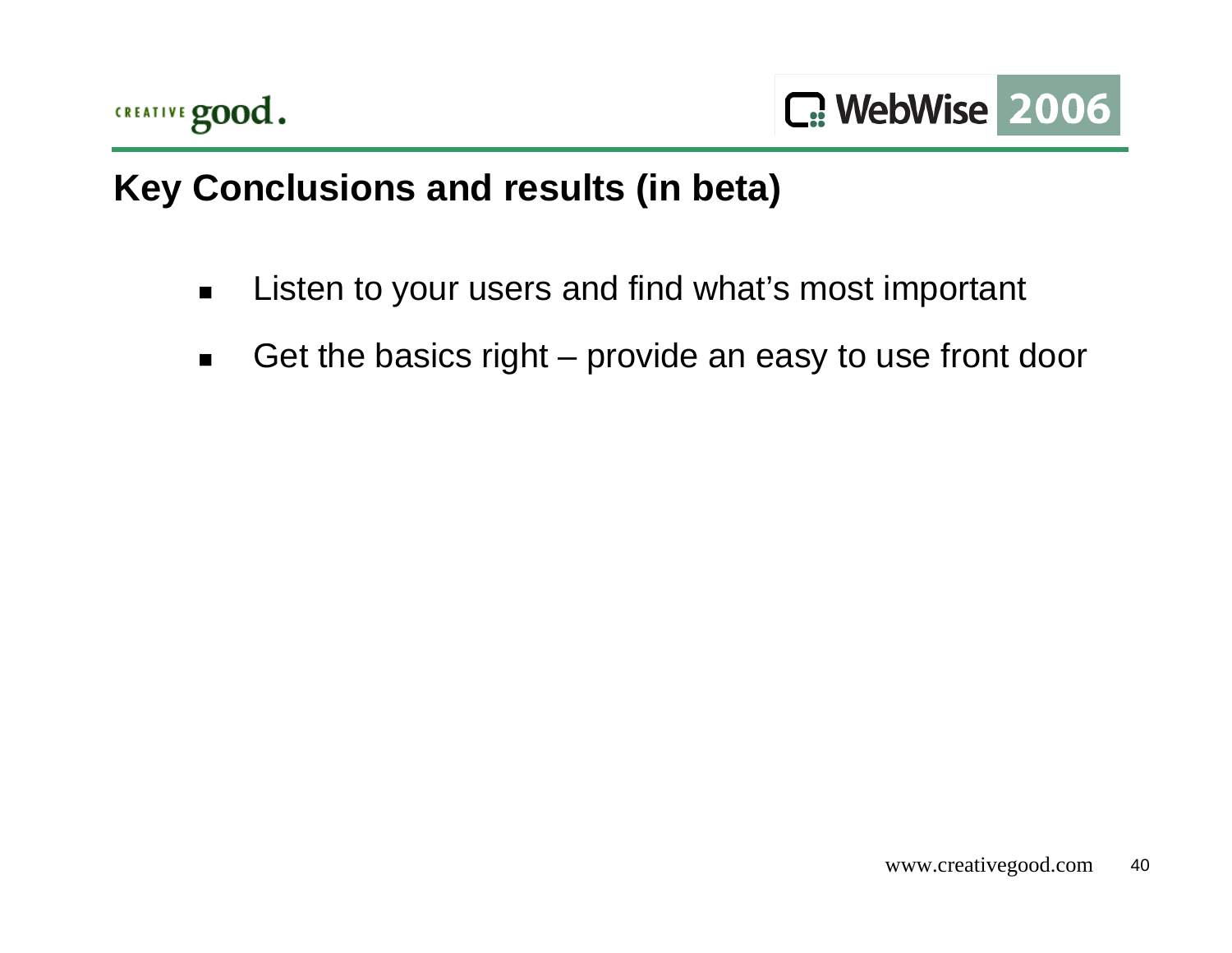

# **Key Conclusions and results (in beta)**

- $\blacksquare$ Listen to your users and find what's most important
- $\blacksquare$ Get the basics right – provide an easy to use front door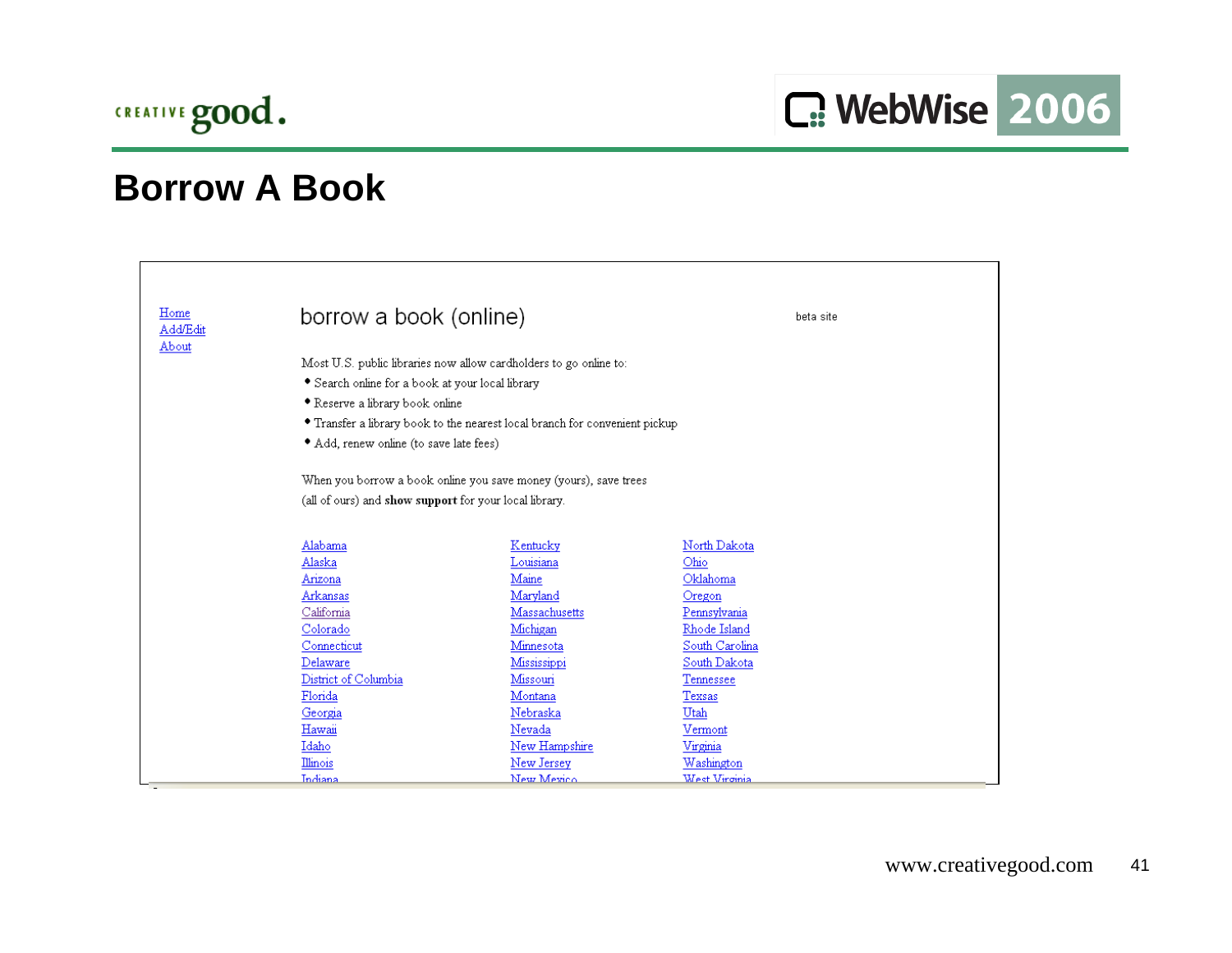

| Home     | borrow a book (online)                                 |                                                                             | beta site        |
|----------|--------------------------------------------------------|-----------------------------------------------------------------------------|------------------|
| Add/Edit |                                                        |                                                                             |                  |
| About    |                                                        |                                                                             |                  |
|          |                                                        | Most U.S. public libraries now allow cardholders to go online to:           |                  |
|          | • Search online for a book at your local library       |                                                                             |                  |
|          | • Reserve a library book online                        |                                                                             |                  |
|          |                                                        | • Transfer a library book to the nearest local branch for convenient pickup |                  |
|          | • Add, renew online (to save late fees)                |                                                                             |                  |
|          |                                                        |                                                                             |                  |
|          |                                                        | When you borrow a book online you save money (yours), save trees            |                  |
|          | (all of ours) and show support for your local library. |                                                                             |                  |
|          |                                                        |                                                                             |                  |
|          |                                                        |                                                                             |                  |
|          | Alabama                                                | Kentucky                                                                    | North Dakota     |
|          | Alaska<br>Arizona                                      | Louisiana<br>Maine                                                          | Ohio<br>Oklahoma |
|          | Arkansas                                               | Maryland                                                                    | Oregon           |
|          | California                                             | Massachusetts                                                               | Pennsylvania     |
|          | Colorado                                               | Michigan                                                                    | Rhode Island     |
|          | Connecticut                                            | Minnesota                                                                   | South Carolina   |
|          | Delaware                                               | Mississippi                                                                 | South Dakota     |
|          | District of Columbia                                   | Missouri                                                                    | Tennessee        |
|          | Florida                                                | Montana                                                                     | Texsas           |
|          | Georgia                                                | Nebraska                                                                    | Utah             |
|          | Hawaii                                                 | Nevada                                                                      | Vermont          |
|          | Idaho                                                  | New Hampshire                                                               | Virginia         |
|          | Illinois                                               | New Jersey                                                                  | Washington       |
|          | Indiana                                                | New Mexico                                                                  | West Virginia    |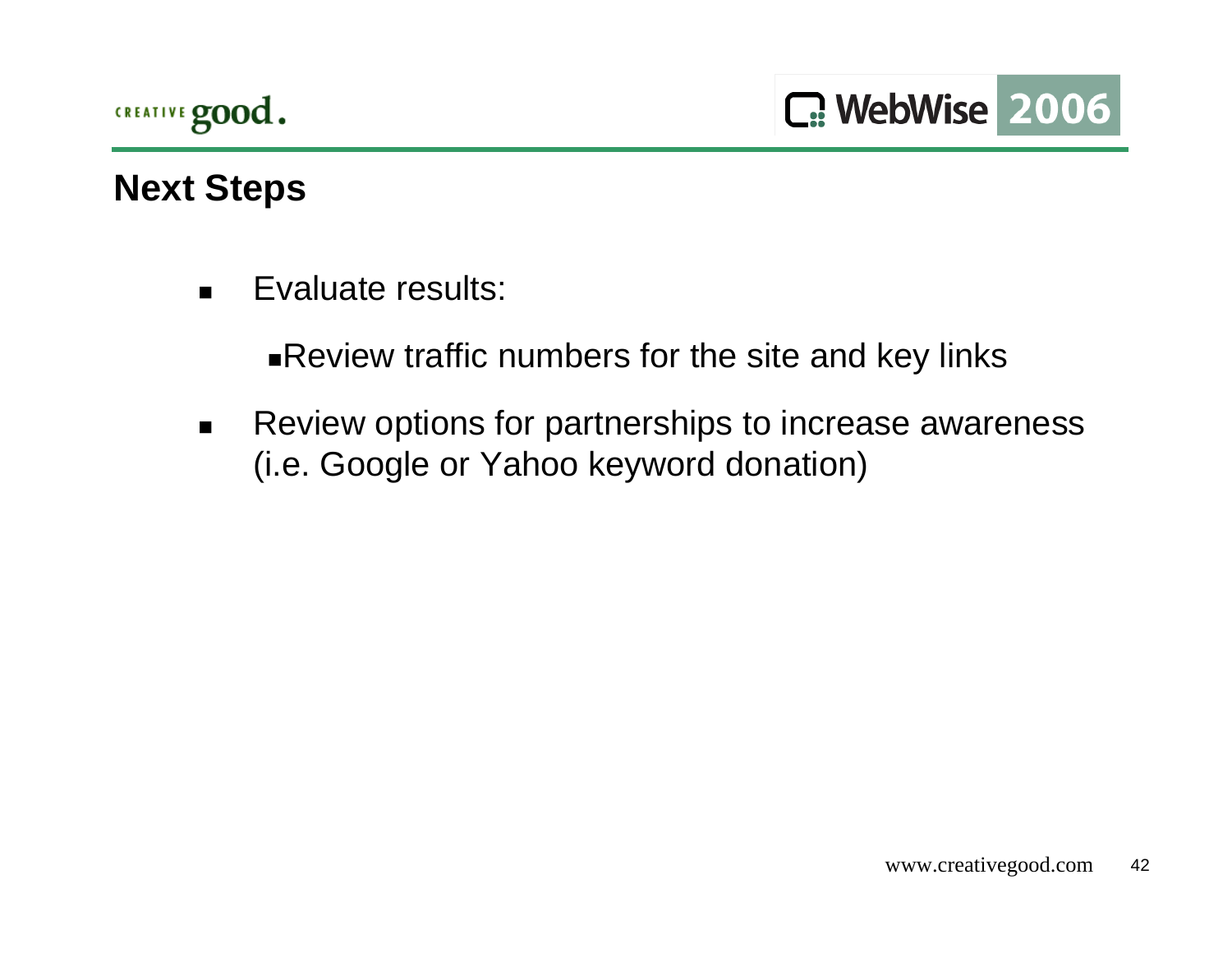

## **Next Steps**

 $\blacksquare$ Evaluate results:

Review traffic numbers for the site and key links

 $\blacksquare$  Review options for partnerships to increase awareness (i.e. Google or Yahoo keyword donation)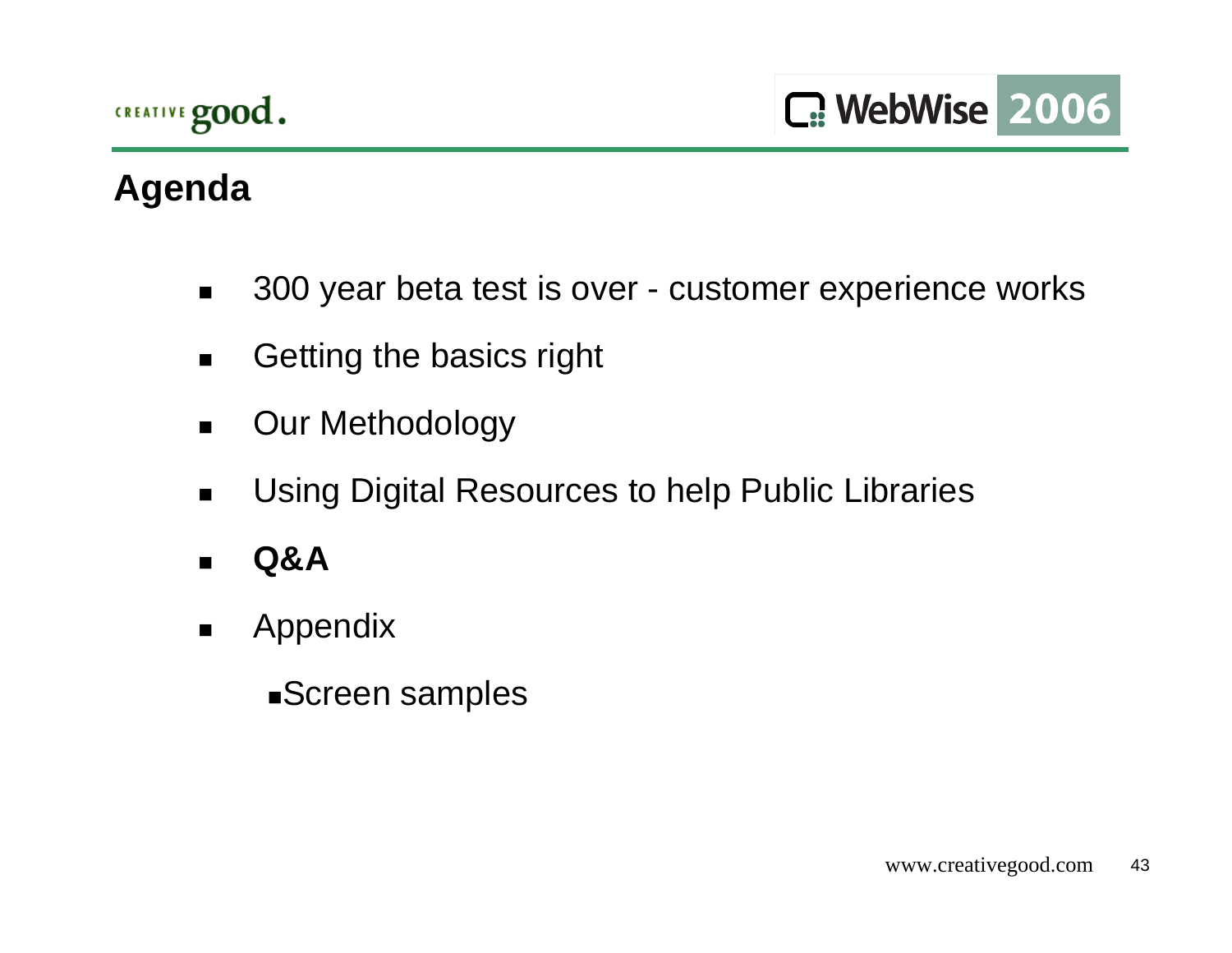# **Agenda**

- $\blacksquare$ 300 year beta test is over - customer experience works
- $\blacksquare$ Getting the basics right
- $\blacksquare$ Our Methodology
- $\blacksquare$ Using Digital Resources to help Public Libraries
- $\blacksquare$ **Q&A**
- $\blacksquare$  Appendix
	- Screen samples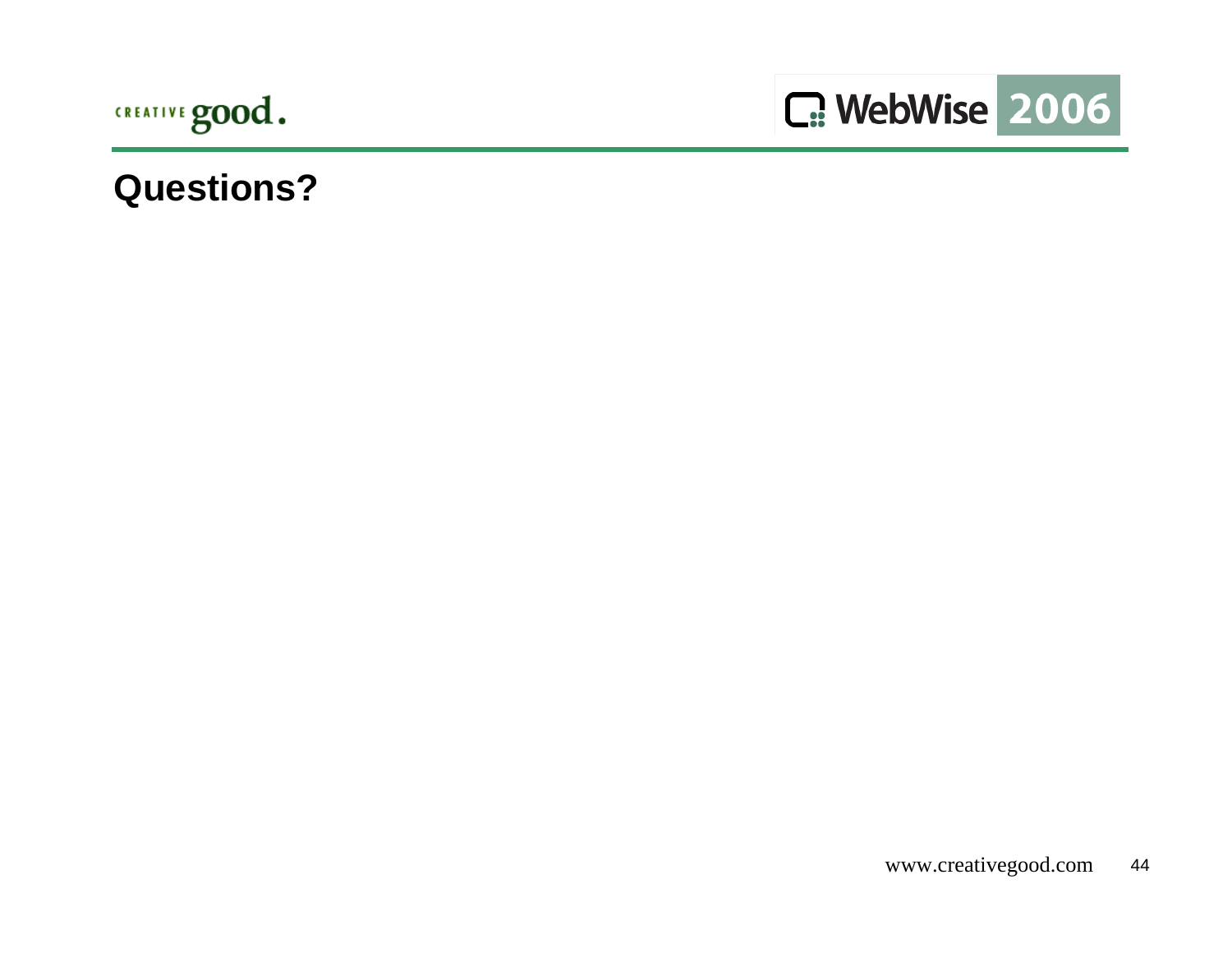



### **Questions?**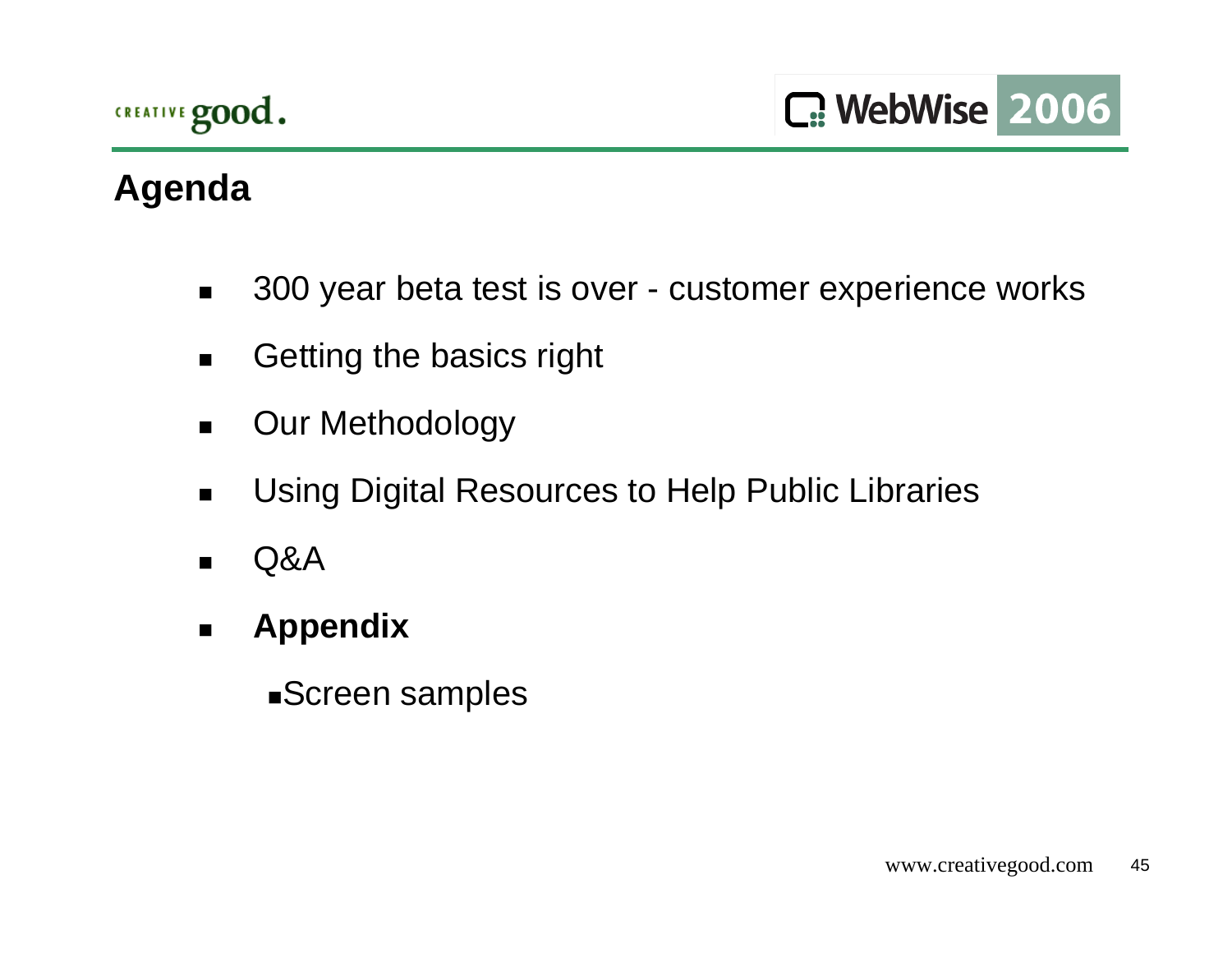# **Agenda**

- $\blacksquare$ 300 year beta test is over - customer experience works
- $\blacksquare$ Getting the basics right
- $\blacksquare$ Our Methodology
- $\blacksquare$ Using Digital Resources to Help Public Libraries
- $\blacksquare$ Q&A
- $\blacksquare$  **Appendix**
	- Screen samples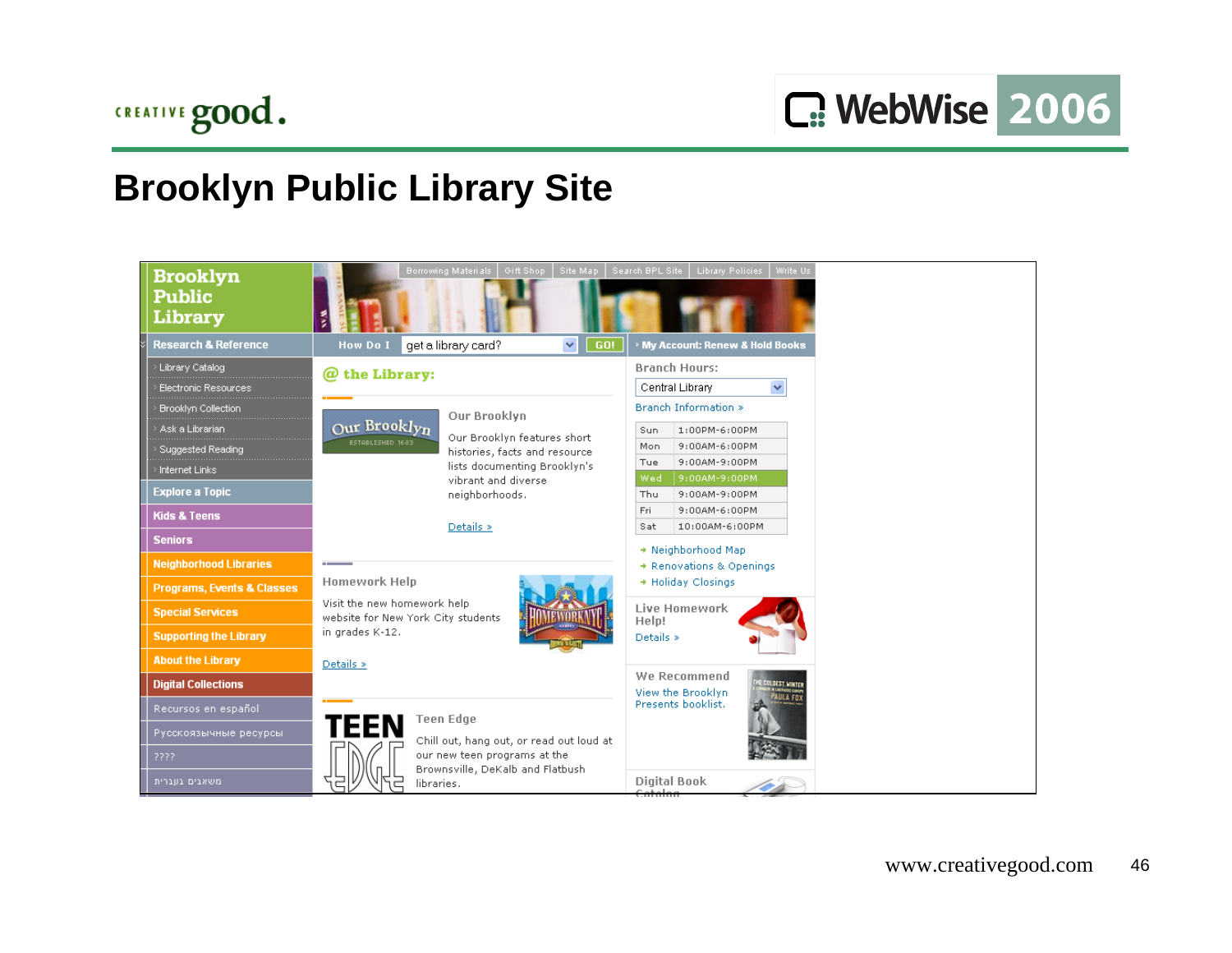## **Brooklyn Public Library Site**

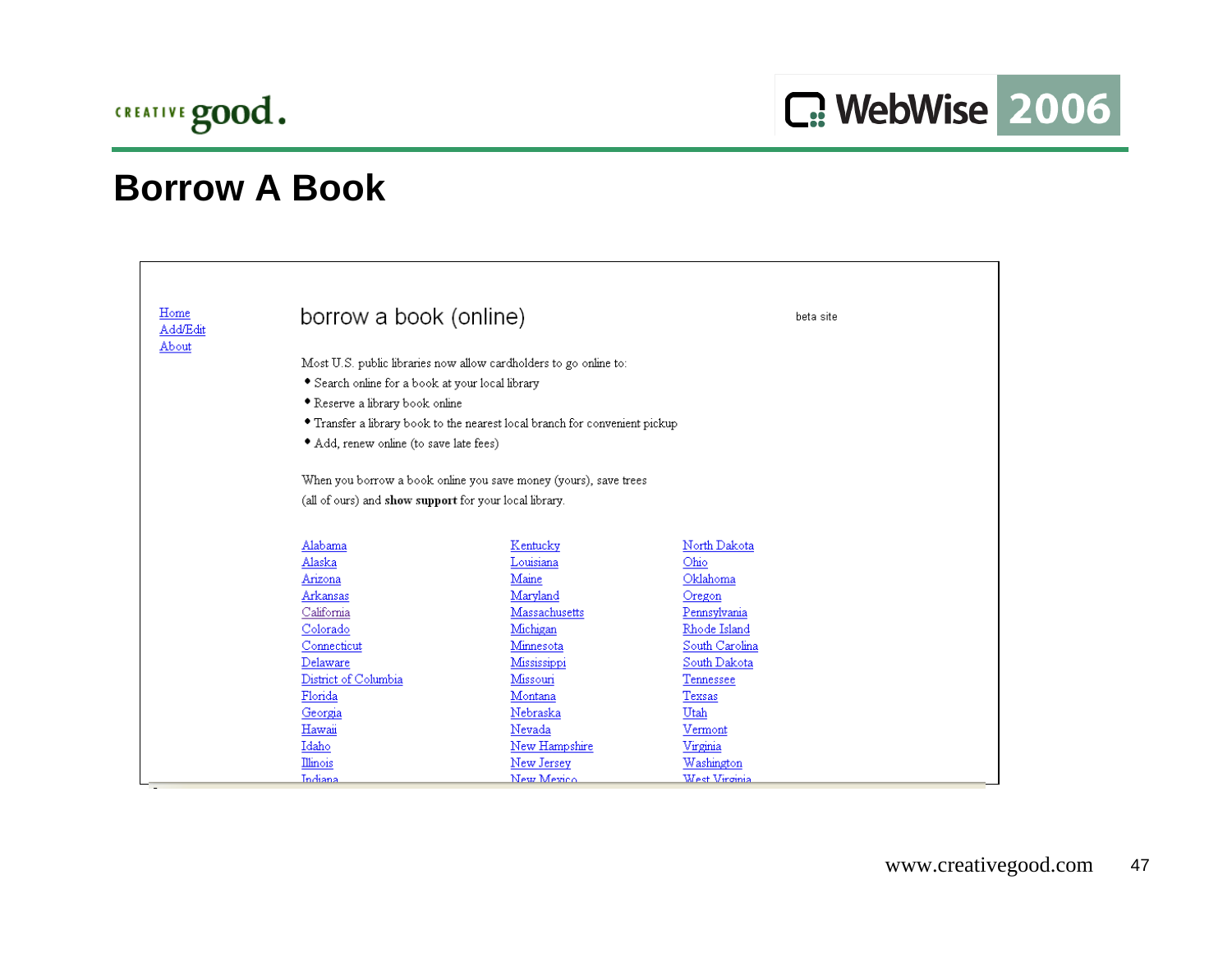

| Home<br><b>Add/Edit</b> | borrow a book (online)                                 |                                                                             | beta site                      |  |
|-------------------------|--------------------------------------------------------|-----------------------------------------------------------------------------|--------------------------------|--|
| About                   | • Search online for a book at your local library       | Most U.S. public libraries now allow cardholders to go online to:           |                                |  |
|                         | • Reserve a library book online                        |                                                                             |                                |  |
|                         |                                                        | • Transfer a library book to the nearest local branch for convenient pickup |                                |  |
|                         | • Add, renew online (to save late fees)                |                                                                             |                                |  |
|                         |                                                        | When you borrow a book online you save money (yours), save trees            |                                |  |
|                         | (all of ours) and show support for your local library. |                                                                             |                                |  |
|                         | Alabama                                                | Kentucky                                                                    | North Dakota                   |  |
|                         | Alaska                                                 | Louisiana                                                                   | Ohio                           |  |
|                         | Arizona                                                | Maine                                                                       | Oklahoma                       |  |
|                         | Arkansas                                               | Maryland                                                                    | Oregon                         |  |
|                         | California                                             | Massachusetts                                                               | Pennsylvania                   |  |
|                         | Colorado                                               | Michigan                                                                    | Rhode Island                   |  |
|                         | Connecticut<br>Delaware                                | Minnesota<br>Mississippi                                                    | South Carolina<br>South Dakota |  |
|                         | District of Columbia                                   | Missouri                                                                    | Tennessee                      |  |
|                         | Florida                                                | Montana                                                                     | Texsas                         |  |
|                         | Georgia                                                | Nebraska                                                                    | Utah                           |  |
|                         | Hawaii                                                 | Nevada                                                                      | Vermont                        |  |
|                         | Idaho                                                  | New Hampshire                                                               | Virginia                       |  |
|                         | Illinois                                               | New Jersey                                                                  | Washington                     |  |
|                         | Indiana                                                | New Mexico                                                                  | West Virginia                  |  |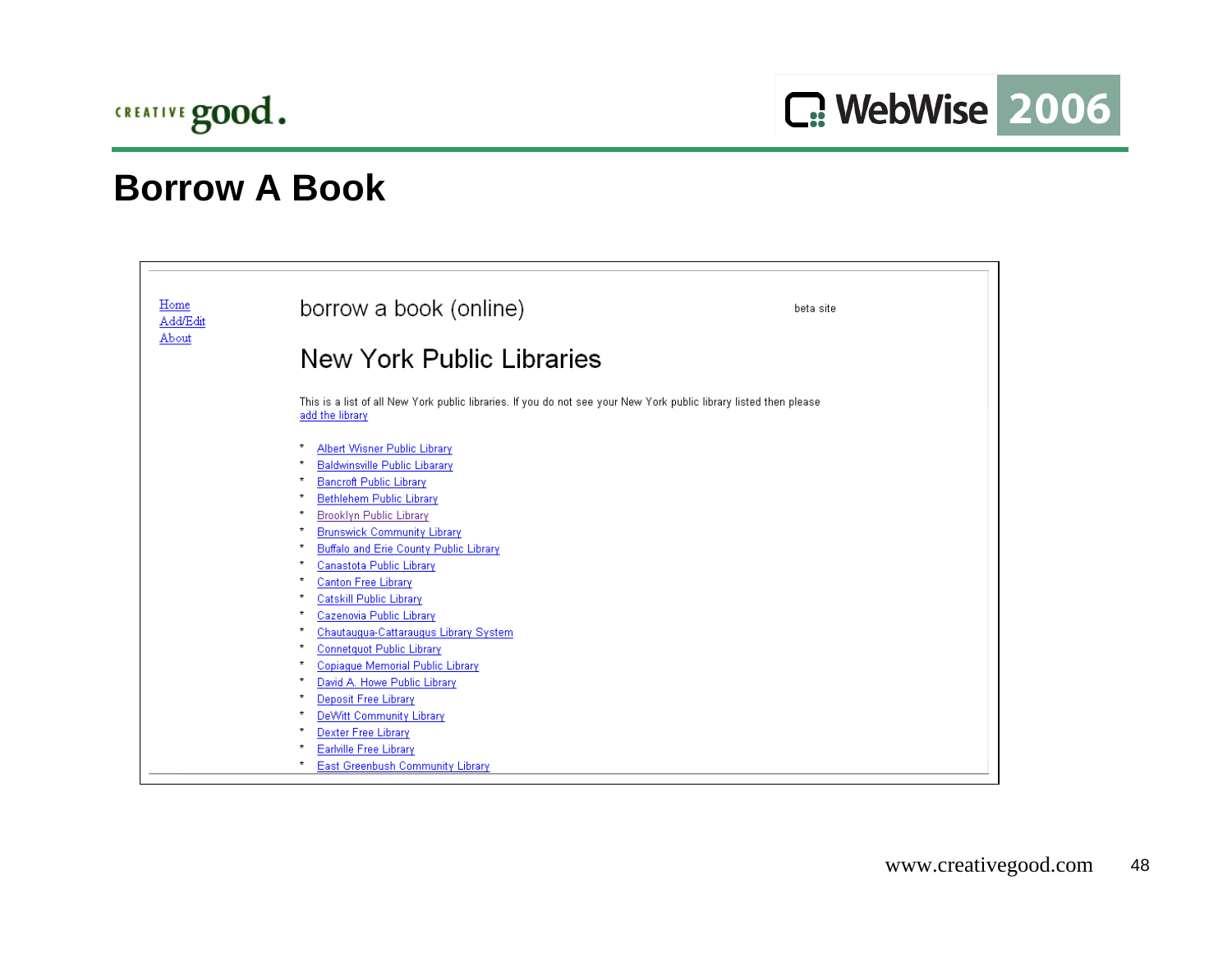

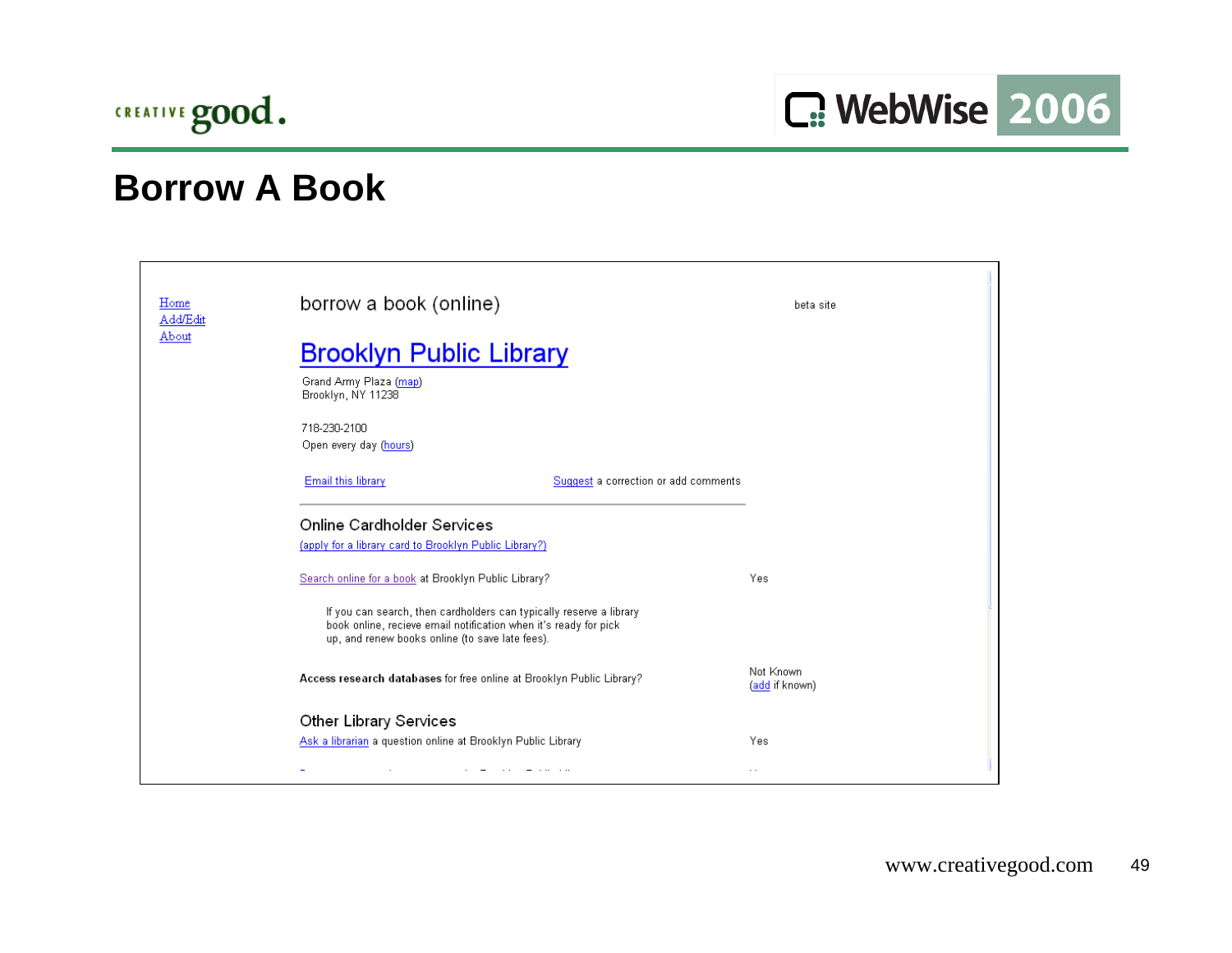

| Home<br>Add/Edit | borrow a book (online)                                                                                                                                                                     | beta site                   |  |
|------------------|--------------------------------------------------------------------------------------------------------------------------------------------------------------------------------------------|-----------------------------|--|
| About            | <b>Brooklyn Public Library</b>                                                                                                                                                             |                             |  |
|                  | Grand Army Plaza (map)<br>Brooklyn, NY 11238                                                                                                                                               |                             |  |
|                  | 718-230-2100<br>Open every day (hours)                                                                                                                                                     |                             |  |
|                  | Email this library<br>Suggest a correction or add comments                                                                                                                                 |                             |  |
|                  | Online Cardholder Services<br>(apply for a library card to Brooklyn Public Library?)                                                                                                       |                             |  |
|                  | Search online for a book at Brooklyn Public Library?                                                                                                                                       | Yes                         |  |
|                  | If you can search, then cardholders can typically reserve a library<br>book online, recieve email notification when it's ready for pick<br>up, and renew books online (to save late fees). |                             |  |
|                  | Access research databases for free online at Brooklyn Public Library?                                                                                                                      | Not Known<br>(add if known) |  |
|                  | Other Library Services                                                                                                                                                                     |                             |  |
|                  | Ask a librarian a question online at Brooklyn Public Library                                                                                                                               | Yes                         |  |
|                  | ÷                                                                                                                                                                                          | $\ddotsc$                   |  |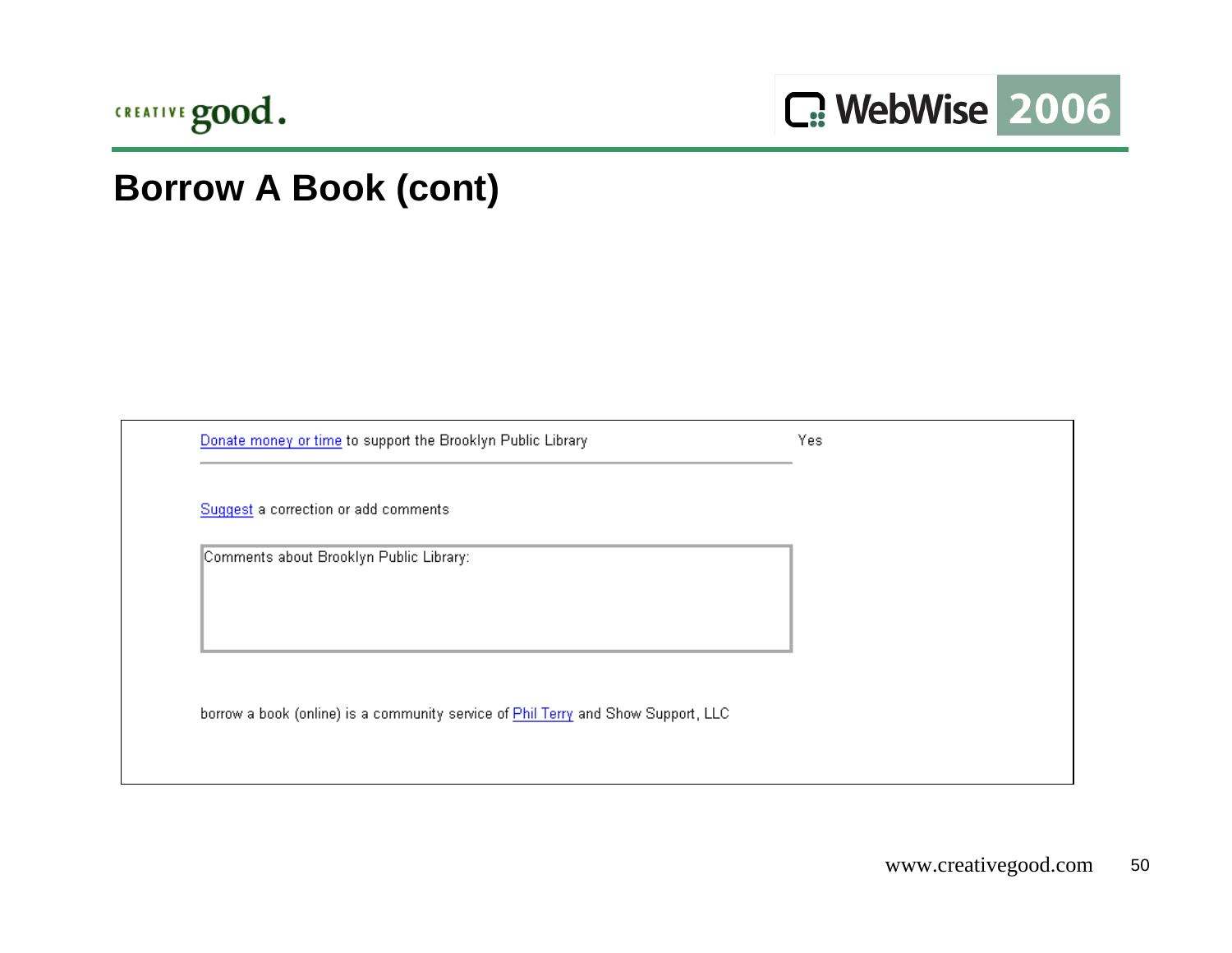

# **Borrow A Book (cont)**

| Donate money or time to support the Brooklyn Public Library                       | Yes |
|-----------------------------------------------------------------------------------|-----|
| Suggest a correction or add comments                                              |     |
| Comments about Brooklyn Public Library:                                           |     |
|                                                                                   |     |
|                                                                                   |     |
| borrow a book (online) is a community service of Phil Terry and Show Support, LLC |     |
|                                                                                   |     |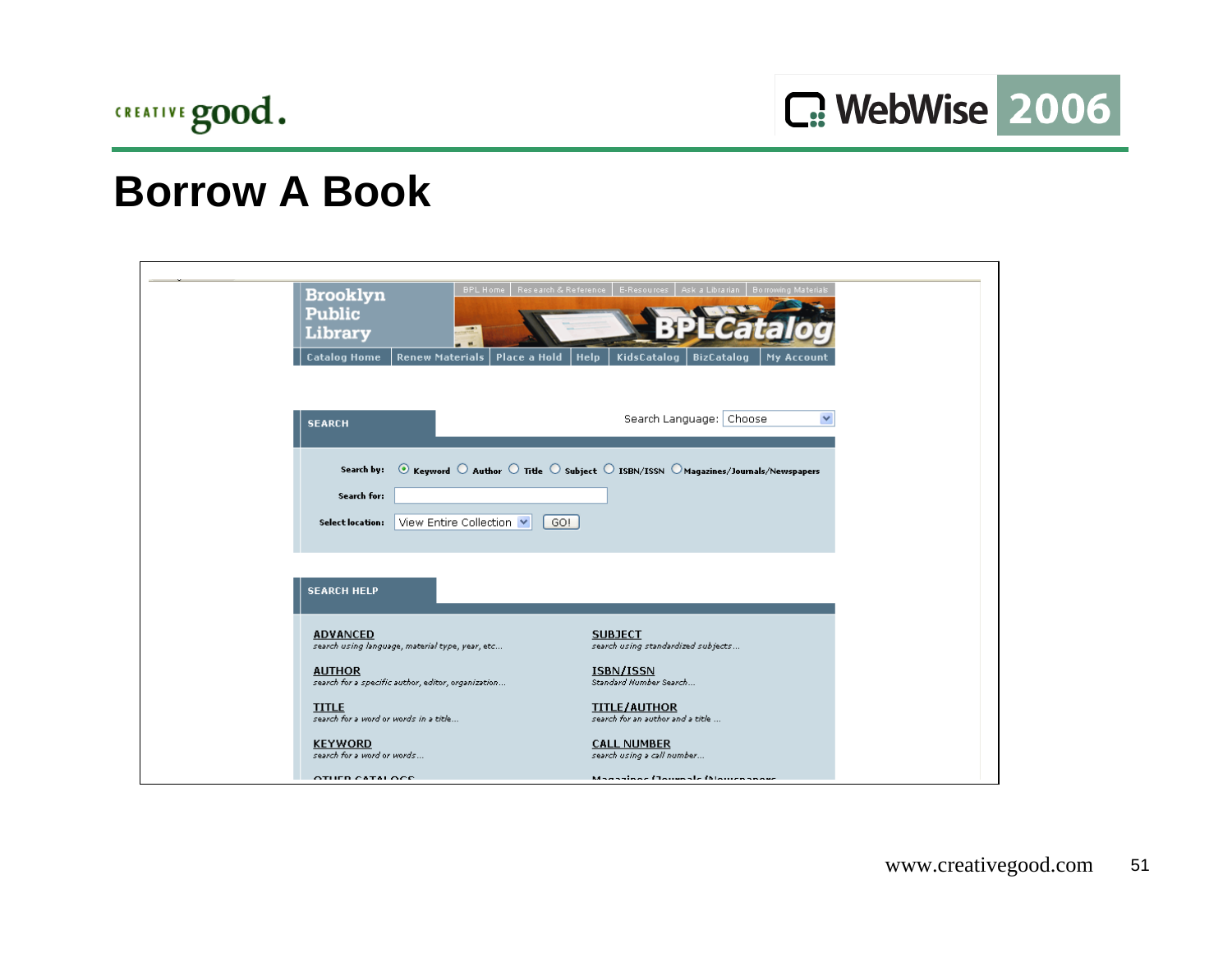

C: WebWise 2006

| <b>Brooklyn</b><br><b>Public</b><br><b>Library</b> | Resiearch & Reference<br><b>BPL Home</b>           | E-Resources   Ask a Librarian   Borrowing Materials                                                                                                                                     |
|----------------------------------------------------|----------------------------------------------------|-----------------------------------------------------------------------------------------------------------------------------------------------------------------------------------------|
| <b>Catalog Home</b>                                | <b>Renew Materials</b><br>Place a Hold             | <b>Help</b><br>KidsCatalog<br><b>BizCatalog</b><br><b>My Account</b>                                                                                                                    |
|                                                    |                                                    |                                                                                                                                                                                         |
| <b>SEARCH</b>                                      |                                                    | ×<br>Search Language: Choose                                                                                                                                                            |
|                                                    |                                                    |                                                                                                                                                                                         |
| Search by:                                         |                                                    | $\circledcirc$ Keyword $\circlearrowright$ Author $\circlearrowright$ Title $\circlearrowright$ subject $\circlearrowright$ ISBN/ISSN $\circlearrowright$ Magazines/Journals/Newspapers |
| Search for:                                        |                                                    |                                                                                                                                                                                         |
|                                                    |                                                    |                                                                                                                                                                                         |
| <b>Select location:</b>                            | View Entire Collection  v<br>GO!                   |                                                                                                                                                                                         |
|                                                    |                                                    |                                                                                                                                                                                         |
| <b>SEARCH HELP</b>                                 |                                                    |                                                                                                                                                                                         |
| <b>ADVANCED</b>                                    |                                                    | <b>SUBJECT</b>                                                                                                                                                                          |
|                                                    | search using language, material type, year, etc    | search using standardized subjects                                                                                                                                                      |
| <b>AUTHOR</b>                                      | search for a specific author, editor, organization | ISBN/ISSN<br>Standard Number Search                                                                                                                                                     |
| <b>TITLE</b>                                       |                                                    | <b>TITLE/AUTHOR</b>                                                                                                                                                                     |
| search for a word or words in a title              |                                                    | search for an author and a title                                                                                                                                                        |
| <b>KEYWORD</b><br>search for a word or words       |                                                    | <b>CALL NUMBER</b><br>search using a call number                                                                                                                                        |
| OTHER CATALOCE                                     |                                                    | Magazines (Journals Mourceanor                                                                                                                                                          |
|                                                    |                                                    |                                                                                                                                                                                         |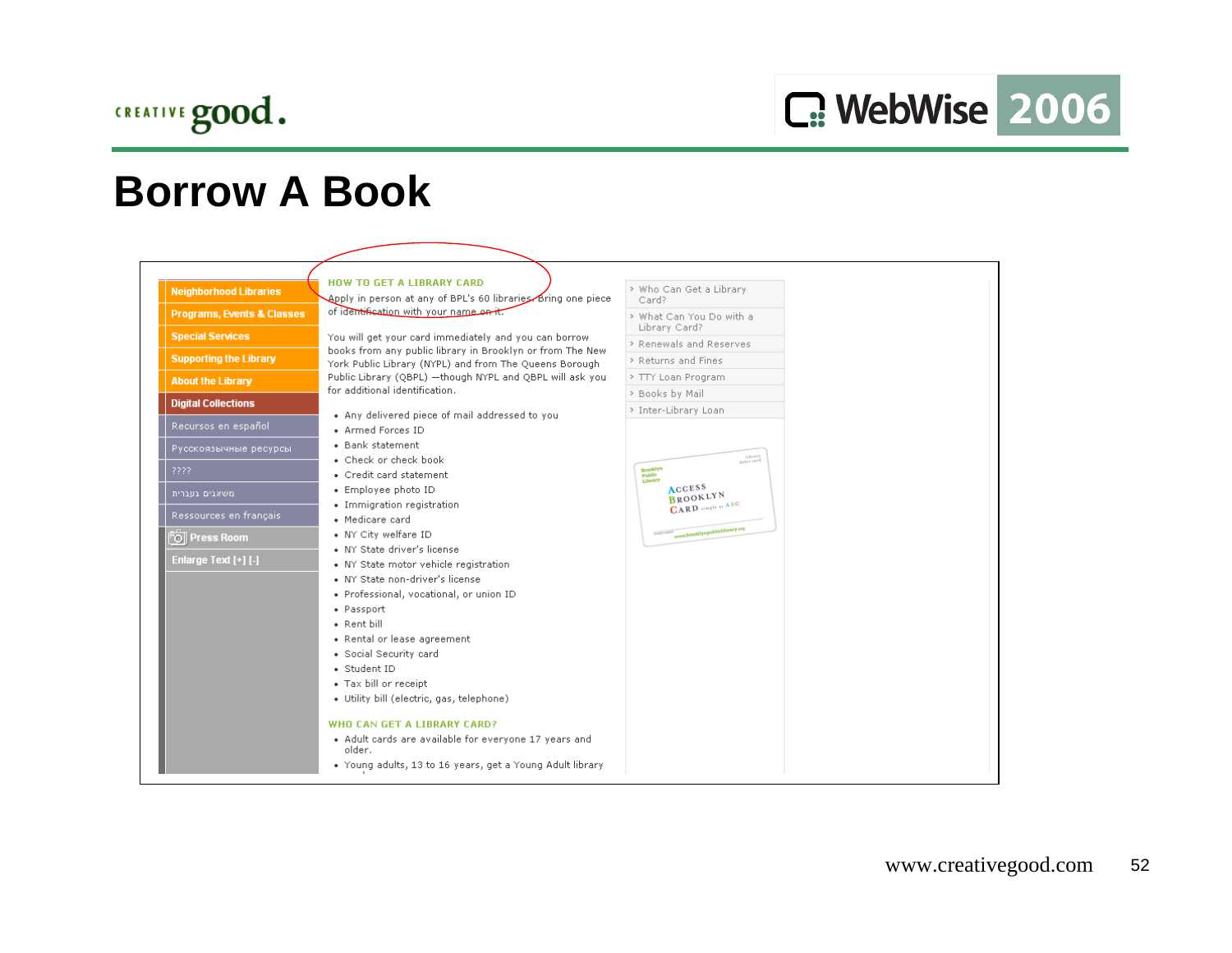

| <b>Neighborhood Libraries</b>         | <b>HOW TO GET A LIBRARY CARD</b><br>Bring one piece (Apply in person at any of BPL's 60 libraries Bring one piece   | > Who Can Get a Library<br>Card?          |  |
|---------------------------------------|---------------------------------------------------------------------------------------------------------------------|-------------------------------------------|--|
| <b>Programs, Events &amp; Classes</b> | of identification with your name on it.                                                                             | > What Can You Do with a<br>Library Card? |  |
| <b>Special Services</b>               | You will get your card immediately and you can borrow                                                               | > Renewals and Reserves                   |  |
| <b>Supporting the Library</b>         | books from any public library in Brooklyn or from The New<br>York Public Library (NYPL) and from The Queens Borough | > Returns and Fines                       |  |
| <b>About the Library</b>              | Public Library (QBPL) - though NYPL and QBPL will ask you                                                           | > TTY Loan Program                        |  |
|                                       | for additional identification.                                                                                      | > Books by Mail                           |  |
| <b>Digital Collections</b>            | • Any delivered piece of mail addressed to you                                                                      | > Inter-Library Loan                      |  |
| Recursos en español                   | • Armed Forces ID                                                                                                   |                                           |  |
| Русскоязычные ресурсы                 | • Bank statement<br>• Check or check book                                                                           | Library<br>Sabit card                     |  |
| 2222                                  | • Credit card statement                                                                                             | Brooklyn<br>Public<br>Library             |  |
| משאבים בטברית                         | • Employee photo ID                                                                                                 | <b>ACCESS</b><br><b>BROOKLYN</b>          |  |
| Ressources en français                | • Immigration registration                                                                                          | <b>GARD</b> staple as ABC                 |  |
|                                       | • Medicare card                                                                                                     | wore brooklyngubitclibrary.org            |  |
| O Press Room                          | • NY City welfare ID<br>• NY State driver's license                                                                 | <b>Barnet's resident</b>                  |  |
| Enlarge Text [+] [-]                  | • NY State motor vehicle registration                                                                               |                                           |  |
|                                       | • NY State non-driver's license                                                                                     |                                           |  |
|                                       | · Professional, vocational, or union ID                                                                             |                                           |  |
|                                       | • Passport                                                                                                          |                                           |  |
|                                       | • Rent bill                                                                                                         |                                           |  |
|                                       | • Rental or lease agreement                                                                                         |                                           |  |
|                                       | · Social Security card                                                                                              |                                           |  |
|                                       | · Student ID<br>• Tax bill or receipt                                                                               |                                           |  |
|                                       | • Utility bill (electric, gas, telephone)                                                                           |                                           |  |
|                                       |                                                                                                                     |                                           |  |
|                                       | WHO CAN GET A LIBRARY CARD?                                                                                         |                                           |  |
|                                       | • Adult cards are available for everyone 17 years and<br>older.                                                     |                                           |  |
|                                       | . Young adults, 13 to 16 years, get a Young Adult library                                                           |                                           |  |